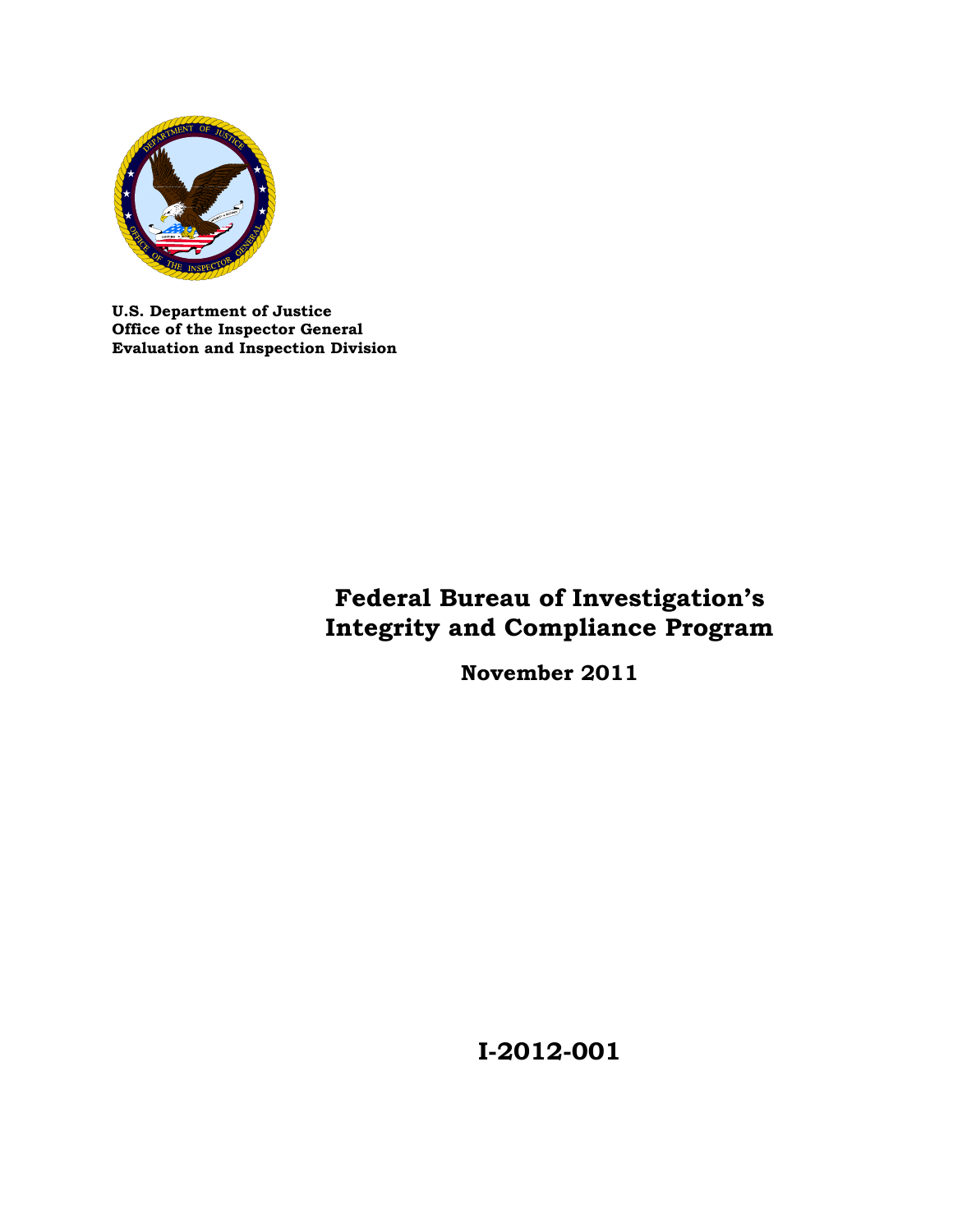

**U.S. Department of Justice Office of the Inspector General Evaluation and Inspection Division** 

# **Federal Bureau of Investigation's Integrity and Compliance Program**

**November 2011** 

**I-2012-001**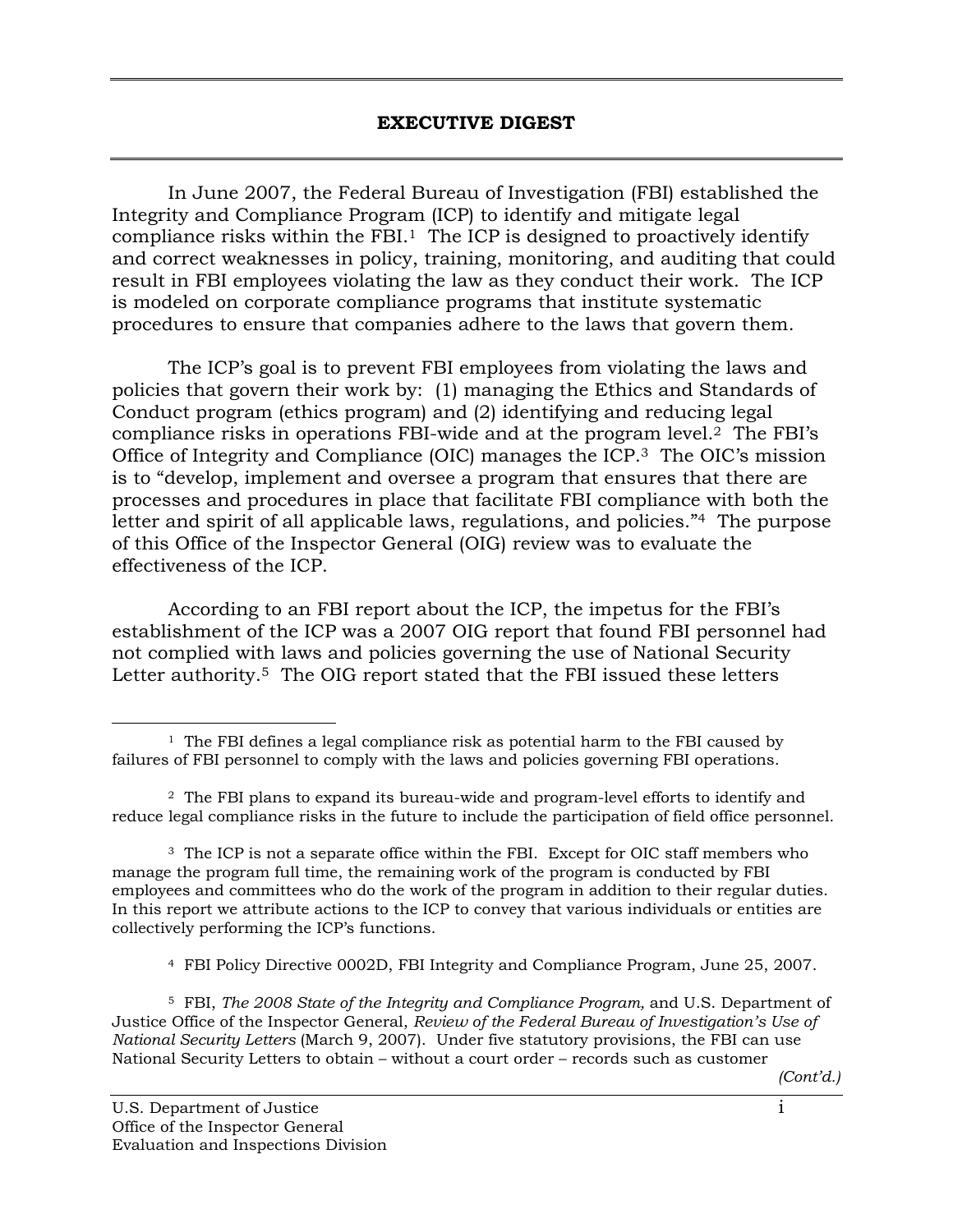In June 2007, the Federal Bureau of Investigation (FBI) established the Integrity and Compliance Program (ICP) to identify and mitigate legal compliance risks within the  $FBI<sup>1</sup>$ . The ICP is designed to proactively identify and correct weaknesses in policy, training, monitoring, and auditing that could result in FBI employees violating the law as they conduct their work. The ICP is modeled on corporate compliance programs that institute systematic procedures to ensure that companies adhere to the laws that govern them.

The ICP's goal is to prevent FBI employees from violating the laws and policies that govern their work by: (1) managing the Ethics and Standards of Conduct program (ethics program) and (2) identifying and reducing legal compliance risks in operations FBI-wide and at the program level.2 The FBI's Office of Integrity and Compliance (OIC) manages the ICP.3 The OIC's mission is to "develop, implement and oversee a program that ensures that there are processes and procedures in place that facilitate FBI compliance with both the letter and spirit of all applicable laws, regulations, and policies."<sup>4</sup> The purpose of this Office of the Inspector General (OIG) review was to evaluate the effectiveness of the ICP.

According to an FBI report about the ICP, the impetus for the FBI's establishment of the ICP was a 2007 OIG report that found FBI personnel had not complied with laws and policies governing the use of National Security Letter authority.<sup>5</sup> The OIG report stated that the FBI issued these letters

4 FBI Policy Directive 0002D, FBI Integrity and Compliance Program, June 25, 2007.

 Justice Office of the Inspector General, *Review of the Federal Bureau of Investigation's Use of*  5 FBI, *The 2008 State of the Integrity and Compliance Program,* and U.S. Department of *National Security Letters* (March 9, 2007). Under five statutory provisions, the FBI can use National Security Letters to obtain – without a court order – records such as customer

 $\overline{a}$  $1$  The FBI defines a legal compliance risk as potential harm to the FBI caused by failures of FBI personnel to comply with the laws and policies governing FBI operations.

 $2$  The FBI plans to expand its bureau-wide and program-level efforts to identify and reduce legal compliance risks in the future to include the participation of field office personnel.

<sup>&</sup>lt;sup>3</sup> The ICP is not a separate office within the FBI. Except for OIC staff members who In this report we attribute actions to the ICP to convey that various individuals or entities are manage the program full time, the remaining work of the program is conducted by FBI employees and committees who do the work of the program in addition to their regular duties. collectively performing the ICP's functions.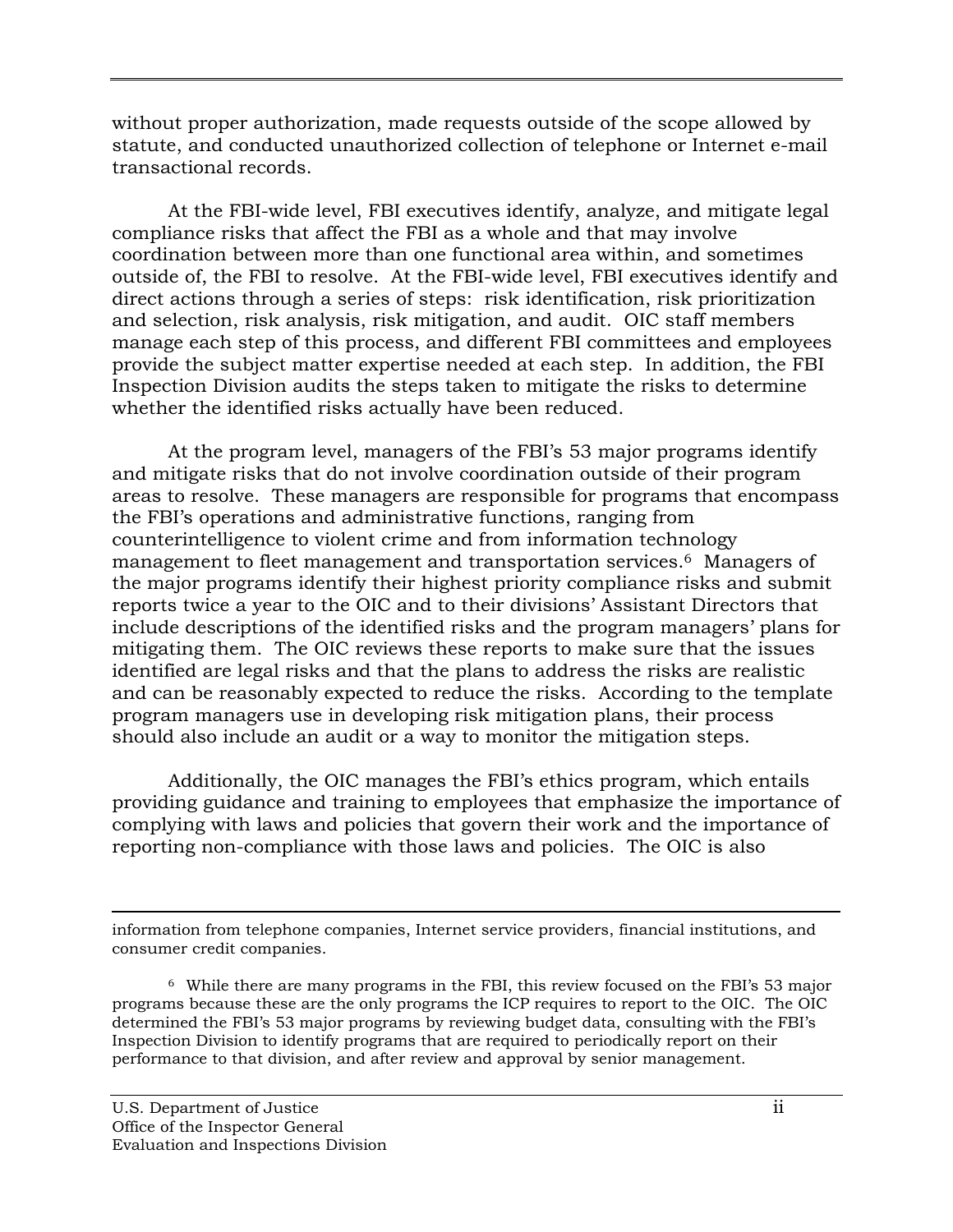without proper authorization, made requests outside of the scope allowed by statute, and conducted unauthorized collection of telephone or Internet e-mail transactional records.

At the FBI-wide level, FBI executives identify, analyze, and mitigate legal compliance risks that affect the FBI as a whole and that may involve coordination between more than one functional area within, and sometimes outside of, the FBI to resolve. At the FBI-wide level, FBI executives identify and direct actions through a series of steps: risk identification, risk prioritization and selection, risk analysis, risk mitigation, and audit. OIC staff members manage each step of this process, and different FBI committees and employees provide the subject matter expertise needed at each step. In addition, the FBI Inspection Division audits the steps taken to mitigate the risks to determine whether the identified risks actually have been reduced.

At the program level, managers of the FBI's 53 major programs identify and mitigate risks that do not involve coordination outside of their program areas to resolve. These managers are responsible for programs that encompass the FBI's operations and administrative functions, ranging from counterintelligence to violent crime and from information technology management to fleet management and transportation services.<sup>6</sup> Managers of the major programs identify their highest priority compliance risks and submit reports twice a year to the OIC and to their divisions' Assistant Directors that include descriptions of the identified risks and the program managers' plans for mitigating them. The OIC reviews these reports to make sure that the issues identified are legal risks and that the plans to address the risks are realistic and can be reasonably expected to reduce the risks. According to the template program managers use in developing risk mitigation plans, their process should also include an audit or a way to monitor the mitigation steps.

Additionally, the OIC manages the FBI's ethics program, which entails providing guidance and training to employees that emphasize the importance of complying with laws and policies that govern their work and the importance of reporting non-compliance with those laws and policies. The OIC is also

information from telephone companies, Internet service providers, financial institutions, and consumer credit companies.

<sup>&</sup>lt;sup>6</sup> While there are many programs in the FBI, this review focused on the FBI's 53 major performance to that division, and after review and approval by senior management.<br>U.S. Department of Justice ii programs because these are the only programs the ICP requires to report to the OIC. The OIC determined the FBI's 53 major programs by reviewing budget data, consulting with the FBI's Inspection Division to identify programs that are required to periodically report on their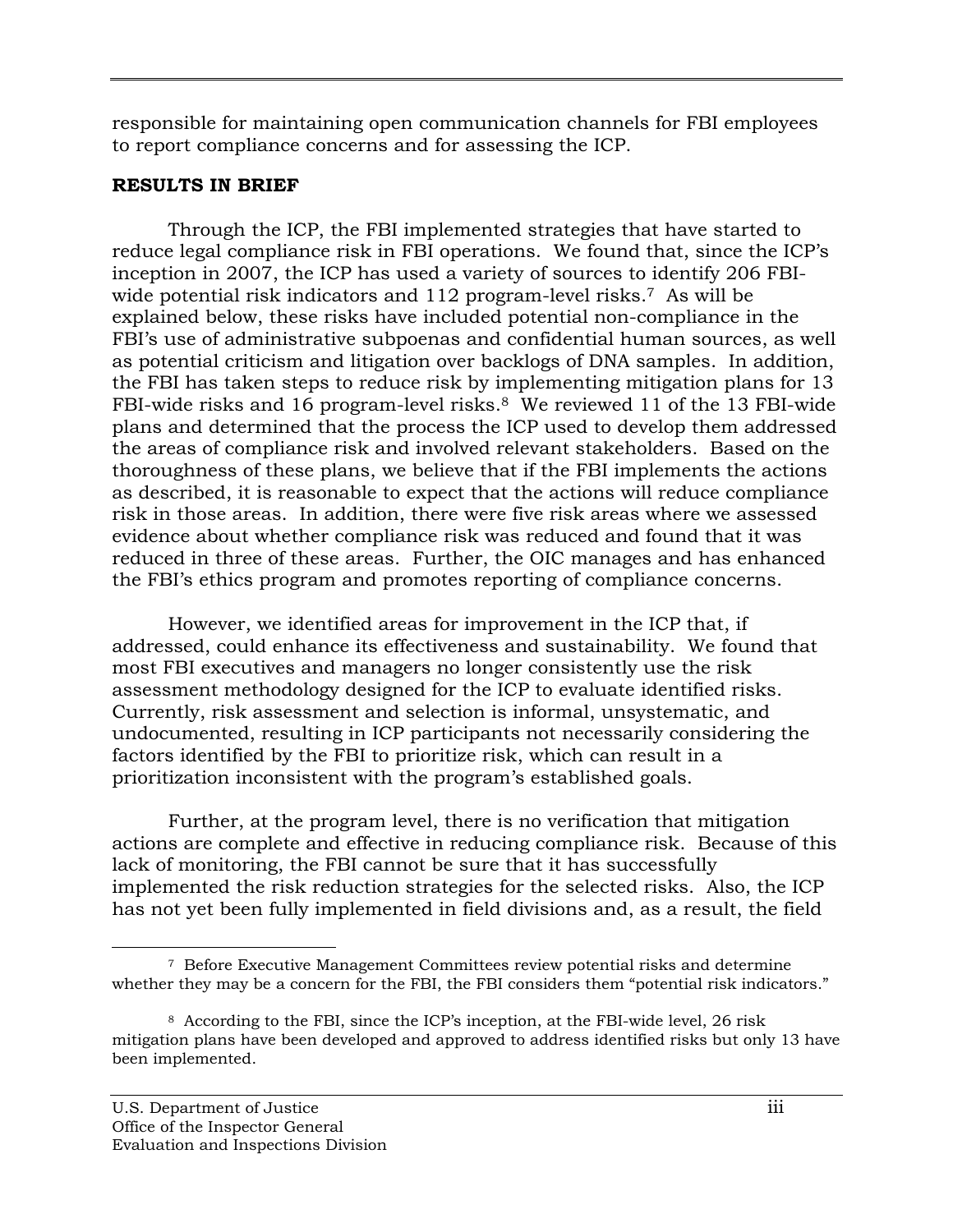responsible for maintaining open communication channels for FBI employees to report compliance concerns and for assessing the ICP.

## **RESULTS IN BRIEF**

Through the ICP, the FBI implemented strategies that have started to reduce legal compliance risk in FBI operations. We found that, since the ICP's inception in 2007, the ICP has used a variety of sources to identify 206 FBIwide potential risk indicators and 112 program-level risks.<sup>7</sup> As will be explained below, these risks have included potential non-compliance in the FBI's use of administrative subpoenas and confidential human sources, as well as potential criticism and litigation over backlogs of DNA samples. In addition, the FBI has taken steps to reduce risk by implementing mitigation plans for 13 FBI-wide risks and 16 program-level risks.8 We reviewed 11 of the 13 FBI-wide plans and determined that the process the ICP used to develop them addressed the areas of compliance risk and involved relevant stakeholders. Based on the thoroughness of these plans, we believe that if the FBI implements the actions as described, it is reasonable to expect that the actions will reduce compliance risk in those areas. In addition, there were five risk areas where we assessed evidence about whether compliance risk was reduced and found that it was reduced in three of these areas. Further, the OIC manages and has enhanced the FBI's ethics program and promotes reporting of compliance concerns.

However, we identified areas for improvement in the ICP that, if addressed, could enhance its effectiveness and sustainability. We found that most FBI executives and managers no longer consistently use the risk assessment methodology designed for the ICP to evaluate identified risks. Currently, risk assessment and selection is informal, unsystematic, and undocumented, resulting in ICP participants not necessarily considering the factors identified by the FBI to prioritize risk, which can result in a prioritization inconsistent with the program's established goals.

Further, at the program level, there is no verification that mitigation actions are complete and effective in reducing compliance risk. Because of this lack of monitoring, the FBI cannot be sure that it has successfully implemented the risk reduction strategies for the selected risks. Also, the ICP has not yet been fully implemented in field divisions and, as a result, the field

 $\overline{a}$ 7 Before Executive Management Committees review potential risks and determine

whether they may be a concern for the FBI, the FBI considers them "potential risk indicators."<br><sup>8</sup> According to the FBI, since the ICP's inception, at the FBI-wide level, 26 risk <sup>8</sup> According to the FBI, since the ICP's inception, at the FBI-wide level, 26 risk mitigation plans have been developed and approved to address identified risks but only 13 have been implemented.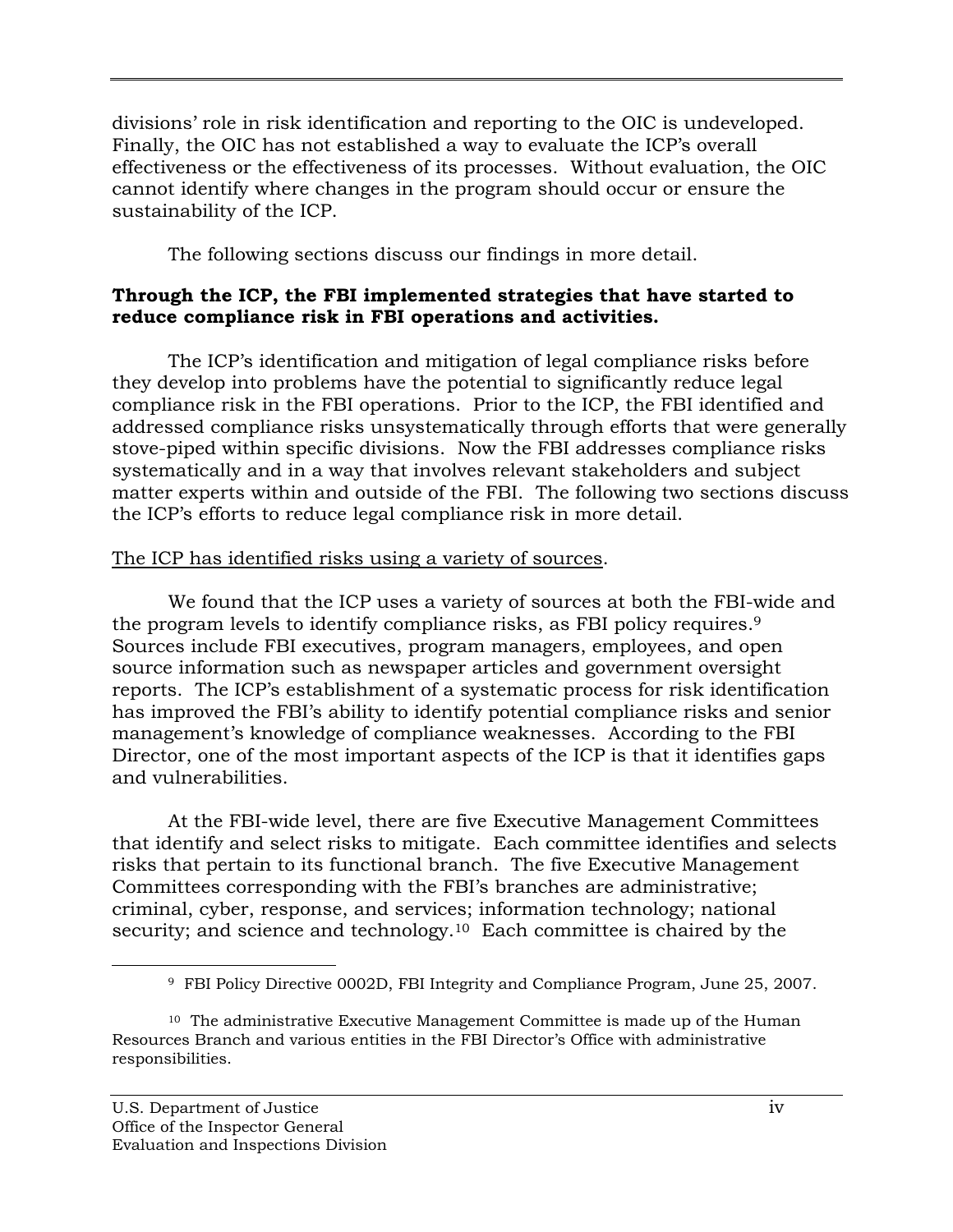divisions' role in risk identification and reporting to the OIC is undeveloped. Finally, the OIC has not established a way to evaluate the ICP's overall effectiveness or the effectiveness of its processes. Without evaluation, the OIC cannot identify where changes in the program should occur or ensure the sustainability of the ICP.

The following sections discuss our findings in more detail.

# **Through the ICP, the FBI implemented strategies that have started to reduce compliance risk in FBI operations and activities.**

The ICP's identification and mitigation of legal compliance risks before they develop into problems have the potential to significantly reduce legal compliance risk in the FBI operations. Prior to the ICP, the FBI identified and addressed compliance risks unsystematically through efforts that were generally stove-piped within specific divisions. Now the FBI addresses compliance risks systematically and in a way that involves relevant stakeholders and subject matter experts within and outside of the FBI. The following two sections discuss the ICP's efforts to reduce legal compliance risk in more detail.

# The ICP has identified risks using a variety of sources.

the program levels to identify compliance risks, as FBI policy requires.<sup>9</sup> We found that the ICP uses a variety of sources at both the FBI-wide and Sources include FBI executives, program managers, employees, and open source information such as newspaper articles and government oversight reports. The ICP's establishment of a systematic process for risk identification has improved the FBI's ability to identify potential compliance risks and senior management's knowledge of compliance weaknesses. According to the FBI Director, one of the most important aspects of the ICP is that it identifies gaps and vulnerabilities.

At the FBI-wide level, there are five Executive Management Committees that identify and select risks to mitigate. Each committee identifies and selects risks that pertain to its functional branch. The five Executive Management Committees corresponding with the FBI's branches are administrative; criminal, cyber, response, and services; information technology; national security; and science and technology.<sup>10</sup> Each committee is chaired by the

 9 FBI Policy Directive 0002D, FBI Integrity and Compliance Program, June 25, 2007.

 $10$  The administrative Executive Management Committee is made up of the Human Resources Branch and various entities in the FBI Director's Office with administrative responsibilities.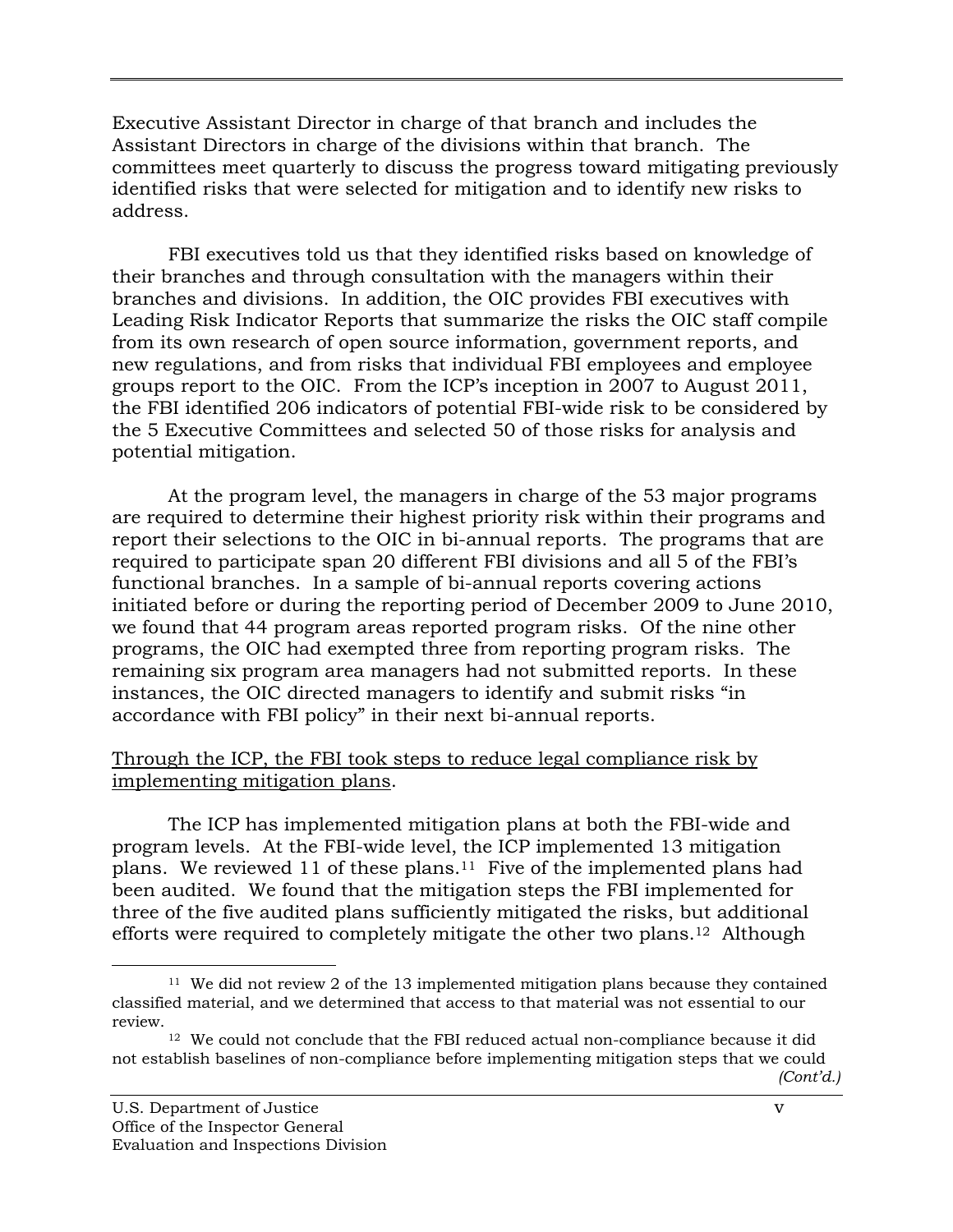Executive Assistant Director in charge of that branch and includes the Assistant Directors in charge of the divisions within that branch. The committees meet quarterly to discuss the progress toward mitigating previously identified risks that were selected for mitigation and to identify new risks to address.

FBI executives told us that they identified risks based on knowledge of their branches and through consultation with the managers within their branches and divisions. In addition, the OIC provides FBI executives with Leading Risk Indicator Reports that summarize the risks the OIC staff compile from its own research of open source information, government reports, and new regulations, and from risks that individual FBI employees and employee groups report to the OIC. From the ICP's inception in 2007 to August 2011, the FBI identified 206 indicators of potential FBI-wide risk to be considered by the 5 Executive Committees and selected 50 of those risks for analysis and potential mitigation.

At the program level, the managers in charge of the 53 major programs are required to determine their highest priority risk within their programs and report their selections to the OIC in bi-annual reports. The programs that are required to participate span 20 different FBI divisions and all 5 of the FBI's functional branches. In a sample of bi-annual reports covering actions initiated before or during the reporting period of December 2009 to June 2010, we found that 44 program areas reported program risks. Of the nine other programs, the OIC had exempted three from reporting program risks. The remaining six program area managers had not submitted reports. In these instances, the OIC directed managers to identify and submit risks "in accordance with FBI policy" in their next bi-annual reports.

#### Through the ICP, the FBI took steps to reduce legal compliance risk by implementing mitigation plans.

The ICP has implemented mitigation plans at both the FBI-wide and program levels. At the FBI-wide level, the ICP implemented 13 mitigation plans. We reviewed 11 of these plans.11 Five of the implemented plans had been audited. We found that the mitigation steps the FBI implemented for three of the five audited plans sufficiently mitigated the risks, but additional efforts were required to completely mitigate the other two plans.12 Although

<sup>&</sup>lt;sup>11</sup> We did not review 2 of the 13 implemented mitigation plans because they contained classified material, and we determined that access to that material was not essential to our review.

<sup>&</sup>lt;sup>12</sup> We could not conclude that the FBI reduced actual non-compliance because it did not establish baselines of non-compliance before implementing mitigation steps that we could *(Cont'd.)*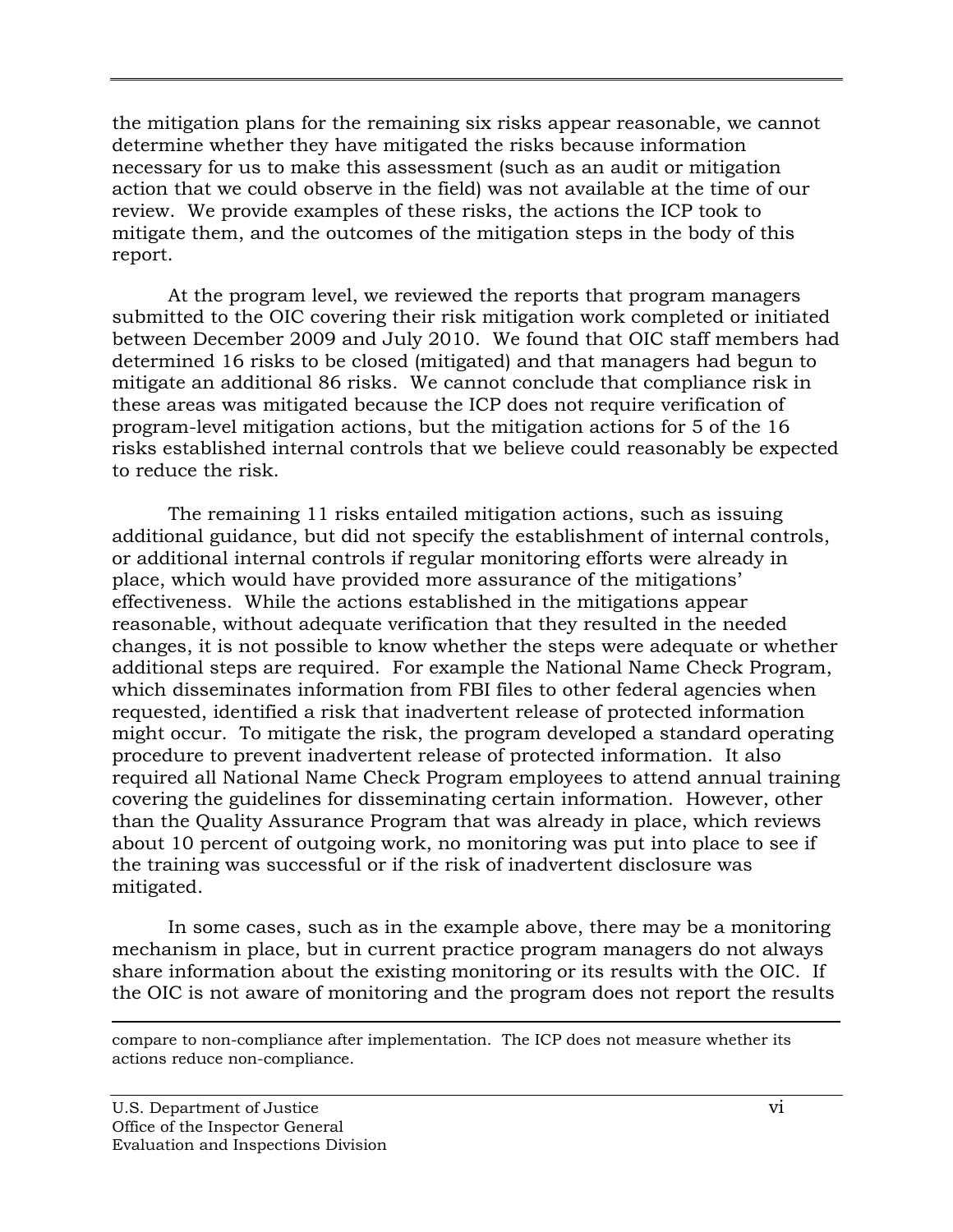the mitigation plans for the remaining six risks appear reasonable, we cannot determine whether they have mitigated the risks because information necessary for us to make this assessment (such as an audit or mitigation action that we could observe in the field) was not available at the time of our review. We provide examples of these risks, the actions the ICP took to mitigate them, and the outcomes of the mitigation steps in the body of this report.

At the program level, we reviewed the reports that program managers submitted to the OIC covering their risk mitigation work completed or initiated between December 2009 and July 2010. We found that OIC staff members had determined 16 risks to be closed (mitigated) and that managers had begun to mitigate an additional 86 risks. We cannot conclude that compliance risk in these areas was mitigated because the ICP does not require verification of program-level mitigation actions, but the mitigation actions for 5 of the 16 risks established internal controls that we believe could reasonably be expected to reduce the risk.

The remaining 11 risks entailed mitigation actions, such as issuing additional guidance, but did not specify the establishment of internal controls, or additional internal controls if regular monitoring efforts were already in place, which would have provided more assurance of the mitigations' effectiveness. While the actions established in the mitigations appear reasonable, without adequate verification that they resulted in the needed changes, it is not possible to know whether the steps were adequate or whether additional steps are required. For example the National Name Check Program, which disseminates information from FBI files to other federal agencies when requested, identified a risk that inadvertent release of protected information might occur. To mitigate the risk, the program developed a standard operating procedure to prevent inadvertent release of protected information. It also required all National Name Check Program employees to attend annual training covering the guidelines for disseminating certain information. However, other than the Quality Assurance Program that was already in place, which reviews about 10 percent of outgoing work, no monitoring was put into place to see if the training was successful or if the risk of inadvertent disclosure was mitigated.

In some cases, such as in the example above, there may be a monitoring mechanism in place, but in current practice program managers do not always share information about the existing monitoring or its results with the OIC. If the OIC is not aware of monitoring and the program does not report the results

 compare to non-compliance after implementation. The ICP does not measure whether its actions reduce non-compliance.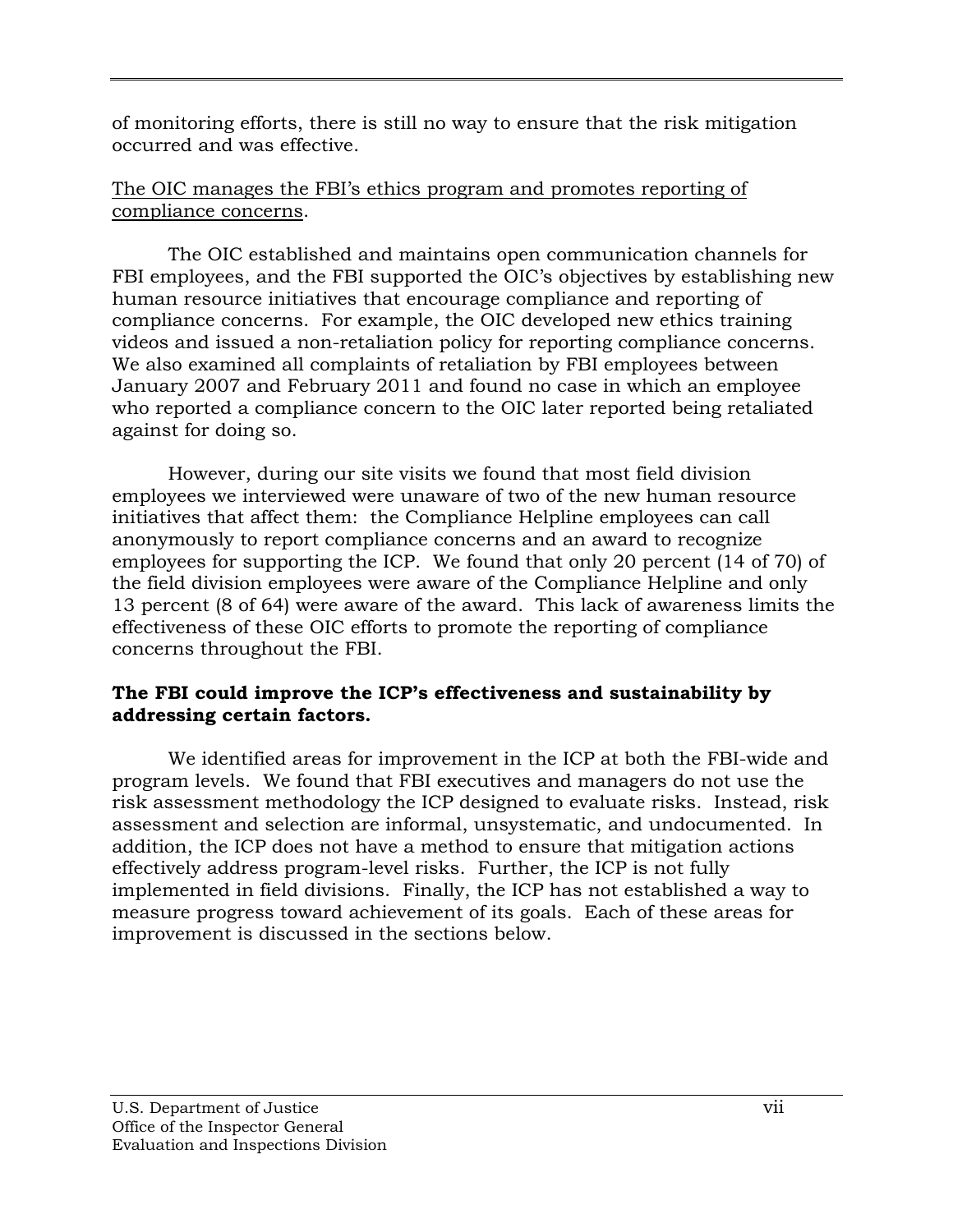of monitoring efforts, there is still no way to ensure that the risk mitigation occurred and was effective.

# The OIC manages the FBI's ethics program and promotes reporting of compliance concerns.

The OIC established and maintains open communication channels for FBI employees, and the FBI supported the OIC's objectives by establishing new human resource initiatives that encourage compliance and reporting of compliance concerns. For example, the OIC developed new ethics training videos and issued a non-retaliation policy for reporting compliance concerns. We also examined all complaints of retaliation by FBI employees between January 2007 and February 2011 and found no case in which an employee who reported a compliance concern to the OIC later reported being retaliated against for doing so.

However, during our site visits we found that most field division employees we interviewed were unaware of two of the new human resource initiatives that affect them: the Compliance Helpline employees can call anonymously to report compliance concerns and an award to recognize employees for supporting the ICP. We found that only 20 percent (14 of 70) of the field division employees were aware of the Compliance Helpline and only 13 percent (8 of 64) were aware of the award. This lack of awareness limits the effectiveness of these OIC efforts to promote the reporting of compliance concerns throughout the FBI.

# **addressing certain factors. The FBI could improve the ICP's effectiveness and sustainability by**

We identified areas for improvement in the ICP at both the FBI-wide and program levels. We found that FBI executives and managers do not use the risk assessment methodology the ICP designed to evaluate risks. Instead, risk assessment and selection are informal, unsystematic, and undocumented. In addition, the ICP does not have a method to ensure that mitigation actions effectively address program-level risks. Further, the ICP is not fully implemented in field divisions. Finally, the ICP has not established a way to measure progress toward achievement of its goals. Each of these areas for improvement is discussed in the sections below.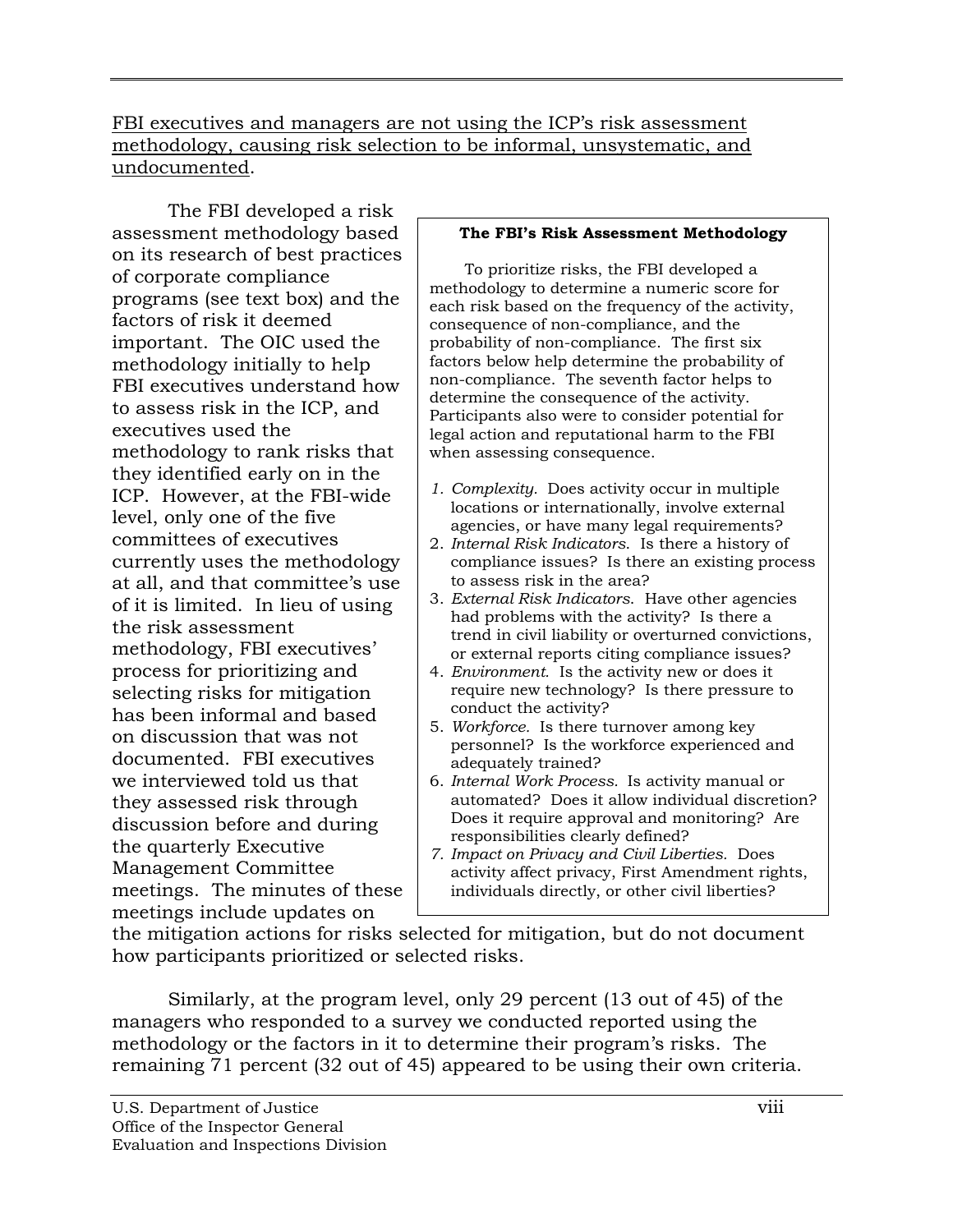FBI executives and managers are not using the ICP's risk assessment methodology, causing risk selection to be informal, unsystematic, and undocumented.

The FBI developed a risk assessment methodology based on its research of best practices of corporate compliance programs (see text box) and the factors of risk it deemed important. The OIC used the methodology initially to help FBI executives understand how to assess risk in the ICP, and executives used the methodology to rank risks that they identified early on in the ICP. However, at the FBI-wide level, only one of the five committees of executives currently uses the methodology at all, and that committee's use of it is limited. In lieu of using the risk assessment methodology, FBI executives' process for prioritizing and selecting risks for mitigation has been informal and based on discussion that was not documented. FBI executives we interviewed told us that they assessed risk through discussion before and during the quarterly Executive Management Committee meetings. The minutes of these meetings include updates on

#### **The FBI's Risk Assessment Methodology**

 non-compliance. The seventh factor helps to determine the consequence of the activity. when assessing consequence. To prioritize risks, the FBI developed a methodology to determine a numeric score for each risk based on the frequency of the activity, consequence of non-compliance, and the probability of non-compliance. The first six factors below help determine the probability of Participants also were to consider potential for legal action and reputational harm to the FBI

- *1. Complexity.* Does activity occur in multiple locations or internationally, involve external agencies, or have many legal requirements?
- 2. *Internal Risk Indicators*. Is there a history of compliance issues? Is there an existing process to assess risk in the area?
- 3. *External Risk Indicators*. Have other agencies had problems with the activity? Is there a trend in civil liability or overturned convictions, or external reports citing compliance issues?
- 4. *Environment.* Is the activity new or does it require new technology? Is there pressure to conduct the activity?
- 5. *Workforce.* Is there turnover among key personnel? Is the workforce experienced and adequately trained?
- automated? Does it allow individual discretion? 6. *Internal Work Process.* Is activity manual or Does it require approval and monitoring? Are responsibilities clearly defined?
- *7. Impact on Privacy and Civil Liberties.* Does activity affect privacy, First Amendment rights, individuals directly, or other civil liberties?

the mitigation actions for risks selected for mitigation, but do not document how participants prioritized or selected risks.

Similarly, at the program level, only 29 percent (13 out of 45) of the managers who responded to a survey we conducted reported using the methodology or the factors in it to determine their program's risks. The remaining 71 percent (32 out of 45) appeared to be using their own criteria.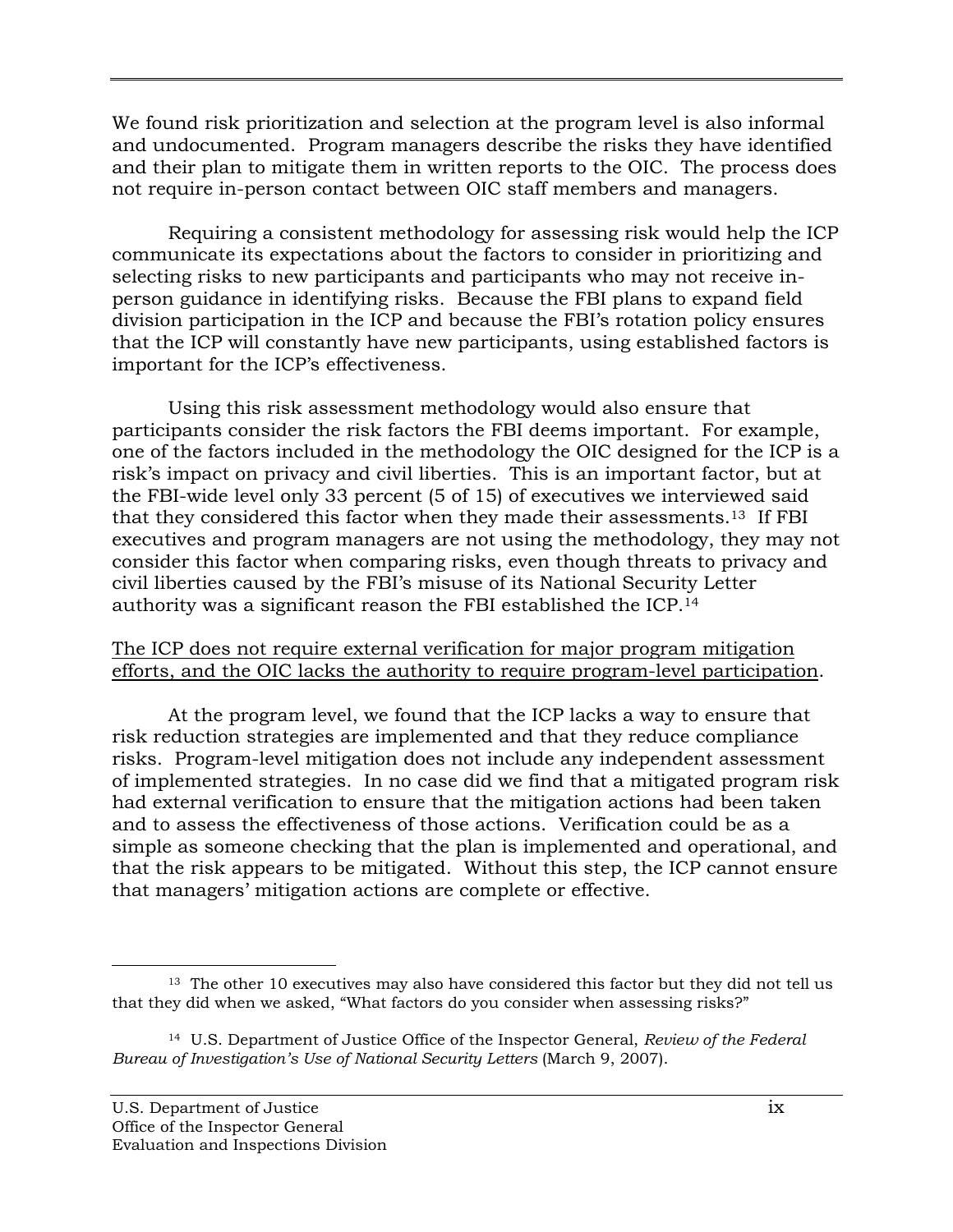We found risk prioritization and selection at the program level is also informal and undocumented. Program managers describe the risks they have identified and their plan to mitigate them in written reports to the OIC. The process does not require in-person contact between OIC staff members and managers.

Requiring a consistent methodology for assessing risk would help the ICP communicate its expectations about the factors to consider in prioritizing and selecting risks to new participants and participants who may not receive inperson guidance in identifying risks. Because the FBI plans to expand field division participation in the ICP and because the FBI's rotation policy ensures that the ICP will constantly have new participants, using established factors is important for the ICP's effectiveness.

 authority was a significant reason the FBI established the ICP.14 Using this risk assessment methodology would also ensure that participants consider the risk factors the FBI deems important. For example, one of the factors included in the methodology the OIC designed for the ICP is a risk's impact on privacy and civil liberties. This is an important factor, but at the FBI-wide level only 33 percent (5 of 15) of executives we interviewed said that they considered this factor when they made their assessments.13 If FBI executives and program managers are not using the methodology, they may not consider this factor when comparing risks, even though threats to privacy and civil liberties caused by the FBI's misuse of its National Security Letter

#### The ICP does not require external verification for major program mitigation efforts, and the OIC lacks the authority to require program-level participation.

At the program level, we found that the ICP lacks a way to ensure that risk reduction strategies are implemented and that they reduce compliance risks. Program-level mitigation does not include any independent assessment of implemented strategies. In no case did we find that a mitigated program risk had external verification to ensure that the mitigation actions had been taken and to assess the effectiveness of those actions. Verification could be as a simple as someone checking that the plan is implemented and operational, and that the risk appears to be mitigated. Without this step, the ICP cannot ensure that managers' mitigation actions are complete or effective.

 $\overline{a}$  $13$  The other 10 executives may also have considered this factor but they did not tell us that they did when we asked, "What factors do you consider when assessing risks?"

 14 U.S. Department of Justice Office of the Inspector General, *Review of the Federal Bureau of Investigation's Use of National Security Letters* (March 9, 2007).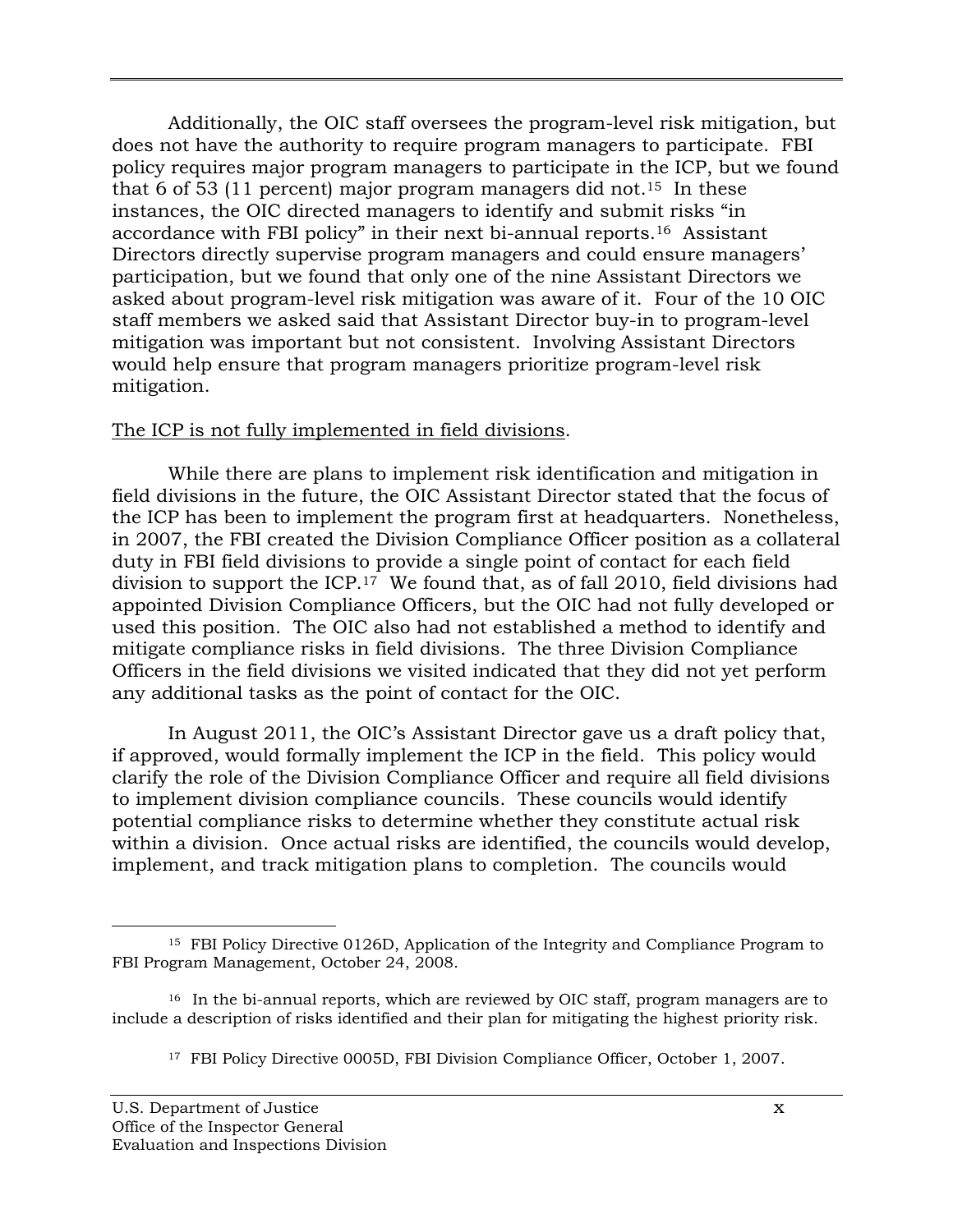Additionally, the OIC staff oversees the program-level risk mitigation, but does not have the authority to require program managers to participate. FBI policy requires major program managers to participate in the ICP, but we found that 6 of 53 (11 percent) major program managers did not.<sup>15</sup> In these instances, the OIC directed managers to identify and submit risks "in accordance with FBI policy" in their next bi-annual reports.16 Assistant Directors directly supervise program managers and could ensure managers' participation, but we found that only one of the nine Assistant Directors we asked about program-level risk mitigation was aware of it. Four of the 10 OIC staff members we asked said that Assistant Director buy-in to program-level mitigation was important but not consistent. Involving Assistant Directors would help ensure that program managers prioritize program-level risk mitigation.

#### The ICP is not fully implemented in field divisions.

While there are plans to implement risk identification and mitigation in field divisions in the future, the OIC Assistant Director stated that the focus of the ICP has been to implement the program first at headquarters. Nonetheless, in 2007, the FBI created the Division Compliance Officer position as a collateral duty in FBI field divisions to provide a single point of contact for each field division to support the ICP.<sup>17</sup> We found that, as of fall 2010, field divisions had appointed Division Compliance Officers, but the OIC had not fully developed or used this position. The OIC also had not established a method to identify and mitigate compliance risks in field divisions. The three Division Compliance Officers in the field divisions we visited indicated that they did not yet perform any additional tasks as the point of contact for the OIC.

In August 2011, the OIC's Assistant Director gave us a draft policy that, if approved, would formally implement the ICP in the field. This policy would clarify the role of the Division Compliance Officer and require all field divisions to implement division compliance councils. These councils would identify potential compliance risks to determine whether they constitute actual risk within a division. Once actual risks are identified, the councils would develop, implement, and track mitigation plans to completion. The councils would

<sup>15</sup> FBI Policy Directive 0126D, Application of the Integrity and Compliance Program to FBI Program Management, October 24, 2008.

<sup>&</sup>lt;sup>16</sup> In the bi-annual reports, which are reviewed by OIC staff, program managers are to include a description of risks identified and their plan for mitigating the highest priority risk.

<sup>&</sup>lt;sup>17</sup> FBI Policy Directive 0005D, FBI Division Compliance Officer, October 1, 2007.<br>U.S. Department of Justice x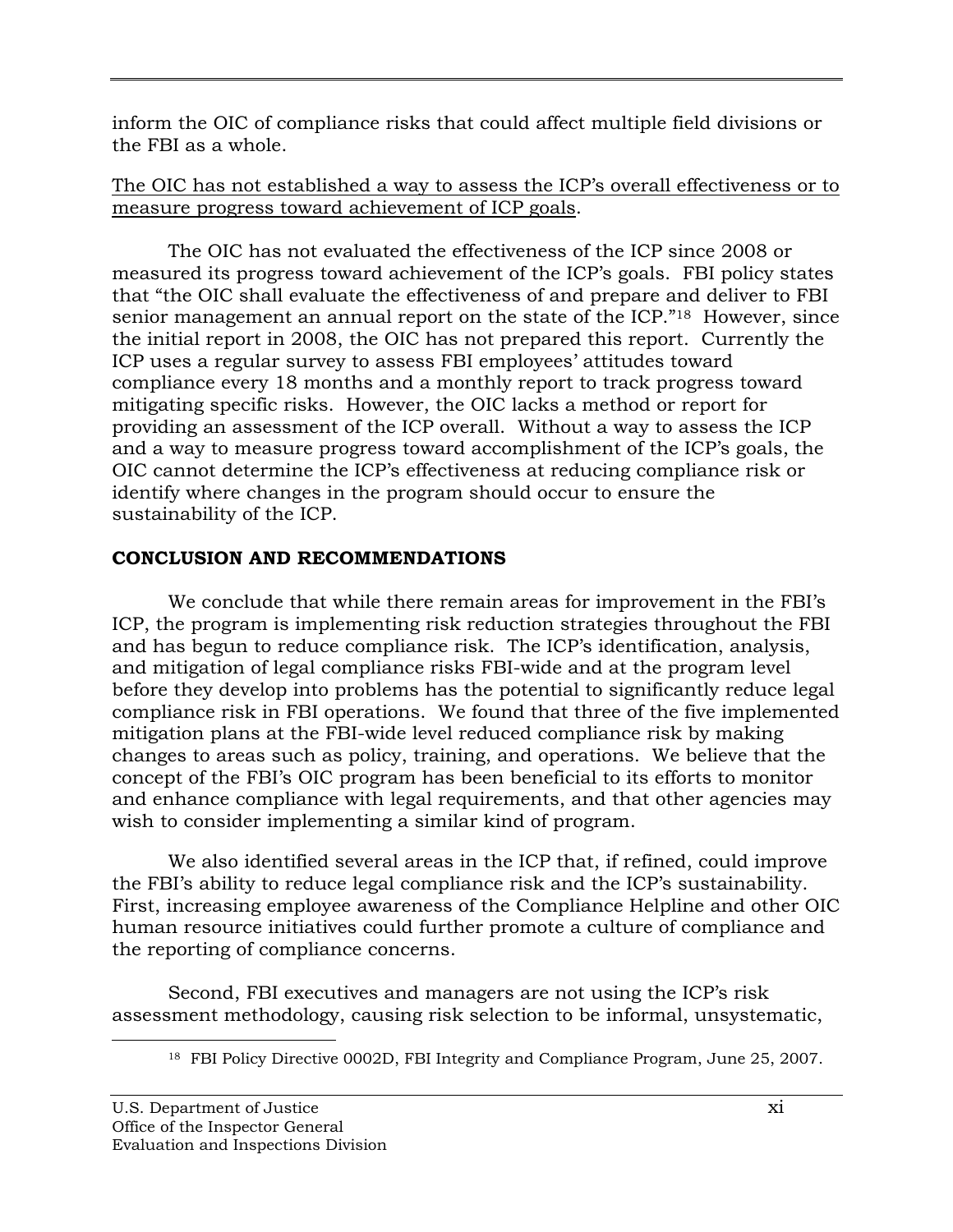inform the OIC of compliance risks that could affect multiple field divisions or the FBI as a whole.

# The OIC has not established a way to assess the ICP's overall effectiveness or to measure progress toward achievement of ICP goals.

The OIC has not evaluated the effectiveness of the ICP since 2008 or measured its progress toward achievement of the ICP's goals. FBI policy states that "the OIC shall evaluate the effectiveness of and prepare and deliver to FBI senior management an annual report on the state of the ICP."<sup>18</sup> However, since the initial report in 2008, the OIC has not prepared this report. Currently the ICP uses a regular survey to assess FBI employees' attitudes toward compliance every 18 months and a monthly report to track progress toward mitigating specific risks. However, the OIC lacks a method or report for providing an assessment of the ICP overall. Without a way to assess the ICP and a way to measure progress toward accomplishment of the ICP's goals, the OIC cannot determine the ICP's effectiveness at reducing compliance risk or identify where changes in the program should occur to ensure the sustainability of the ICP.

# **CONCLUSION AND RECOMMENDATIONS**

We conclude that while there remain areas for improvement in the FBI's ICP, the program is implementing risk reduction strategies throughout the FBI and has begun to reduce compliance risk. The ICP's identification, analysis, and mitigation of legal compliance risks FBI-wide and at the program level before they develop into problems has the potential to significantly reduce legal compliance risk in FBI operations. We found that three of the five implemented mitigation plans at the FBI-wide level reduced compliance risk by making changes to areas such as policy, training, and operations. We believe that the concept of the FBI's OIC program has been beneficial to its efforts to monitor and enhance compliance with legal requirements, and that other agencies may wish to consider implementing a similar kind of program.

We also identified several areas in the ICP that, if refined, could improve the FBI's ability to reduce legal compliance risk and the ICP's sustainability. First, increasing employee awareness of the Compliance Helpline and other OIC human resource initiatives could further promote a culture of compliance and the reporting of compliance concerns.

Second, FBI executives and managers are not using the ICP's risk assessment methodology, causing risk selection to be informal, unsystematic,

<sup>&</sup>lt;sup>18</sup> FBI Policy Directive 0002D, FBI Integrity and Compliance Program, June 25, 2007.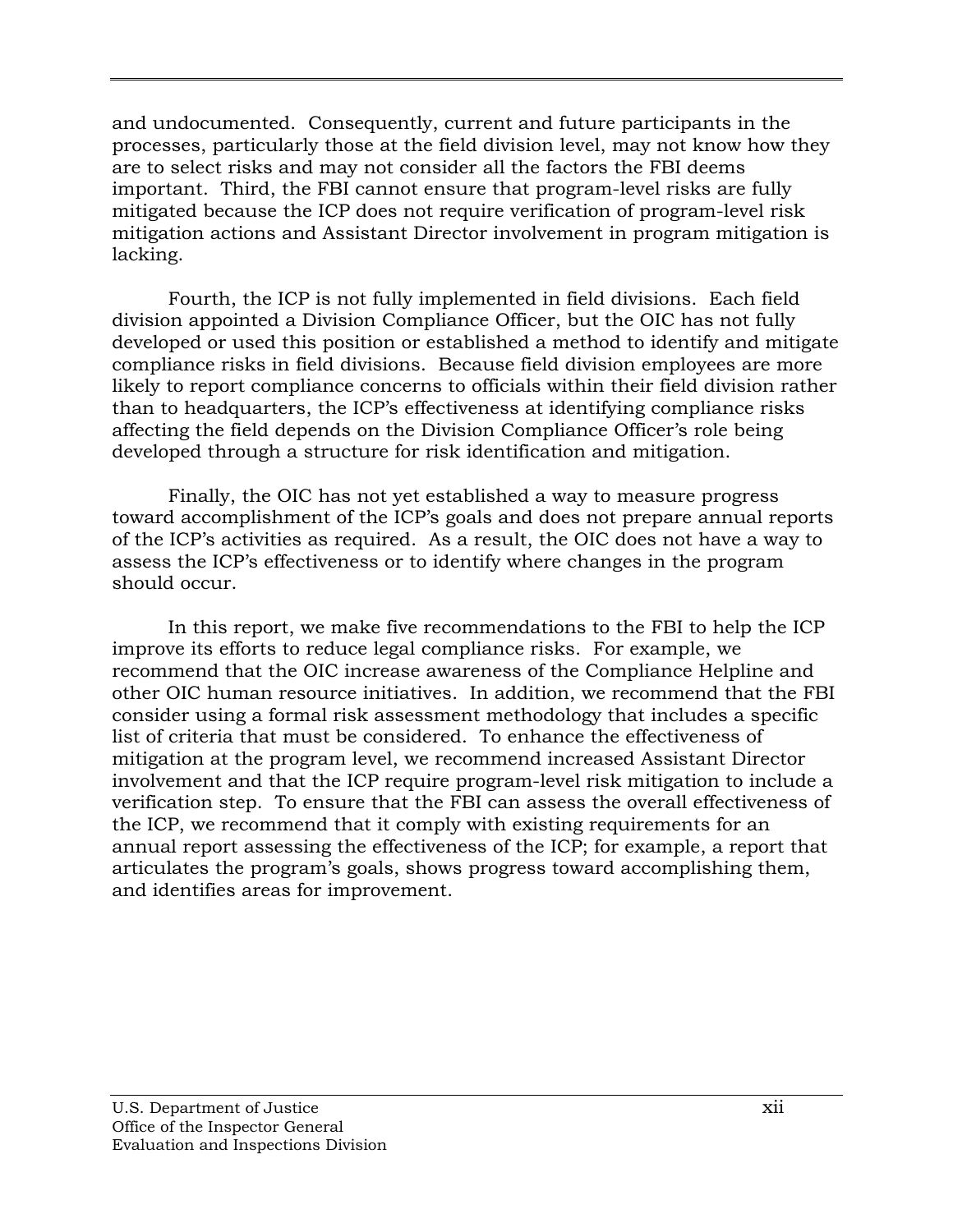and undocumented. Consequently, current and future participants in the processes, particularly those at the field division level, may not know how they are to select risks and may not consider all the factors the FBI deems important. Third, the FBI cannot ensure that program-level risks are fully mitigated because the ICP does not require verification of program-level risk mitigation actions and Assistant Director involvement in program mitigation is lacking.

Fourth, the ICP is not fully implemented in field divisions. Each field division appointed a Division Compliance Officer, but the OIC has not fully developed or used this position or established a method to identify and mitigate compliance risks in field divisions. Because field division employees are more likely to report compliance concerns to officials within their field division rather than to headquarters, the ICP's effectiveness at identifying compliance risks affecting the field depends on the Division Compliance Officer's role being developed through a structure for risk identification and mitigation.

Finally, the OIC has not yet established a way to measure progress toward accomplishment of the ICP's goals and does not prepare annual reports of the ICP's activities as required. As a result, the OIC does not have a way to assess the ICP's effectiveness or to identify where changes in the program should occur.

In this report, we make five recommendations to the FBI to help the ICP improve its efforts to reduce legal compliance risks. For example, we recommend that the OIC increase awareness of the Compliance Helpline and other OIC human resource initiatives. In addition, we recommend that the FBI consider using a formal risk assessment methodology that includes a specific list of criteria that must be considered. To enhance the effectiveness of mitigation at the program level, we recommend increased Assistant Director involvement and that the ICP require program-level risk mitigation to include a verification step. To ensure that the FBI can assess the overall effectiveness of the ICP, we recommend that it comply with existing requirements for an annual report assessing the effectiveness of the ICP; for example, a report that articulates the program's goals, shows progress toward accomplishing them, and identifies areas for improvement.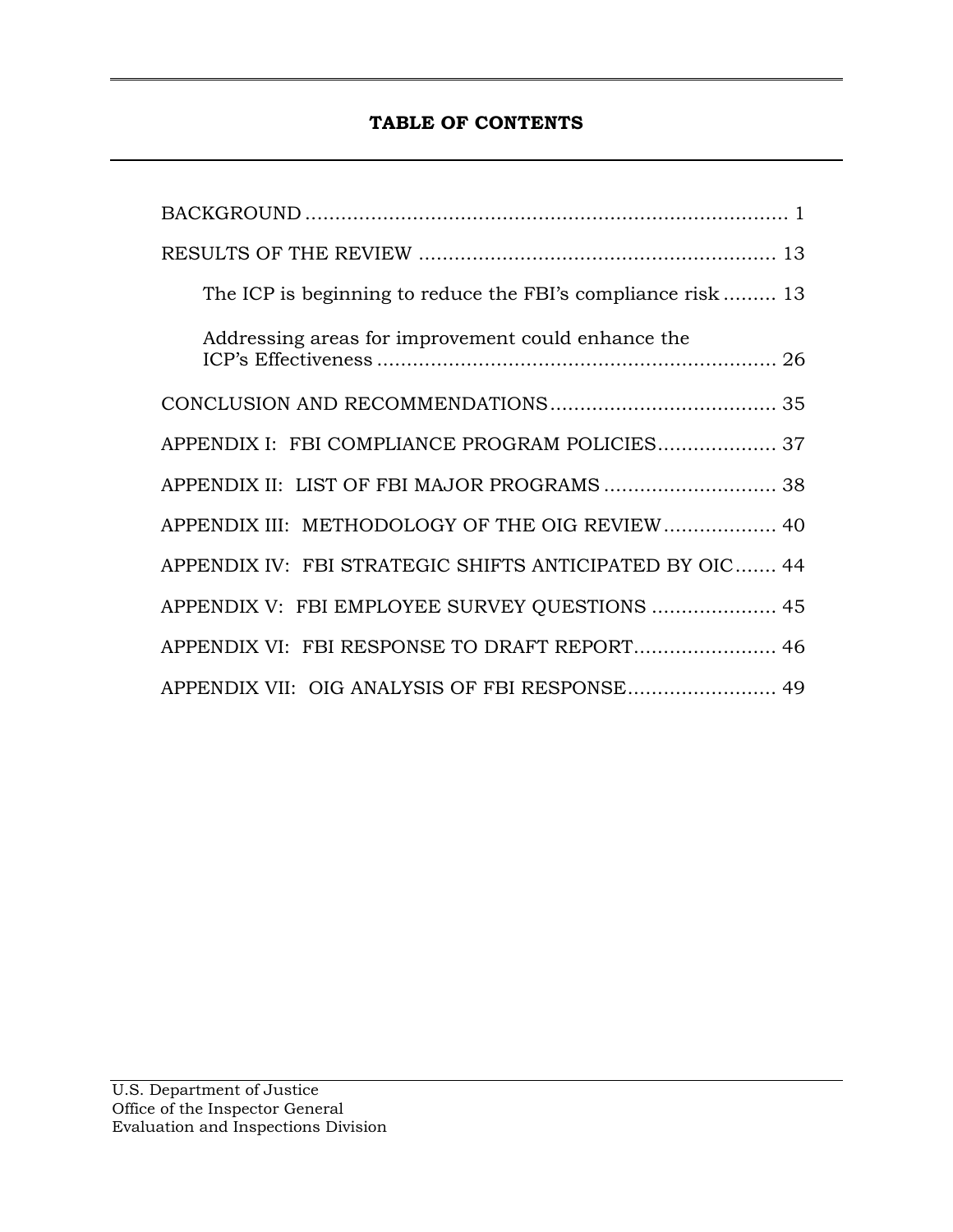# **TABLE OF CONTENTS**

| The ICP is beginning to reduce the FBI's compliance risk 13 |
|-------------------------------------------------------------|
| Addressing areas for improvement could enhance the          |
|                                                             |
| APPENDIX I: FBI COMPLIANCE PROGRAM POLICIES 37              |
| APPENDIX II: LIST OF FBI MAJOR PROGRAMS 38                  |
| APPENDIX III: METHODOLOGY OF THE OIG REVIEW 40              |
| APPENDIX IV: FBI STRATEGIC SHIFTS ANTICIPATED BY OIC 44     |
| APPENDIX V: FBI EMPLOYEE SURVEY QUESTIONS  45               |
| APPENDIX VI: FBI RESPONSE TO DRAFT REPORT 46                |
| APPENDIX VII: OIG ANALYSIS OF FBI RESPONSE 49               |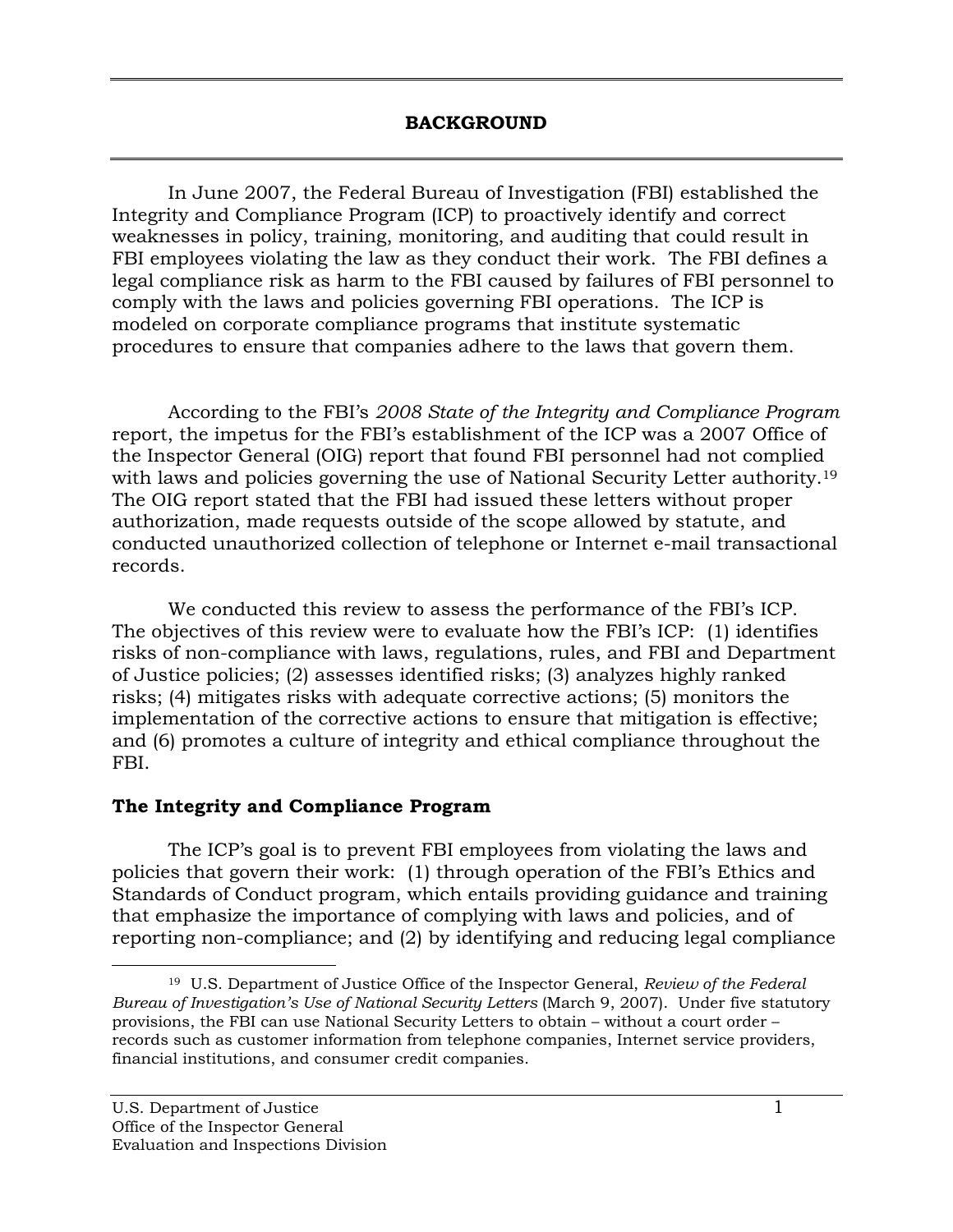<span id="page-15-0"></span>In June 2007, the Federal Bureau of Investigation (FBI) established the Integrity and Compliance Program (ICP) to proactively identify and correct weaknesses in policy, training, monitoring, and auditing that could result in FBI employees violating the law as they conduct their work. The FBI defines a legal compliance risk as harm to the FBI caused by failures of FBI personnel to comply with the laws and policies governing FBI operations. The ICP is modeled on corporate compliance programs that institute systematic procedures to ensure that companies adhere to the laws that govern them.

 According to the FBI's *2008 State of the Integrity and Compliance Program*  with laws and policies governing the use of National Security Letter authority.<sup>19</sup> report, the impetus for the FBI's establishment of the ICP was a 2007 Office of the Inspector General (OIG) report that found FBI personnel had not complied The OIG report stated that the FBI had issued these letters without proper authorization, made requests outside of the scope allowed by statute, and conducted unauthorized collection of telephone or Internet e-mail transactional records.

We conducted this review to assess the performance of the FBI's ICP. The objectives of this review were to evaluate how the FBI's ICP: (1) identifies risks of non-compliance with laws, regulations, rules, and FBI and Department of Justice policies; (2) assesses identified risks; (3) analyzes highly ranked risks; (4) mitigates risks with adequate corrective actions; (5) monitors the implementation of the corrective actions to ensure that mitigation is effective; and (6) promotes a culture of integrity and ethical compliance throughout the FBI.

### **The Integrity and Compliance Program**

The ICP's goal is to prevent FBI employees from violating the laws and policies that govern their work: (1) through operation of the FBI's Ethics and Standards of Conduct program, which entails providing guidance and training that emphasize the importance of complying with laws and policies, and of reporting non-compliance; and (2) by identifying and reducing legal compliance

 19 U.S. Department of Justice Office of the Inspector General, *Review of the Federal Bureau of Investigation's Use of National Security Letters* (March 9, 2007). Under five statutory provisions, the FBI can use National Security Letters to obtain – without a court order – records such as customer information from telephone companies, Internet service providers, financial institutions, and consumer credit companies.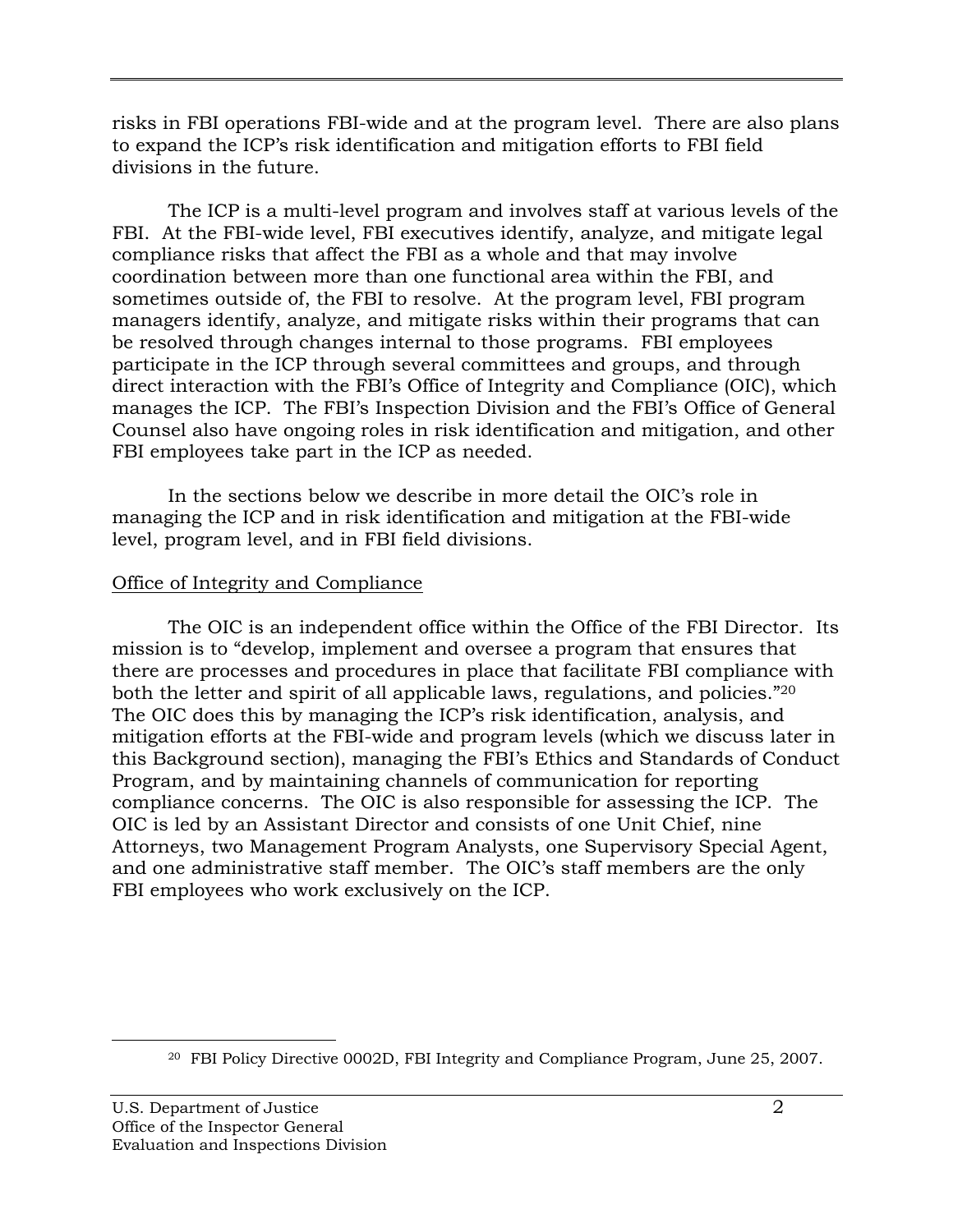risks in FBI operations FBI-wide and at the program level. There are also plans to expand the ICP's risk identification and mitigation efforts to FBI field divisions in the future.

The ICP is a multi-level program and involves staff at various levels of the FBI. At the FBI-wide level, FBI executives identify, analyze, and mitigate legal compliance risks that affect the FBI as a whole and that may involve coordination between more than one functional area within the FBI, and sometimes outside of, the FBI to resolve. At the program level, FBI program managers identify, analyze, and mitigate risks within their programs that can be resolved through changes internal to those programs. FBI employees participate in the ICP through several committees and groups, and through direct interaction with the FBI's Office of Integrity and Compliance (OIC), which manages the ICP. The FBI's Inspection Division and the FBI's Office of General Counsel also have ongoing roles in risk identification and mitigation, and other FBI employees take part in the ICP as needed.

In the sections below we describe in more detail the OIC's role in managing the ICP and in risk identification and mitigation at the FBI-wide level, program level, and in FBI field divisions.

# Office of Integrity and Compliance

both the letter and spirit of all applicable laws, regulations, and policies."<sup>20</sup> The OIC is an independent office within the Office of the FBI Director. Its mission is to "develop, implement and oversee a program that ensures that there are processes and procedures in place that facilitate FBI compliance with The OIC does this by managing the ICP's risk identification, analysis, and mitigation efforts at the FBI-wide and program levels (which we discuss later in this Background section), managing the FBI's Ethics and Standards of Conduct Program, and by maintaining channels of communication for reporting compliance concerns. The OIC is also responsible for assessing the ICP. The OIC is led by an Assistant Director and consists of one Unit Chief, nine Attorneys, two Management Program Analysts, one Supervisory Special Agent, and one administrative staff member. The OIC's staff members are the only FBI employees who work exclusively on the ICP.

 $20$  FBI Policy Directive 0002D, FBI Integrity and Compliance Program, June 25, 2007.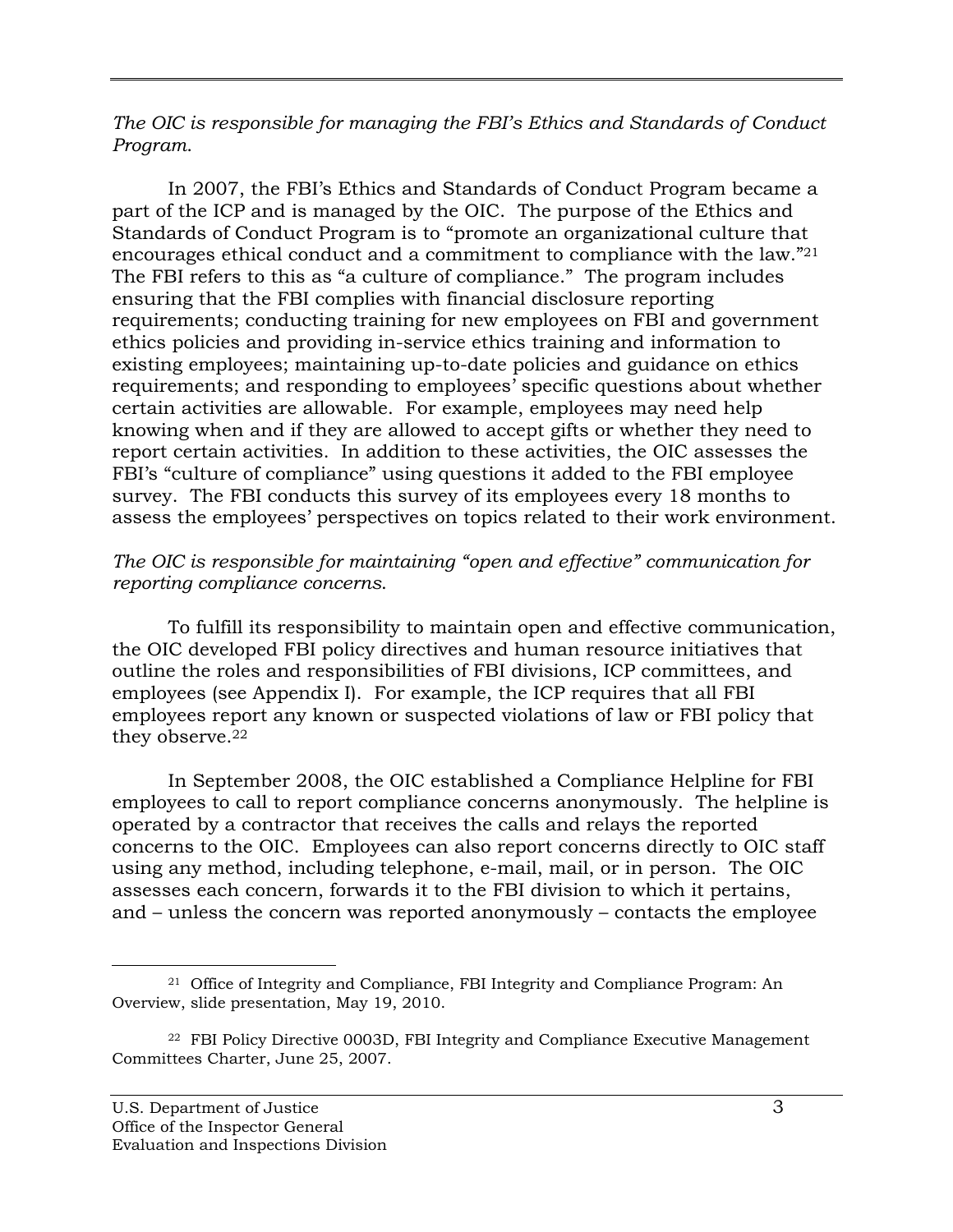*The OIC is responsible for managing the FBI's Ethics and Standards of Conduct Program*.

 encourages ethical conduct and a commitment to compliance with the law."21 In 2007, the FBI's Ethics and Standards of Conduct Program became a part of the ICP and is managed by the OIC. The purpose of the Ethics and Standards of Conduct Program is to "promote an organizational culture that The FBI refers to this as "a culture of compliance." The program includes ensuring that the FBI complies with financial disclosure reporting requirements; conducting training for new employees on FBI and government ethics policies and providing in-service ethics training and information to existing employees; maintaining up-to-date policies and guidance on ethics requirements; and responding to employees' specific questions about whether certain activities are allowable. For example, employees may need help knowing when and if they are allowed to accept gifts or whether they need to report certain activities. In addition to these activities, the OIC assesses the FBI's "culture of compliance" using questions it added to the FBI employee survey. The FBI conducts this survey of its employees every 18 months to assess the employees' perspectives on topics related to their work environment.

### *The OIC is responsible for maintaining "open and effective" communication for reporting compliance concerns*.

they observe.<sup>22</sup> To fulfill its responsibility to maintain open and effective communication, the OIC developed FBI policy directives and human resource initiatives that outline the roles and responsibilities of FBI divisions, ICP committees, and employees (see Appendix I). For example, the ICP requires that all FBI employees report any known or suspected violations of law or FBI policy that

In September 2008, the OIC established a Compliance Helpline for FBI employees to call to report compliance concerns anonymously. The helpline is operated by a contractor that receives the calls and relays the reported concerns to the OIC. Employees can also report concerns directly to OIC staff using any method, including telephone, e-mail, mail, or in person. The OIC assesses each concern, forwards it to the FBI division to which it pertains, and – unless the concern was reported anonymously – contacts the employee

 $\overline{a}$ 21 Office of Integrity and Compliance, FBI Integrity and Compliance Program: An Overview, slide presentation, May 19, 2010.

 Committees Charter, June 25, 2007. 22 FBI Policy Directive 0003D, FBI Integrity and Compliance Executive Management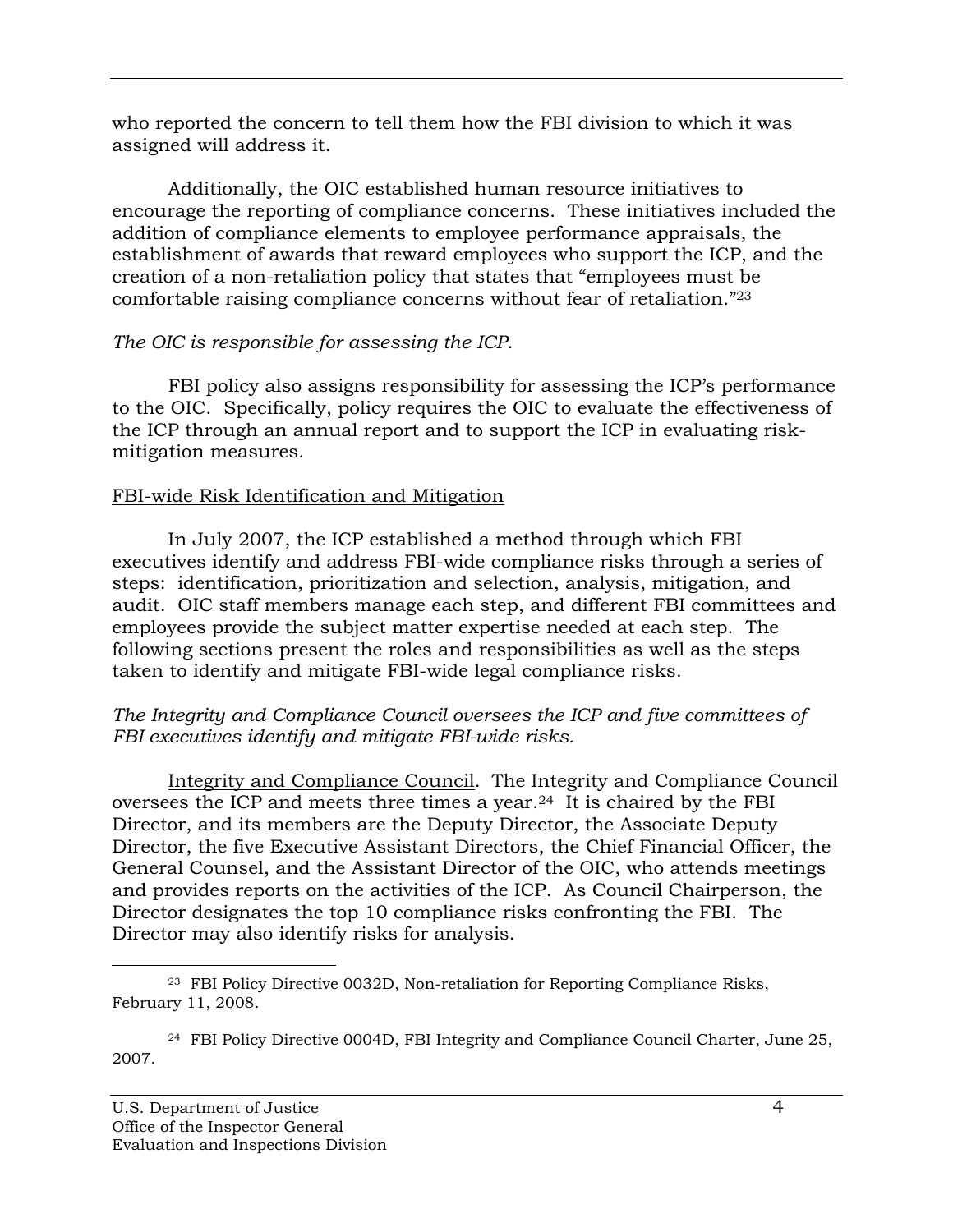who reported the concern to tell them how the FBI division to which it was assigned will address it.

 comfortable raising compliance concerns without fear of retaliation."23 Additionally, the OIC established human resource initiatives to encourage the reporting of compliance concerns. These initiatives included the addition of compliance elements to employee performance appraisals, the establishment of awards that reward employees who support the ICP, and the creation of a non-retaliation policy that states that "employees must be

# *The OIC is responsible for assessing the ICP*.

FBI policy also assigns responsibility for assessing the ICP's performance to the OIC. Specifically, policy requires the OIC to evaluate the effectiveness of the ICP through an annual report and to support the ICP in evaluating riskmitigation measures.

# FBI-wide Risk Identification and Mitigation

In July 2007, the ICP established a method through which FBI executives identify and address FBI-wide compliance risks through a series of steps: identification, prioritization and selection, analysis, mitigation, and audit. OIC staff members manage each step, and different FBI committees and employees provide the subject matter expertise needed at each step. The following sections present the roles and responsibilities as well as the steps taken to identify and mitigate FBI-wide legal compliance risks.

### *The Integrity and Compliance Council oversees the ICP and five committees of FBI executives identify and mitigate FBI-wide risks.*

Integrity and Compliance Council. The Integrity and Compliance Council oversees the ICP and meets three times a year.24 It is chaired by the FBI Director, and its members are the Deputy Director, the Associate Deputy Director, the five Executive Assistant Directors, the Chief Financial Officer, the General Counsel, and the Assistant Director of the OIC, who attends meetings and provides reports on the activities of the ICP. As Council Chairperson, the Director designates the top 10 compliance risks confronting the FBI. The Director may also identify risks for analysis.

<sup>-</sup>23 FBI Policy Directive 0032D, Non-retaliation for Reporting Compliance Risks, February 11, 2008.

 24 FBI Policy Directive 0004D, FBI Integrity and Compliance Council Charter, June 25, 2007.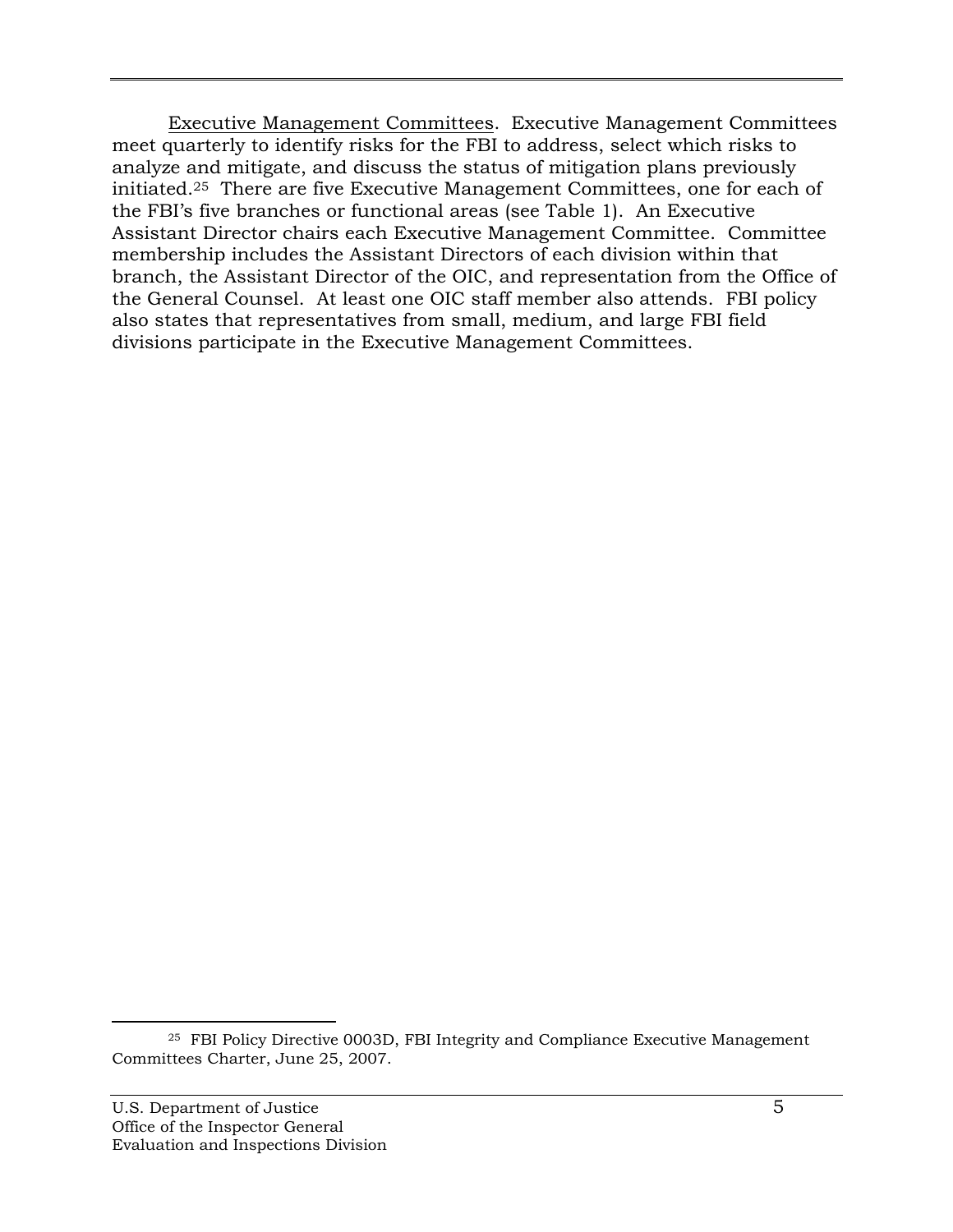**Executive Management Committees. Executive Management Committees** meet quarterly to identify risks for the FBI to address, select which risks to analyze and mitigate, and discuss the status of mitigation plans previously initiated.25 There are five Executive Management Committees, one for each of the FBI's five branches or functional areas (see Table 1). An Executive Assistant Director chairs each Executive Management Committee. Committee membership includes the Assistant Directors of each division within that branch, the Assistant Director of the OIC, and representation from the Office of the General Counsel. At least one OIC staff member also attends. FBI policy also states that representatives from small, medium, and large FBI field divisions participate in the Executive Management Committees.

-

 Committees Charter, June 25, 2007. 25 FBI Policy Directive 0003D, FBI Integrity and Compliance Executive Management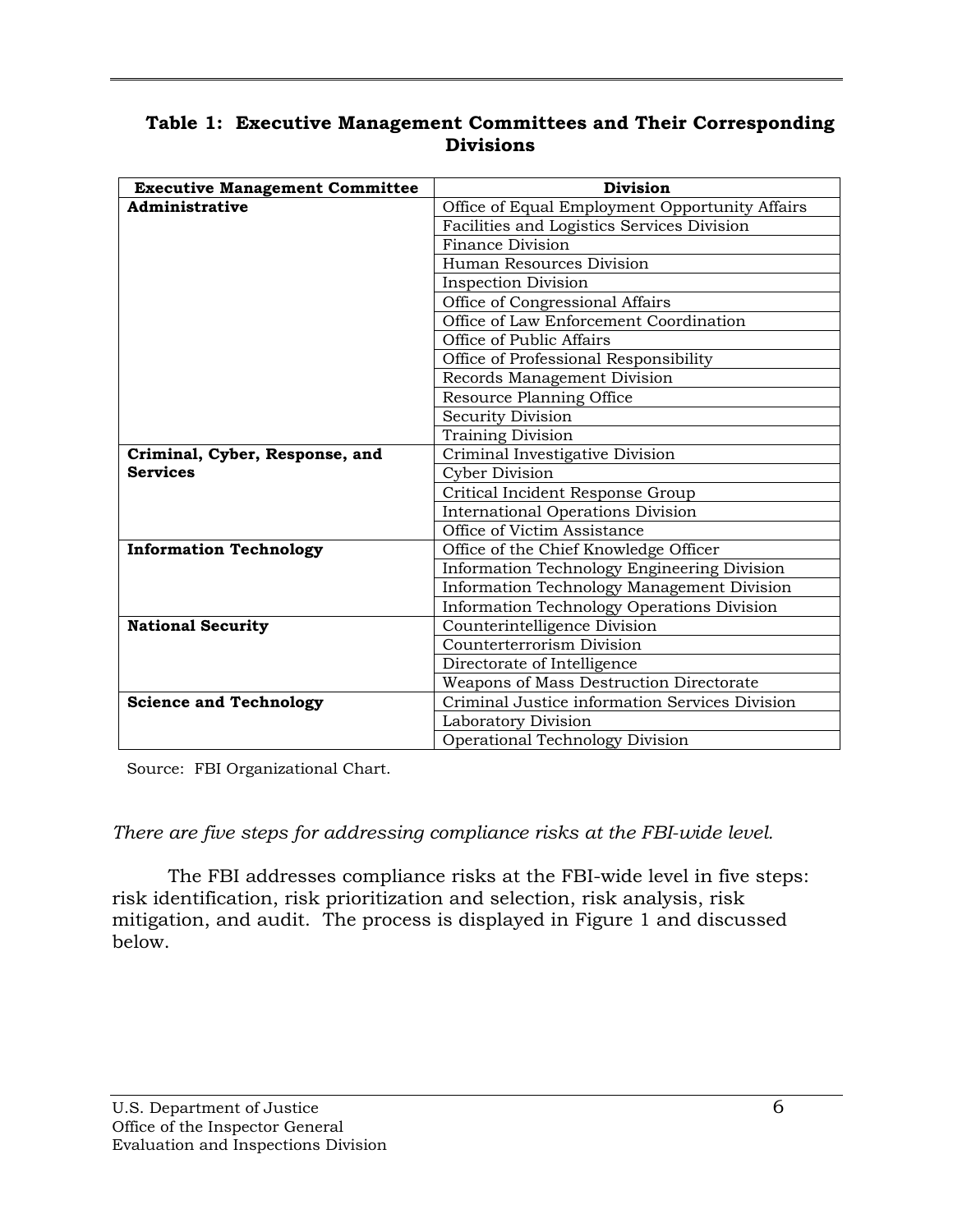### **Table 1: Executive Management Committees and Their Corresponding Divisions**

| <b>Executive Management Committee</b> | <b>Division</b>                                |  |  |
|---------------------------------------|------------------------------------------------|--|--|
| Administrative                        | Office of Equal Employment Opportunity Affairs |  |  |
|                                       | Facilities and Logistics Services Division     |  |  |
|                                       | Finance Division                               |  |  |
|                                       | Human Resources Division                       |  |  |
|                                       | <b>Inspection Division</b>                     |  |  |
|                                       | Office of Congressional Affairs                |  |  |
|                                       | Office of Law Enforcement Coordination         |  |  |
|                                       | Office of Public Affairs                       |  |  |
|                                       | Office of Professional Responsibility          |  |  |
|                                       | Records Management Division                    |  |  |
|                                       | Resource Planning Office                       |  |  |
|                                       | <b>Security Division</b>                       |  |  |
|                                       | <b>Training Division</b>                       |  |  |
| Criminal, Cyber, Response, and        | Criminal Investigative Division                |  |  |
| <b>Services</b>                       | Cyber Division                                 |  |  |
|                                       | Critical Incident Response Group               |  |  |
|                                       | <b>International Operations Division</b>       |  |  |
|                                       | Office of Victim Assistance                    |  |  |
| <b>Information Technology</b>         | Office of the Chief Knowledge Officer          |  |  |
|                                       | Information Technology Engineering Division    |  |  |
|                                       | Information Technology Management Division     |  |  |
|                                       | Information Technology Operations Division     |  |  |
| <b>National Security</b>              | Counterintelligence Division                   |  |  |
|                                       | Counterterrorism Division                      |  |  |
|                                       | Directorate of Intelligence                    |  |  |
|                                       | Weapons of Mass Destruction Directorate        |  |  |
| <b>Science and Technology</b>         | Criminal Justice information Services Division |  |  |
|                                       | Laboratory Division                            |  |  |
|                                       | Operational Technology Division                |  |  |

Source: FBI Organizational Chart.

*There are five steps for addressing compliance risks at the FBI-wide level.* 

The FBI addresses compliance risks at the FBI-wide level in five steps: risk identification, risk prioritization and selection, risk analysis, risk mitigation, and audit. The process is displayed in Figure 1 and discussed below.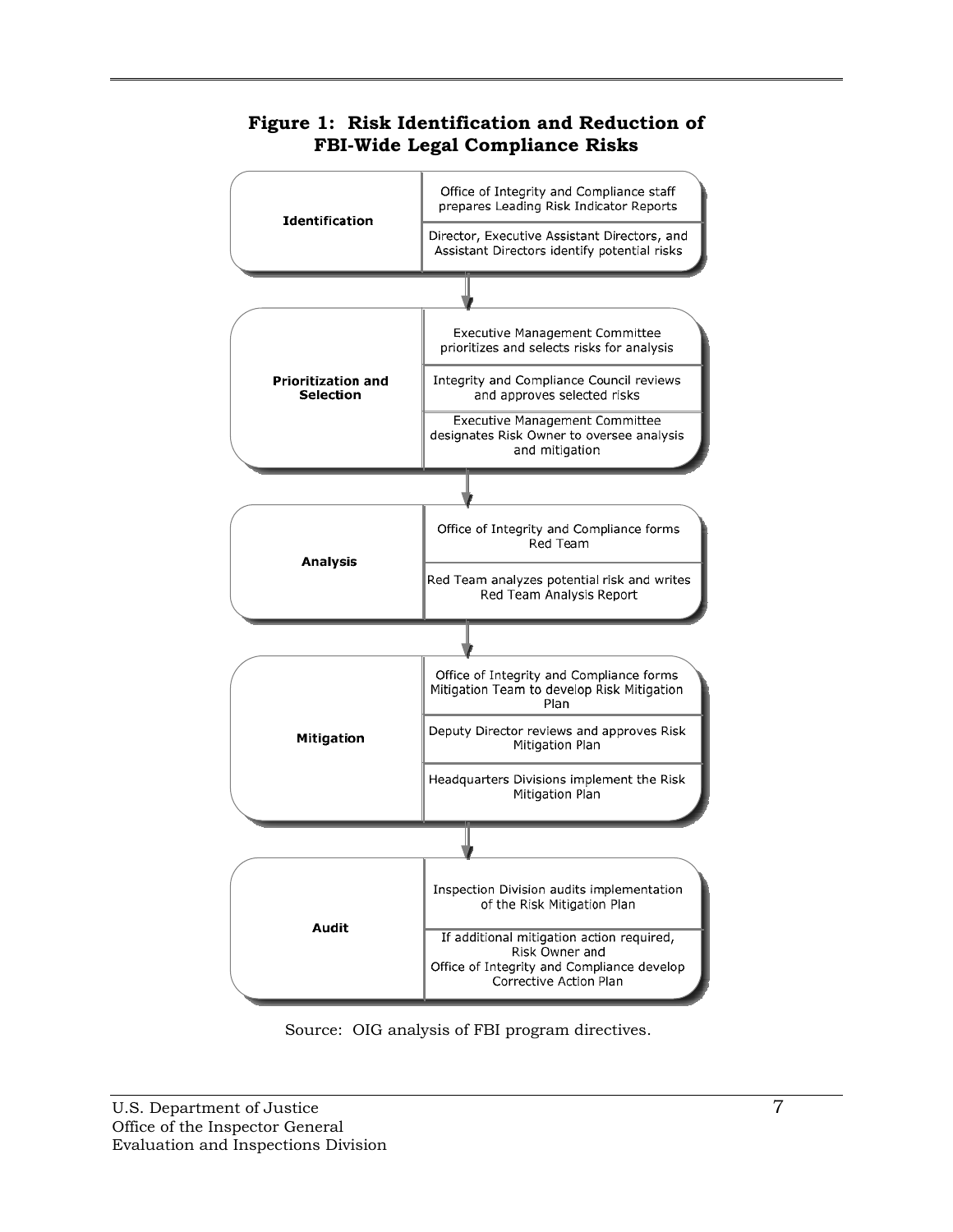

# **Figure 1: Risk Identification and Reduction of FBI-Wide Legal Compliance Risks**

Source: OIG analysis of FBI program directives.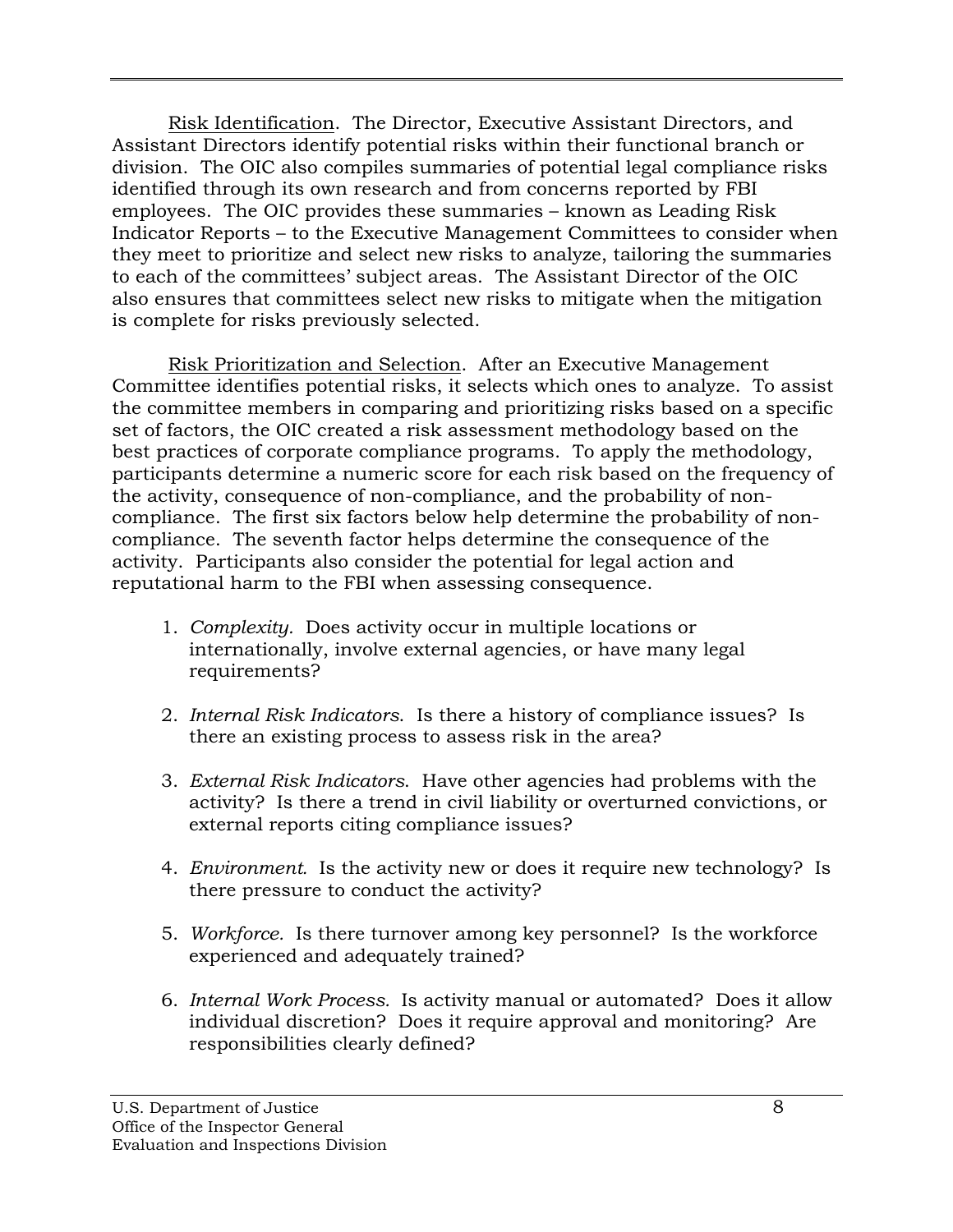Risk Identification. The Director, Executive Assistant Directors, and Assistant Directors identify potential risks within their functional branch or division. The OIC also compiles summaries of potential legal compliance risks identified through its own research and from concerns reported by FBI employees. The OIC provides these summaries – known as Leading Risk Indicator Reports – to the Executive Management Committees to consider when they meet to prioritize and select new risks to analyze, tailoring the summaries to each of the committees' subject areas. The Assistant Director of the OIC also ensures that committees select new risks to mitigate when the mitigation is complete for risks previously selected.

Risk Prioritization and Selection. After an Executive Management Committee identifies potential risks, it selects which ones to analyze. To assist the committee members in comparing and prioritizing risks based on a specific set of factors, the OIC created a risk assessment methodology based on the best practices of corporate compliance programs. To apply the methodology, participants determine a numeric score for each risk based on the frequency of the activity, consequence of non-compliance, and the probability of noncompliance. The first six factors below help determine the probability of noncompliance. The seventh factor helps determine the consequence of the activity. Participants also consider the potential for legal action and reputational harm to the FBI when assessing consequence.

- 1. Complexity. Does activity occur in multiple locations or internationally, involve external agencies, or have many legal requirements?
- 2. *Internal Risk Indicators*. Is there a history of compliance issues? Is there an existing process to assess risk in the area?
- 3. *External Risk Indicators*. Have other agencies had problems with the activity? Is there a trend in civil liability or overturned convictions, or external reports citing compliance issues?
- 4. *Environment*. Is the activity new or does it require new technology? Is there pressure to conduct the activity?
- 5. Workforce. Is there turnover among key personnel? Is the workforce experienced and adequately trained?
- 6. *Internal Work Process.* Is activity manual or automated? Does it allow individual discretion? Does it require approval and monitoring? Are responsibilities clearly defined?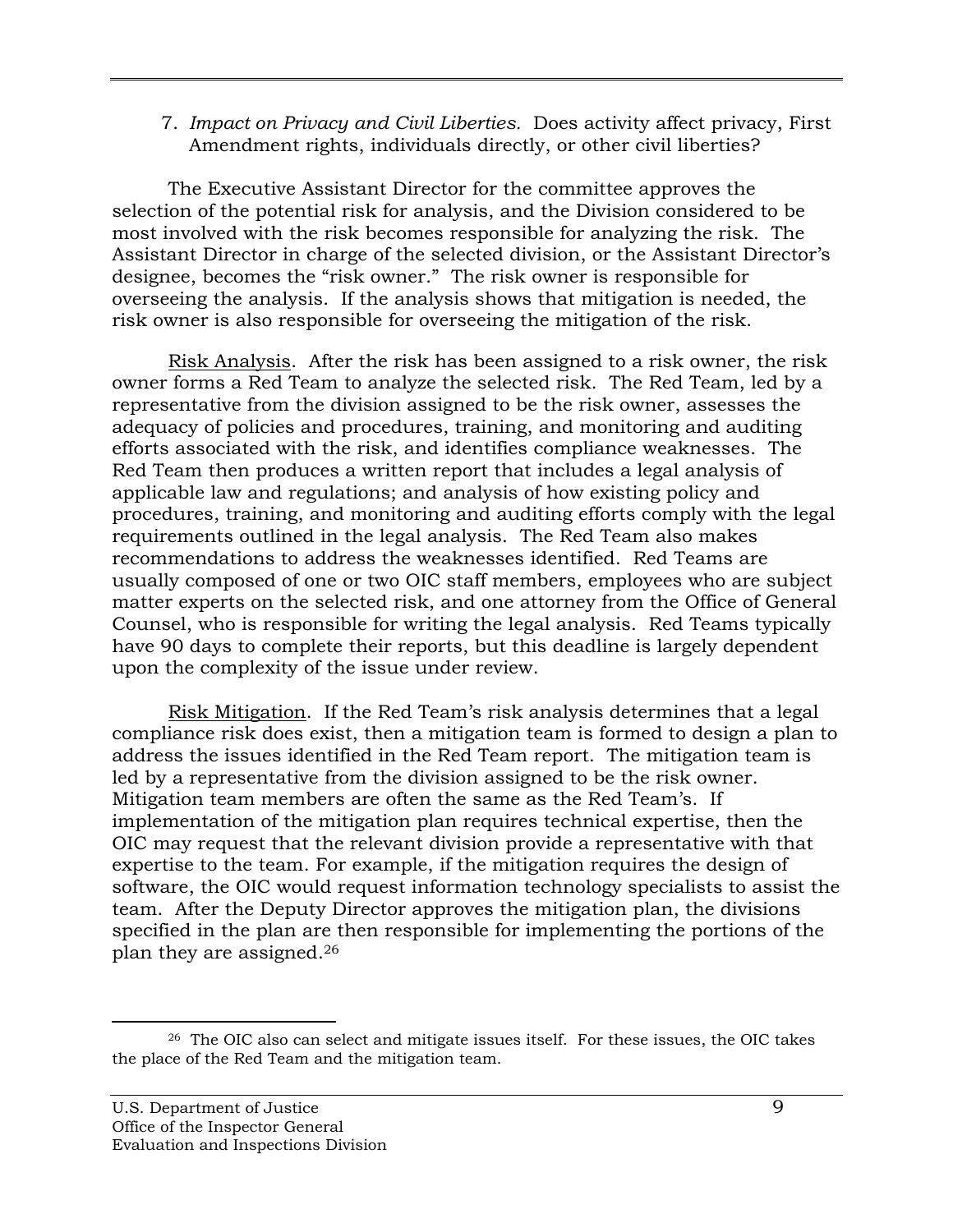7. *Impact on Privacy and Civil Liberties.* Does activity affect privacy, First Amendment rights, individuals directly, or other civil liberties?

The Executive Assistant Director for the committee approves the selection of the potential risk for analysis, and the Division considered to be most involved with the risk becomes responsible for analyzing the risk. The Assistant Director in charge of the selected division, or the Assistant Director's designee, becomes the "risk owner." The risk owner is responsible for overseeing the analysis. If the analysis shows that mitigation is needed, the risk owner is also responsible for overseeing the mitigation of the risk.

Risk Analysis. After the risk has been assigned to a risk owner, the risk owner forms a Red Team to analyze the selected risk. The Red Team, led by a representative from the division assigned to be the risk owner, assesses the adequacy of policies and procedures, training, and monitoring and auditing efforts associated with the risk, and identifies compliance weaknesses. The Red Team then produces a written report that includes a legal analysis of applicable law and regulations; and analysis of how existing policy and procedures, training, and monitoring and auditing efforts comply with the legal requirements outlined in the legal analysis. The Red Team also makes recommendations to address the weaknesses identified. Red Teams are usually composed of one or two OIC staff members, employees who are subject matter experts on the selected risk, and one attorney from the Office of General Counsel, who is responsible for writing the legal analysis. Red Teams typically have 90 days to complete their reports, but this deadline is largely dependent upon the complexity of the issue under review.

 plan they are assigned.26 Risk Mitigation. If the Red Team's risk analysis determines that a legal compliance risk does exist, then a mitigation team is formed to design a plan to address the issues identified in the Red Team report. The mitigation team is led by a representative from the division assigned to be the risk owner. Mitigation team members are often the same as the Red Team's. If implementation of the mitigation plan requires technical expertise, then the OIC may request that the relevant division provide a representative with that expertise to the team. For example, if the mitigation requires the design of software, the OIC would request information technology specialists to assist the team. After the Deputy Director approves the mitigation plan, the divisions specified in the plan are then responsible for implementing the portions of the

-

 $26$  The OIC also can select and mitigate issues itself. For these issues, the OIC takes the place of the Red Team and the mitigation team.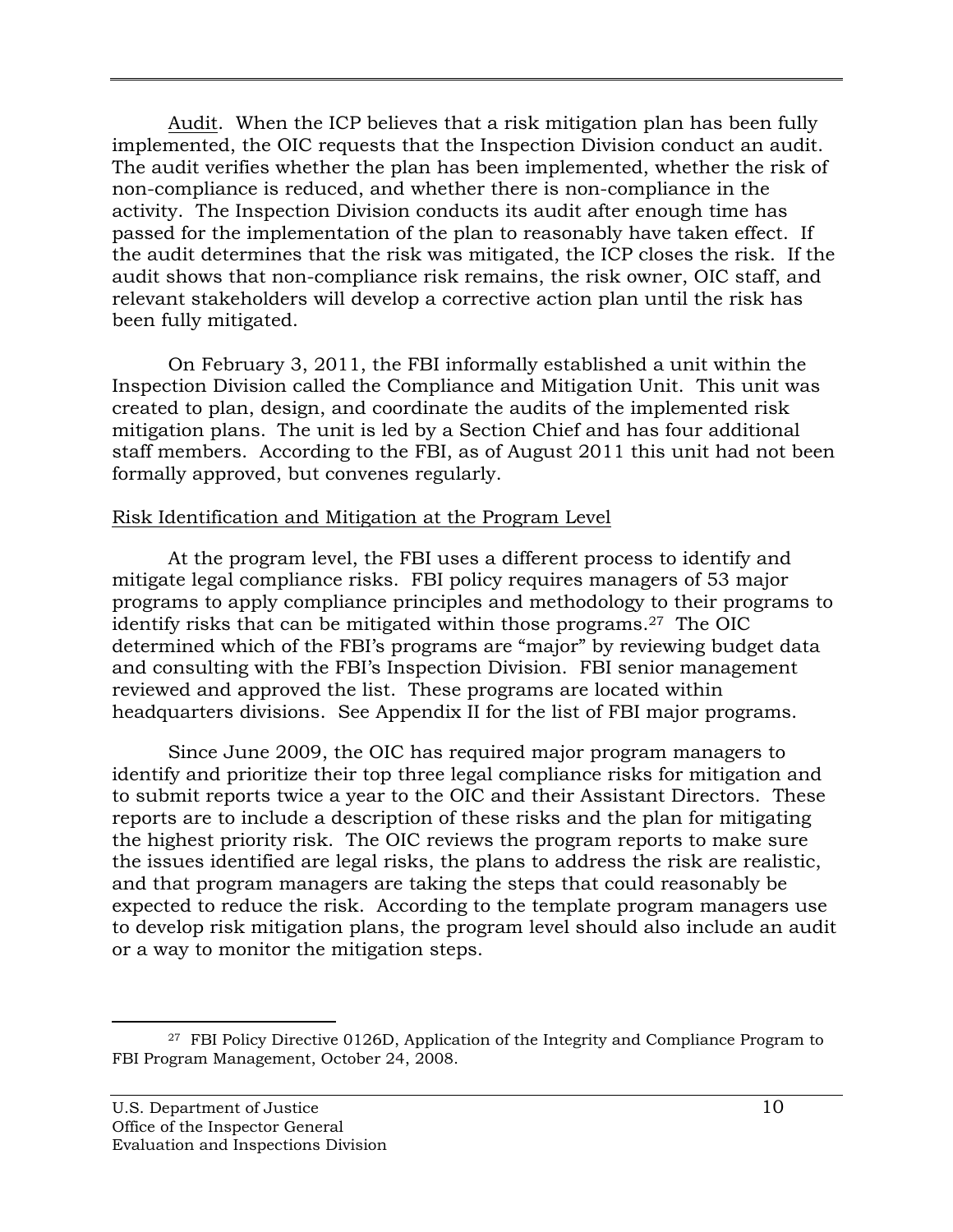Audit. When the ICP believes that a risk mitigation plan has been fully implemented, the OIC requests that the Inspection Division conduct an audit. The audit verifies whether the plan has been implemented, whether the risk of non-compliance is reduced, and whether there is non-compliance in the activity. The Inspection Division conducts its audit after enough time has passed for the implementation of the plan to reasonably have taken effect. If the audit determines that the risk was mitigated, the ICP closes the risk. If the audit shows that non-compliance risk remains, the risk owner, OIC staff, and relevant stakeholders will develop a corrective action plan until the risk has been fully mitigated.

On February 3, 2011, the FBI informally established a unit within the Inspection Division called the Compliance and Mitigation Unit. This unit was created to plan, design, and coordinate the audits of the implemented risk mitigation plans. The unit is led by a Section Chief and has four additional staff members. According to the FBI, as of August 2011 this unit had not been formally approved, but convenes regularly.

#### Risk Identification and Mitigation at the Program Level

At the program level, the FBI uses a different process to identify and mitigate legal compliance risks. FBI policy requires managers of 53 major programs to apply compliance principles and methodology to their programs to identify risks that can be mitigated within those programs.27 The OIC determined which of the FBI's programs are "major" by reviewing budget data and consulting with the FBI's Inspection Division. FBI senior management reviewed and approved the list. These programs are located within headquarters divisions. See Appendix II for the list of FBI major programs.

Since June 2009, the OIC has required major program managers to identify and prioritize their top three legal compliance risks for mitigation and to submit reports twice a year to the OIC and their Assistant Directors. These reports are to include a description of these risks and the plan for mitigating the highest priority risk. The OIC reviews the program reports to make sure the issues identified are legal risks, the plans to address the risk are realistic, and that program managers are taking the steps that could reasonably be expected to reduce the risk. According to the template program managers use to develop risk mitigation plans, the program level should also include an audit or a way to monitor the mitigation steps.

<sup>&</sup>lt;sup>27</sup> FBI Policy Directive 0126D, Application of the Integrity and Compliance Program to FBI Program Management, October 24, 2008.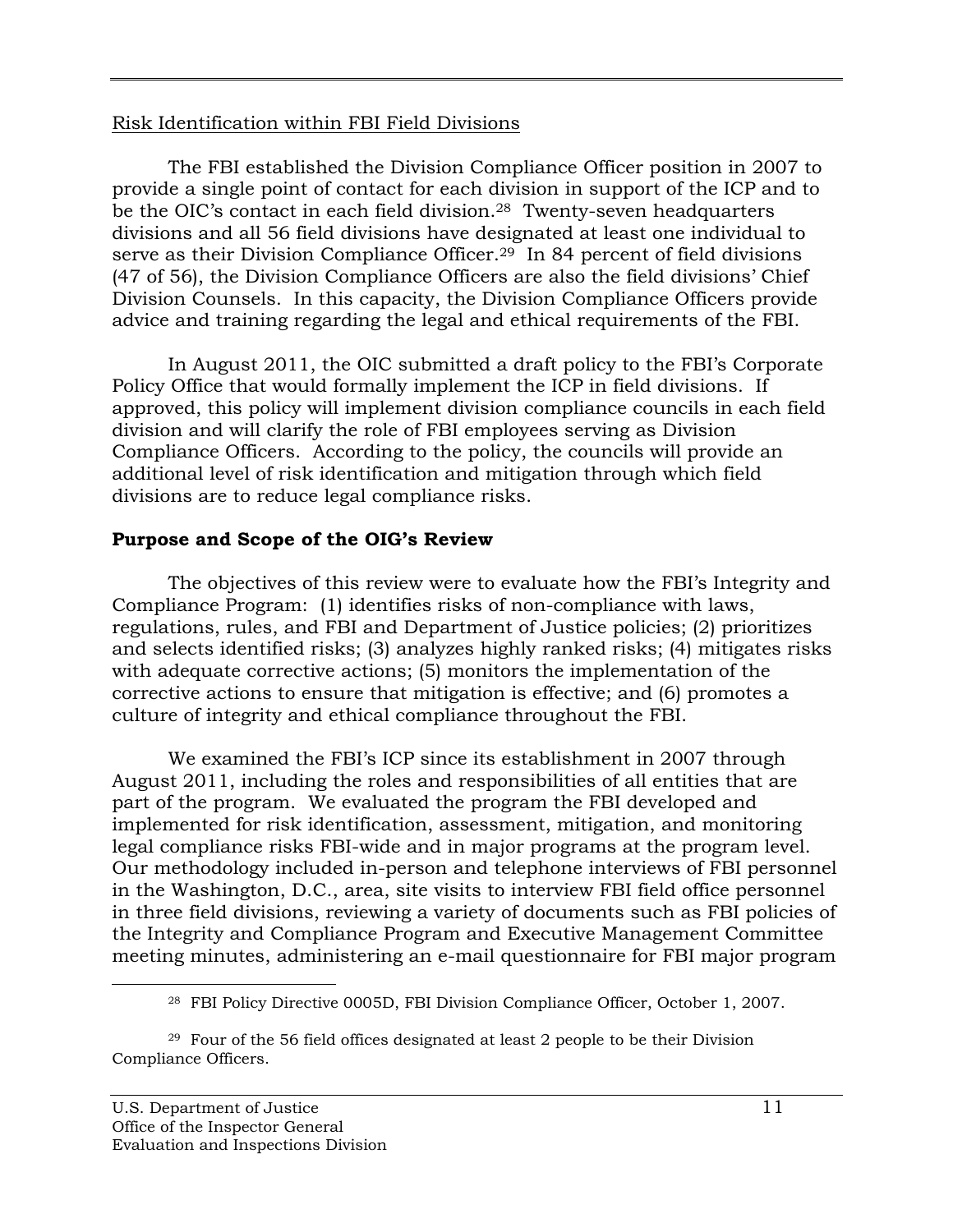#### Risk Identification within FBI Field Divisions

The FBI established the Division Compliance Officer position in 2007 to provide a single point of contact for each division in support of the ICP and to be the OIC's contact in each field division.<sup>28</sup> Twenty-seven headquarters divisions and all 56 field divisions have designated at least one individual to serve as their Division Compliance Officer.<sup>29</sup> In 84 percent of field divisions (47 of 56), the Division Compliance Officers are also the field divisions' Chief Division Counsels. In this capacity, the Division Compliance Officers provide advice and training regarding the legal and ethical requirements of the FBI.

In August 2011, the OIC submitted a draft policy to the FBI's Corporate Policy Office that would formally implement the ICP in field divisions. If approved, this policy will implement division compliance councils in each field division and will clarify the role of FBI employees serving as Division Compliance Officers. According to the policy, the councils will provide an additional level of risk identification and mitigation through which field divisions are to reduce legal compliance risks.

# **Purpose and Scope of the OIG's Review**

The objectives of this review were to evaluate how the FBI's Integrity and Compliance Program: (1) identifies risks of non-compliance with laws, regulations, rules, and FBI and Department of Justice policies; (2) prioritizes and selects identified risks; (3) analyzes highly ranked risks; (4) mitigates risks with adequate corrective actions; (5) monitors the implementation of the corrective actions to ensure that mitigation is effective; and (6) promotes a culture of integrity and ethical compliance throughout the FBI.

We examined the FBI's ICP since its establishment in 2007 through August 2011, including the roles and responsibilities of all entities that are part of the program. We evaluated the program the FBI developed and implemented for risk identification, assessment, mitigation, and monitoring legal compliance risks FBI-wide and in major programs at the program level. Our methodology included in-person and telephone interviews of FBI personnel in the Washington, D.C., area, site visits to interview FBI field office personnel in three field divisions, reviewing a variety of documents such as FBI policies of the Integrity and Compliance Program and Executive Management Committee meeting minutes, administering an e-mail questionnaire for FBI major program

<sup>28</sup> FBI Policy Directive 0005D, FBI Division Compliance Officer, October 1, 2007.

<sup>29</sup> Four of the 56 field offices designated at least 2 people to be their Division Compliance Officers.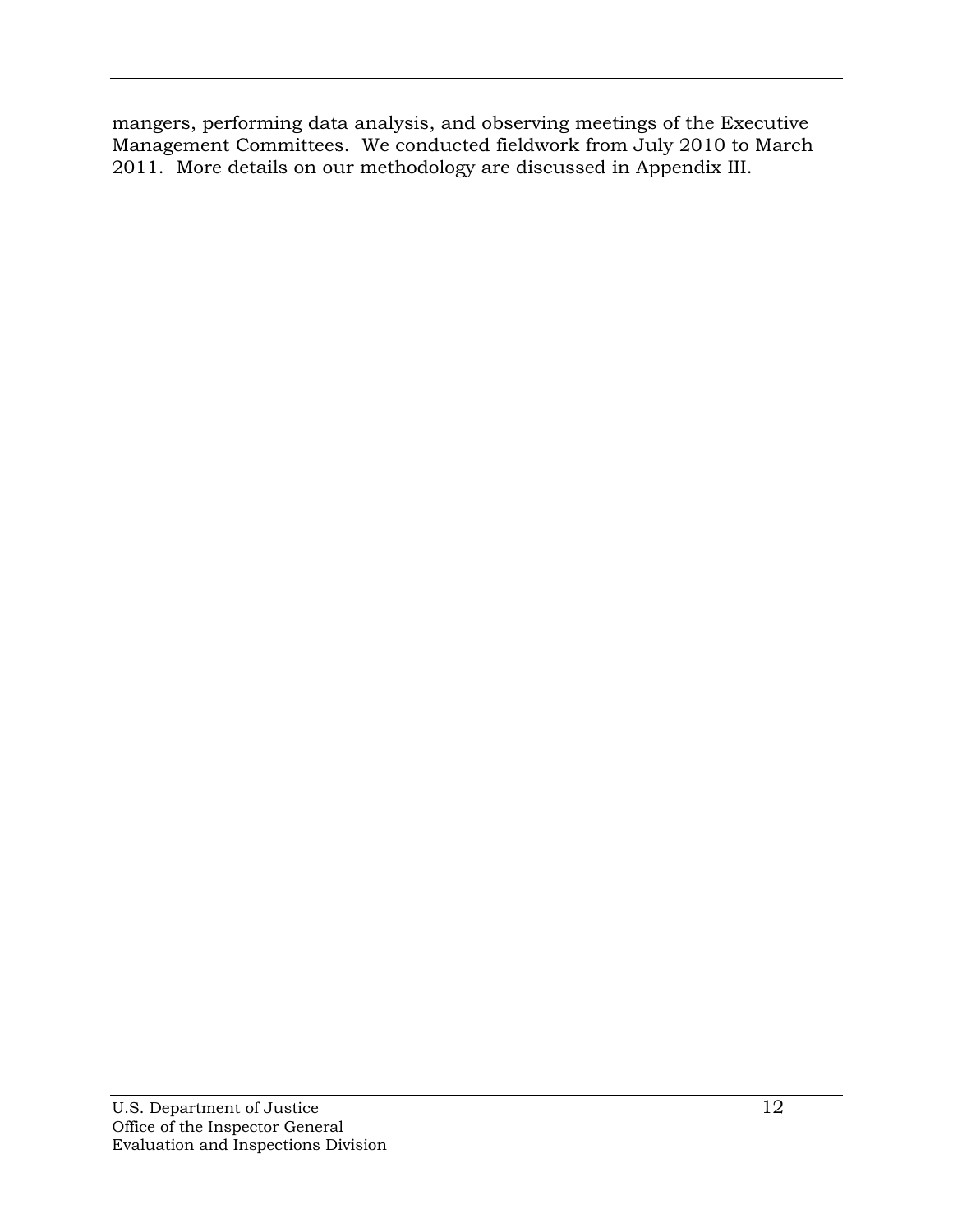mangers, performing data analysis, and observing meetings of the Executive Management Committees. We conducted fieldwork from July 2010 to March 2011. More details on our methodology are discussed in Appendix III.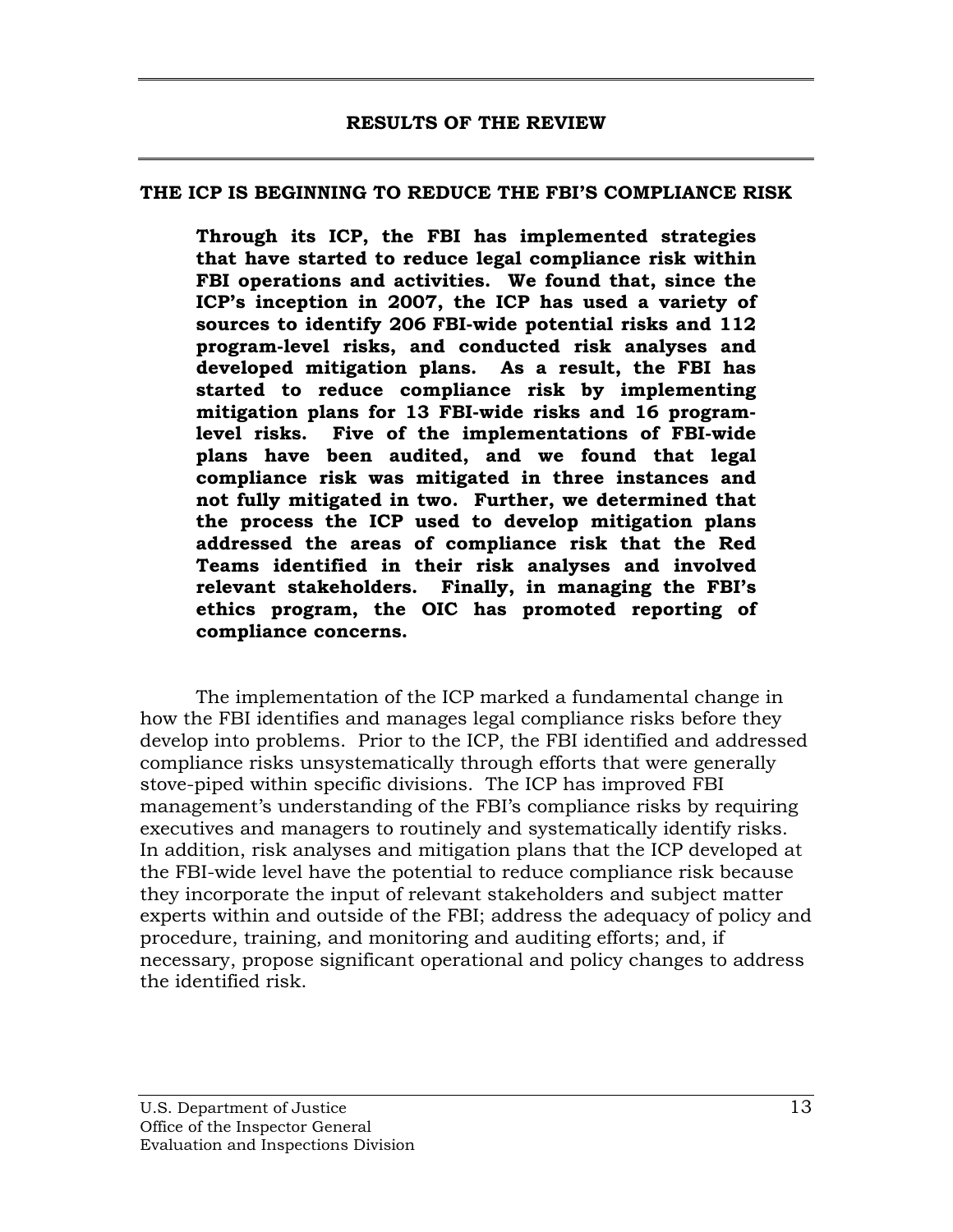#### <span id="page-27-0"></span>**THE ICP IS BEGINNING TO REDUCE THE FBI'S COMPLIANCE RISK**

**Through its ICP, the FBI has implemented strategies that have started to reduce legal compliance risk within FBI operations and activities. We found that, since the ICP's inception in 2007, the ICP has used a variety of sources to identify 206 FBI-wide potential risks and 112 program-level risks, and conducted risk analyses and developed mitigation plans. As a result, the FBI has started to reduce compliance risk by implementing mitigation plans for 13 FBI-wide risks and 16 programlevel risks. Five of the implementations of FBI-wide plans have been audited, and we found that legal compliance risk was mitigated in three instances and not fully mitigated in two. Further, we determined that the process the ICP used to develop mitigation plans addressed the areas of compliance risk that the Red Teams identified in their risk analyses and involved relevant stakeholders. Finally, in managing the FBI's ethics program, the OIC has promoted reporting of compliance concerns.** 

The implementation of the ICP marked a fundamental change in how the FBI identifies and manages legal compliance risks before they develop into problems. Prior to the ICP, the FBI identified and addressed compliance risks unsystematically through efforts that were generally stove-piped within specific divisions. The ICP has improved FBI management's understanding of the FBI's compliance risks by requiring executives and managers to routinely and systematically identify risks. In addition, risk analyses and mitigation plans that the ICP developed at the FBI-wide level have the potential to reduce compliance risk because they incorporate the input of relevant stakeholders and subject matter experts within and outside of the FBI; address the adequacy of policy and procedure, training, and monitoring and auditing efforts; and, if necessary, propose significant operational and policy changes to address the identified risk.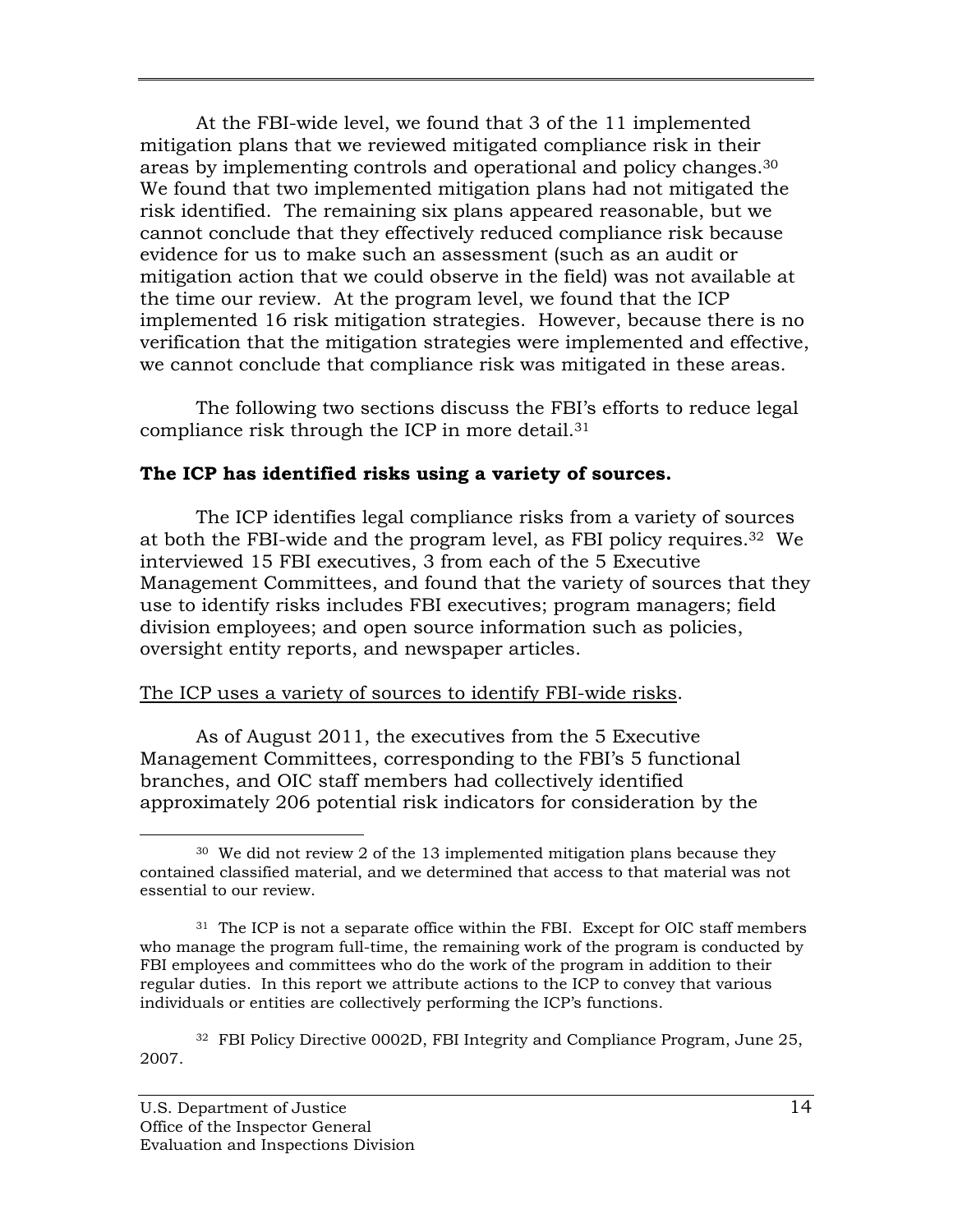areas by implementing controls and operational and policy changes.<sup>30</sup> At the FBI-wide level, we found that 3 of the 11 implemented mitigation plans that we reviewed mitigated compliance risk in their We found that two implemented mitigation plans had not mitigated the risk identified. The remaining six plans appeared reasonable, but we cannot conclude that they effectively reduced compliance risk because evidence for us to make such an assessment (such as an audit or mitigation action that we could observe in the field) was not available at the time our review. At the program level, we found that the ICP implemented 16 risk mitigation strategies. However, because there is no verification that the mitigation strategies were implemented and effective, we cannot conclude that compliance risk was mitigated in these areas.

The following two sections discuss the FBI's efforts to reduce legal compliance risk through the ICP in more detail.31

### **The ICP has identified risks using a variety of sources.**

The ICP identifies legal compliance risks from a variety of sources at both the FBI-wide and the program level, as FBI policy requires.32 We interviewed 15 FBI executives, 3 from each of the 5 Executive Management Committees, and found that the variety of sources that they use to identify risks includes FBI executives; program managers; field division employees; and open source information such as policies, oversight entity reports, and newspaper articles.

# The ICP uses a variety of sources to identify FBI-wide risks.

As of August 2011, the executives from the 5 Executive Management Committees, corresponding to the FBI's 5 functional branches, and OIC staff members had collectively identified approximately 206 potential risk indicators for consideration by the

 $\overline{a}$ 30 We did not review 2 of the 13 implemented mitigation plans because they contained classified material, and we determined that access to that material was not essential to our review.

 $31$  The ICP is not a separate office within the FBI. Except for OIC staff members who manage the program full-time, the remaining work of the program is conducted by FBI employees and committees who do the work of the program in addition to their regular duties. In this report we attribute actions to the ICP to convey that various individuals or entities are collectively performing the ICP's functions.

<sup>&</sup>lt;sup>32</sup> FBI Policy Directive 0002D, FBI Integrity and Compliance Program, June 25, 2007.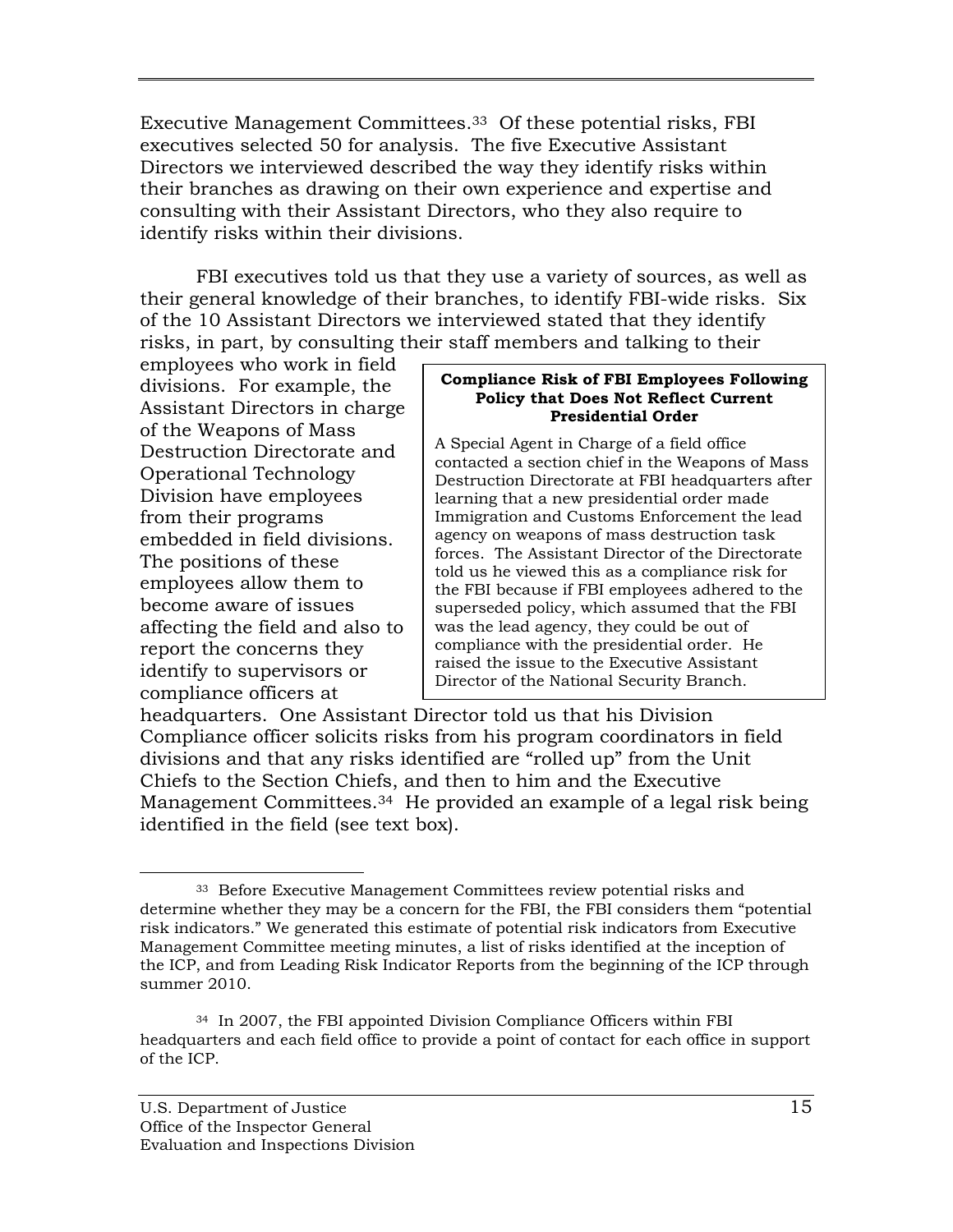Executive Management Committees.33 Of these potential risks, FBI executives selected 50 for analysis. The five Executive Assistant Directors we interviewed described the way they identify risks within their branches as drawing on their own experience and expertise and consulting with their Assistant Directors, who they also require to identify risks within their divisions.

FBI executives told us that they use a variety of sources, as well as their general knowledge of their branches, to identify FBI-wide risks. Six of the 10 Assistant Directors we interviewed stated that they identify risks, in part, by consulting their staff members and talking to their

employees who work in field<br>
divisions. For example, the<br>
Assistant Directors in charge<br>
of the Weapons of Mass<br> **Policy that Does Not Reflect Current<br>
Presidential Order** 

Destruction Directorate and<br>
Operational Technology<br>
Division have employees<br>
Division have employees<br>
Destruction Directorate at FBI headquarters after<br>
Learning that a new presidential order made learning that a new presidential order made from their programs Immigration and Customs Enforcement the lead embedded in field divisions. <br>The resistant Director of the Directorate The positions of these told us he viewed this as a compliance risk for the FBI because if FBI employees adhered to the become aware of issues superseded policy, which assumed that the FBI affecting the field and also to was the lead agency, they could be out of comparison they concerns they compliance with the presidential order. He report the concerns they raised the issue to the Presidential order. He raised the issue to the Executive Assistant Director of the National Security Branch.

headquarters. One Assistant Director told us that his Division Compliance officer solicits risks from his program coordinators in field divisions and that any risks identified are "rolled up" from the Unit Chiefs to the Section Chiefs, and then to him and the Executive Management Committees.34 He provided an example of a legal risk being identified in the field (see text box).

 $\overline{a}$ 33 Before Executive Management Committees review potential risks and determine whether they may be a concern for the FBI, the FBI considers them "potential risk indicators." We generated this estimate of potential risk indicators from Executive Management Committee meeting minutes, a list of risks identified at the inception of the ICP, and from Leading Risk Indicator Reports from the beginning of the ICP through summer 2010.

<sup>34</sup> In 2007, the FBI appointed Division Compliance Officers within FBI headquarters and each field office to provide a point of contact for each office in support of the ICP.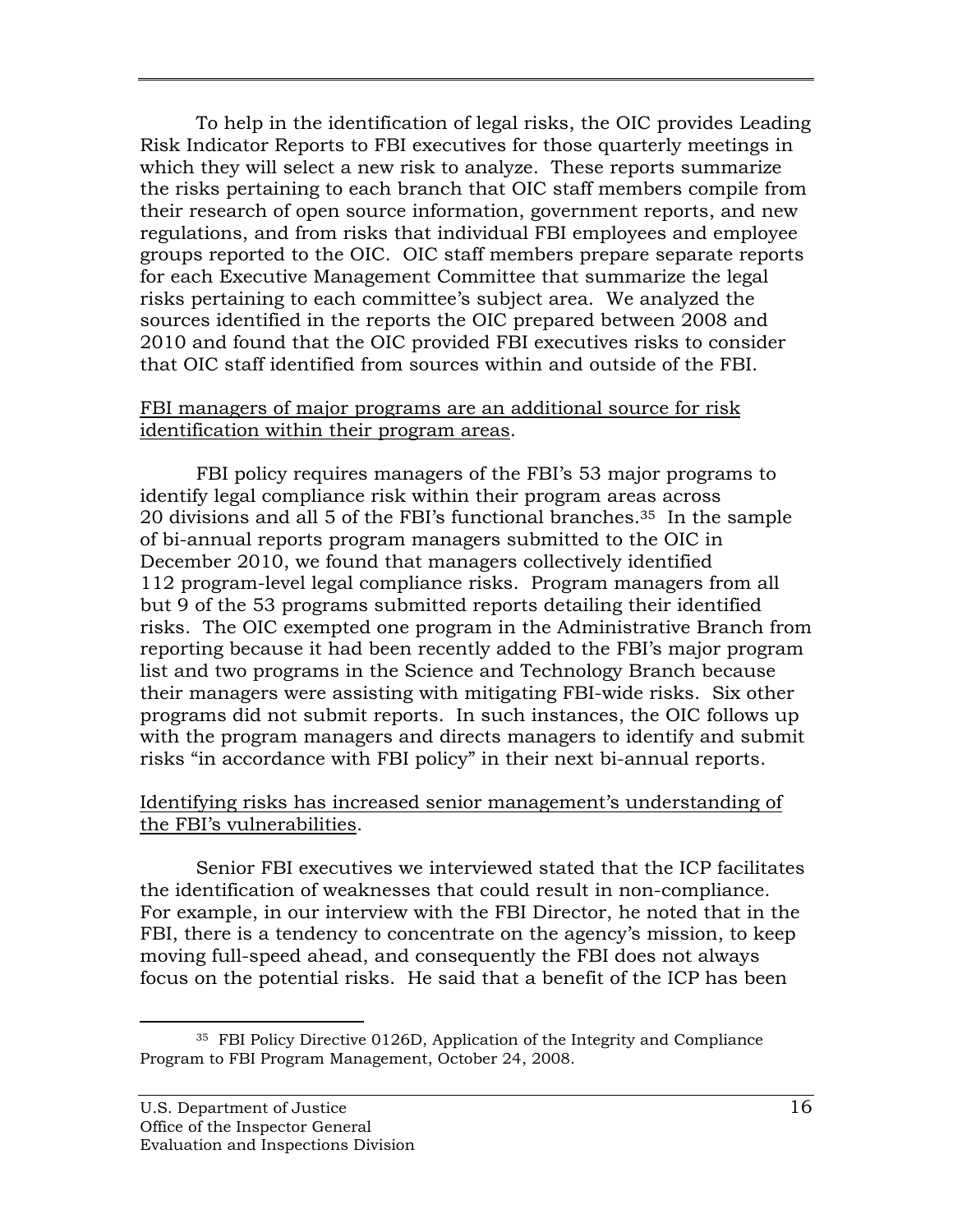To help in the identification of legal risks, the OIC provides Leading Risk Indicator Reports to FBI executives for those quarterly meetings in which they will select a new risk to analyze. These reports summarize the risks pertaining to each branch that OIC staff members compile from their research of open source information, government reports, and new regulations, and from risks that individual FBI employees and employee groups reported to the OIC. OIC staff members prepare separate reports for each Executive Management Committee that summarize the legal risks pertaining to each committee's subject area. We analyzed the sources identified in the reports the OIC prepared between 2008 and 2010 and found that the OIC provided FBI executives risks to consider that OIC staff identified from sources within and outside of the FBI.

#### FBI managers of major programs are an additional source for risk identification within their program areas.

FBI policy requires managers of the FBI's 53 major programs to identify legal compliance risk within their program areas across 20 divisions and all 5 of the FBI's functional branches.35 In the sample of bi-annual reports program managers submitted to the OIC in December 2010, we found that managers collectively identified 112 program-level legal compliance risks. Program managers from all but 9 of the 53 programs submitted reports detailing their identified risks. The OIC exempted one program in the Administrative Branch from reporting because it had been recently added to the FBI's major program list and two programs in the Science and Technology Branch because their managers were assisting with mitigating FBI-wide risks. Six other programs did not submit reports. In such instances, the OIC follows up with the program managers and directs managers to identify and submit risks "in accordance with FBI policy" in their next bi-annual reports.

#### Identifying risks has increased senior management's understanding of the FBI's vulnerabilities.

Senior FBI executives we interviewed stated that the ICP facilitates the identification of weaknesses that could result in non-compliance. For example, in our interview with the FBI Director, he noted that in the FBI, there is a tendency to concentrate on the agency's mission, to keep moving full-speed ahead, and consequently the FBI does not always focus on the potential risks. He said that a benefit of the ICP has been

<sup>35</sup> FBI Policy Directive 0126D, Application of the Integrity and Compliance Program to FBI Program Management, October 24, 2008.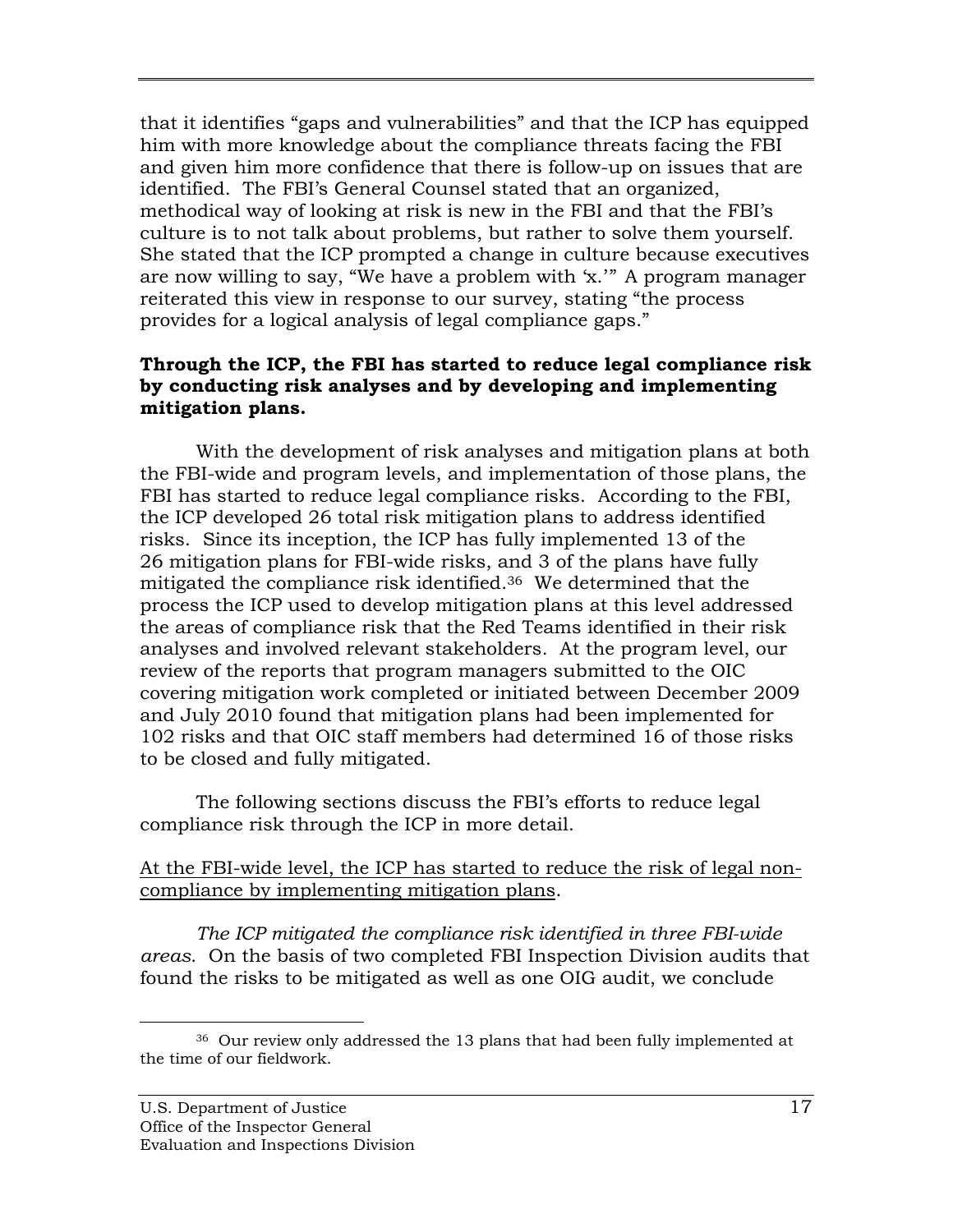that it identifies "gaps and vulnerabilities" and that the ICP has equipped him with more knowledge about the compliance threats facing the FBI and given him more confidence that there is follow-up on issues that are identified. The FBI's General Counsel stated that an organized, methodical way of looking at risk is new in the FBI and that the FBI's culture is to not talk about problems, but rather to solve them yourself. She stated that the ICP prompted a change in culture because executives are now willing to say, "We have a problem with 'x.'" A program manager reiterated this view in response to our survey, stating "the process provides for a logical analysis of legal compliance gaps."

#### **Through the ICP, the FBI has started to reduce legal compliance risk by conducting risk analyses and by developing and implementing mitigation plans.**

With the development of risk analyses and mitigation plans at both the FBI-wide and program levels, and implementation of those plans, the FBI has started to reduce legal compliance risks. According to the FBI, the ICP developed 26 total risk mitigation plans to address identified risks. Since its inception, the ICP has fully implemented 13 of the 26 mitigation plans for FBI-wide risks, and 3 of the plans have fully mitigated the compliance risk identified.36 We determined that the process the ICP used to develop mitigation plans at this level addressed the areas of compliance risk that the Red Teams identified in their risk analyses and involved relevant stakeholders. At the program level, our review of the reports that program managers submitted to the OIC covering mitigation work completed or initiated between December 2009 and July 2010 found that mitigation plans had been implemented for 102 risks and that OIC staff members had determined 16 of those risks to be closed and fully mitigated.

The following sections discuss the FBI's efforts to reduce legal compliance risk through the ICP in more detail.

At the FBI-wide level, the ICP has started to reduce the risk of legal noncompliance by implementing mitigation plans.

*The ICP mitigated the compliance risk identified in three FBI-wide areas*. On the basis of two completed FBI Inspection Division audits that found the risks to be mitigated as well as one OIG audit, we conclude

 $\overline{a}$ <sup>36</sup> Our review only addressed the 13 plans that had been fully implemented at the time of our fieldwork.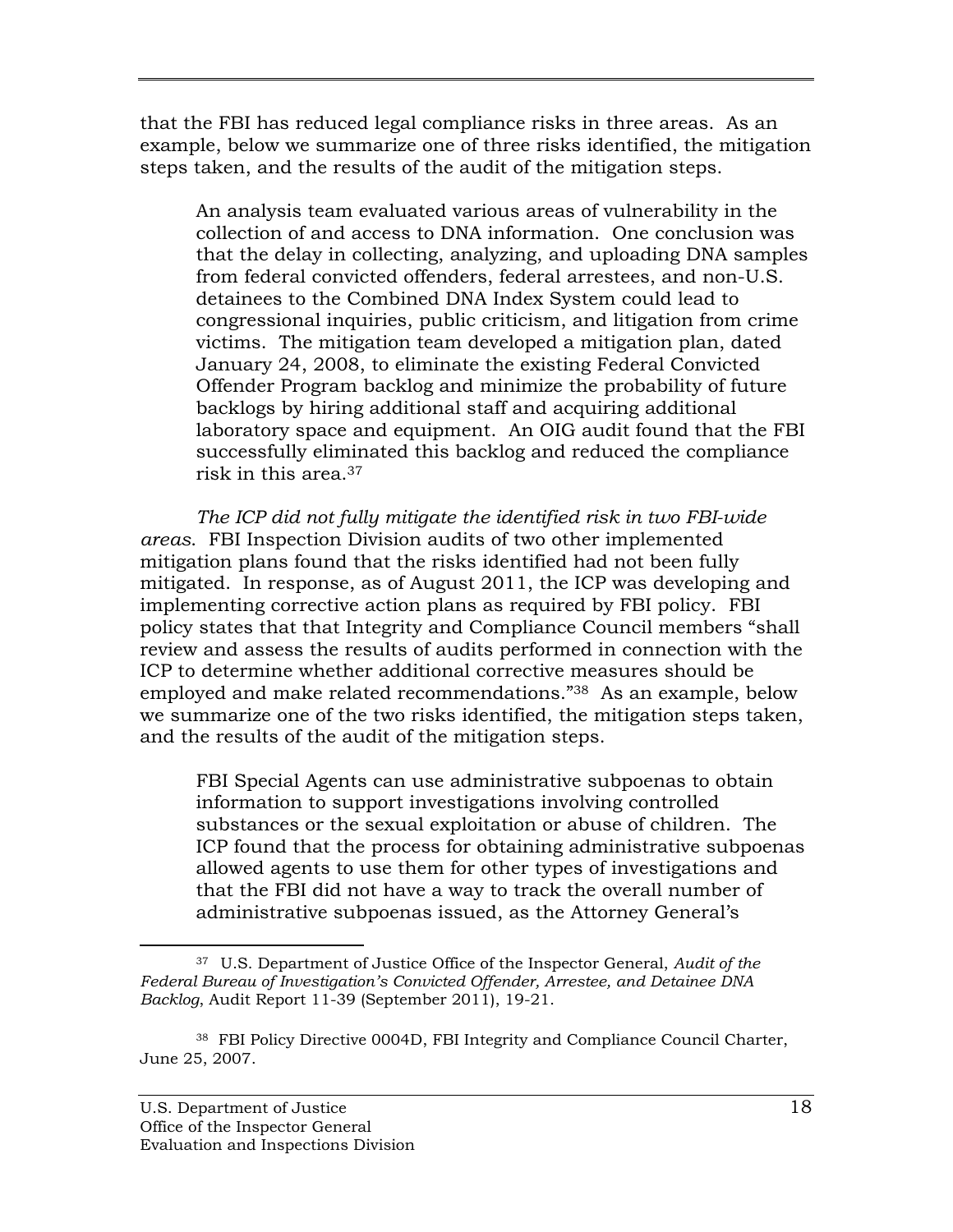that the FBI has reduced legal compliance risks in three areas. As an example, below we summarize one of three risks identified, the mitigation steps taken, and the results of the audit of the mitigation steps.

An analysis team evaluated various areas of vulnerability in the collection of and access to DNA information. One conclusion was that the delay in collecting, analyzing, and uploading DNA samples from federal convicted offenders, federal arrestees, and non-U.S. detainees to the Combined DNA Index System could lead to congressional inquiries, public criticism, and litigation from crime victims. The mitigation team developed a mitigation plan, dated January 24, 2008, to eliminate the existing Federal Convicted Offender Program backlog and minimize the probability of future backlogs by hiring additional staff and acquiring additional laboratory space and equipment. An OIG audit found that the FBI successfully eliminated this backlog and reduced the compliance risk in this area.37

*The ICP did not fully mitigate the identified risk in two FBI-wide areas*. FBI Inspection Division audits of two other implemented mitigation plans found that the risks identified had not been fully mitigated. In response, as of August 2011, the ICP was developing and implementing corrective action plans as required by FBI policy. FBI policy states that that Integrity and Compliance Council members "shall review and assess the results of audits performed in connection with the ICP to determine whether additional corrective measures should be employed and make related recommendations."38 As an example, below we summarize one of the two risks identified, the mitigation steps taken, and the results of the audit of the mitigation steps.

FBI Special Agents can use administrative subpoenas to obtain information to support investigations involving controlled substances or the sexual exploitation or abuse of children. The ICP found that the process for obtaining administrative subpoenas allowed agents to use them for other types of investigations and that the FBI did not have a way to track the overall number of administrative subpoenas issued, as the Attorney General's

 $\overline{a}$  37 U.S. Department of Justice Office of the Inspector General, *Audit of the Federal Bureau of Investigation's Convicted Offender, Arrestee, and Detainee DNA Backlog*, Audit Report 11-39 (September 2011), 19-21.

<sup>38</sup> FBI Policy Directive 0004D, FBI Integrity and Compliance Council Charter, June 25, 2007.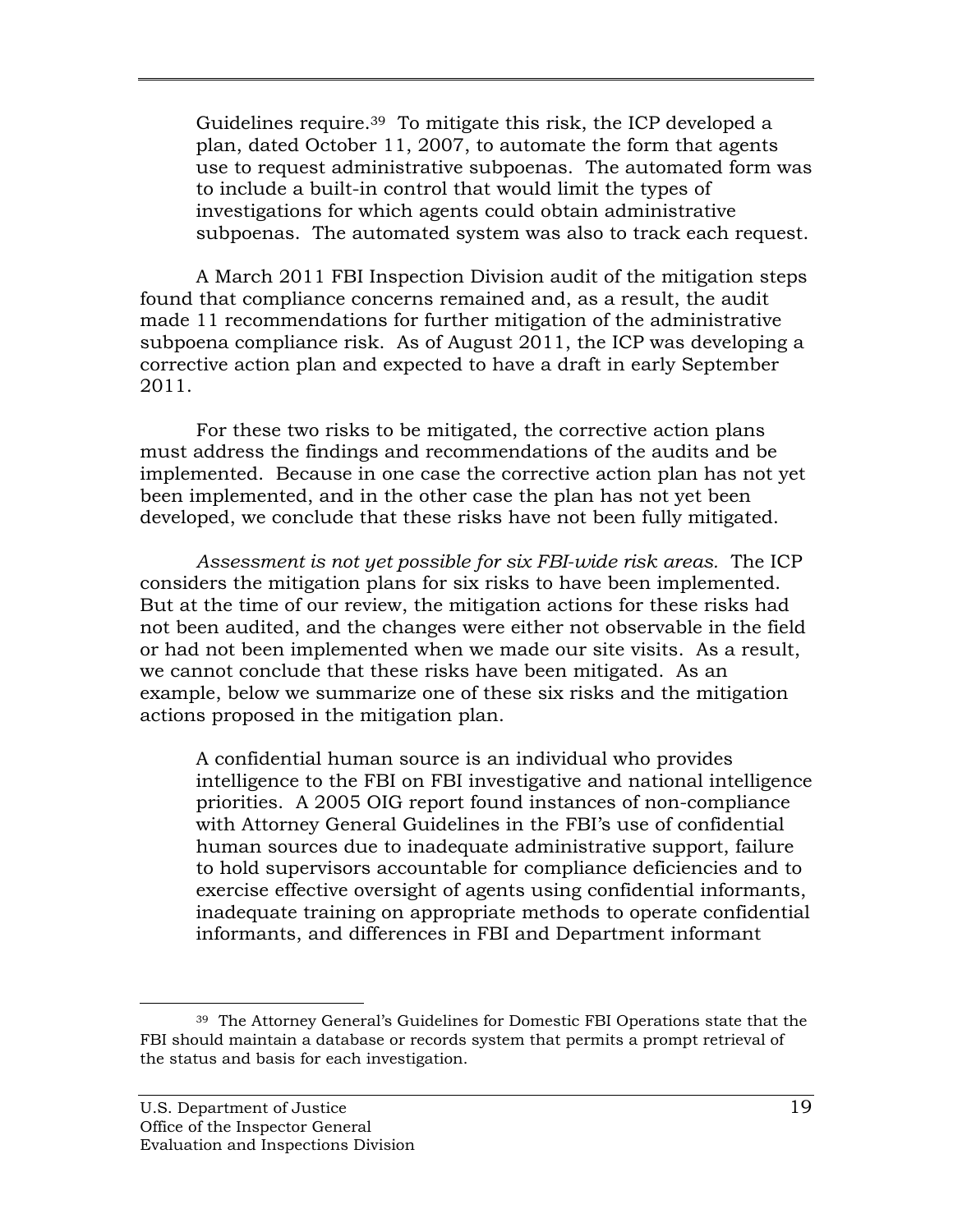Guidelines require.39 To mitigate this risk, the ICP developed a plan, dated October 11, 2007, to automate the form that agents use to request administrative subpoenas. The automated form was to include a built-in control that would limit the types of investigations for which agents could obtain administrative subpoenas. The automated system was also to track each request.

A March 2011 FBI Inspection Division audit of the mitigation steps found that compliance concerns remained and, as a result, the audit made 11 recommendations for further mitigation of the administrative subpoena compliance risk. As of August 2011, the ICP was developing a corrective action plan and expected to have a draft in early September 2011.

For these two risks to be mitigated, the corrective action plans must address the findings and recommendations of the audits and be implemented. Because in one case the corrective action plan has not yet been implemented, and in the other case the plan has not yet been developed, we conclude that these risks have not been fully mitigated.

*Assessment is not yet possible for six FBI-wide risk areas.* The ICP considers the mitigation plans for six risks to have been implemented. But at the time of our review, the mitigation actions for these risks had not been audited, and the changes were either not observable in the field or had not been implemented when we made our site visits. As a result, we cannot conclude that these risks have been mitigated. As an example, below we summarize one of these six risks and the mitigation actions proposed in the mitigation plan.

A confidential human source is an individual who provides intelligence to the FBI on FBI investigative and national intelligence priorities. A 2005 OIG report found instances of non-compliance with Attorney General Guidelines in the FBI's use of confidential human sources due to inadequate administrative support, failure to hold supervisors accountable for compliance deficiencies and to exercise effective oversight of agents using confidential informants, inadequate training on appropriate methods to operate confidential informants, and differences in FBI and Department informant

 $\overline{a}$ <sup>39</sup> The Attorney General's Guidelines for Domestic FBI Operations state that the FBI should maintain a database or records system that permits a prompt retrieval of the status and basis for each investigation.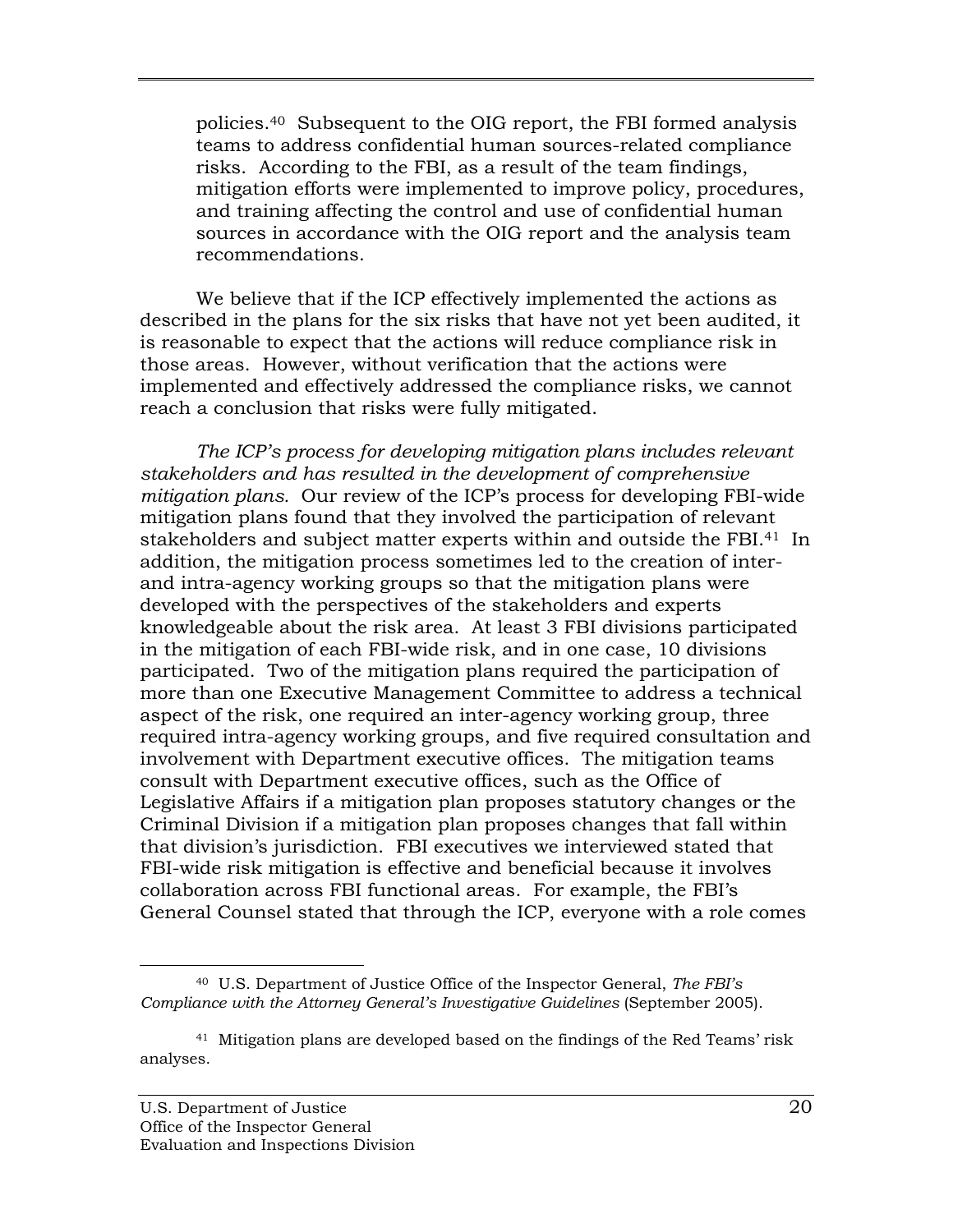policies.40 Subsequent to the OIG report, the FBI formed analysis teams to address confidential human sources-related compliance risks. According to the FBI, as a result of the team findings, mitigation efforts were implemented to improve policy, procedures, and training affecting the control and use of confidential human sources in accordance with the OIG report and the analysis team recommendations.

We believe that if the ICP effectively implemented the actions as described in the plans for the six risks that have not yet been audited, it is reasonable to expect that the actions will reduce compliance risk in those areas. However, without verification that the actions were implemented and effectively addressed the compliance risks, we cannot reach a conclusion that risks were fully mitigated.

*The ICP's process for developing mitigation plans includes relevant stakeholders and has resulted in the development of comprehensive mitigation plans.* Our review of the ICP's process for developing FBI-wide mitigation plans found that they involved the participation of relevant stakeholders and subject matter experts within and outside the FBI.<sup>41</sup> In addition, the mitigation process sometimes led to the creation of interand intra-agency working groups so that the mitigation plans were developed with the perspectives of the stakeholders and experts knowledgeable about the risk area. At least 3 FBI divisions participated in the mitigation of each FBI-wide risk, and in one case, 10 divisions participated. Two of the mitigation plans required the participation of more than one Executive Management Committee to address a technical aspect of the risk, one required an inter-agency working group, three required intra-agency working groups, and five required consultation and involvement with Department executive offices. The mitigation teams consult with Department executive offices, such as the Office of Legislative Affairs if a mitigation plan proposes statutory changes or the Criminal Division if a mitigation plan proposes changes that fall within that division's jurisdiction. FBI executives we interviewed stated that FBI-wide risk mitigation is effective and beneficial because it involves collaboration across FBI functional areas. For example, the FBI's General Counsel stated that through the ICP, everyone with a role comes

 $\overline{a}$  40 U.S. Department of Justice Office of the Inspector General, *The FBI's Compliance with the Attorney General's Investigative Guidelines* (September 2005).

<sup>41</sup> Mitigation plans are developed based on the findings of the Red Teams' risk analyses.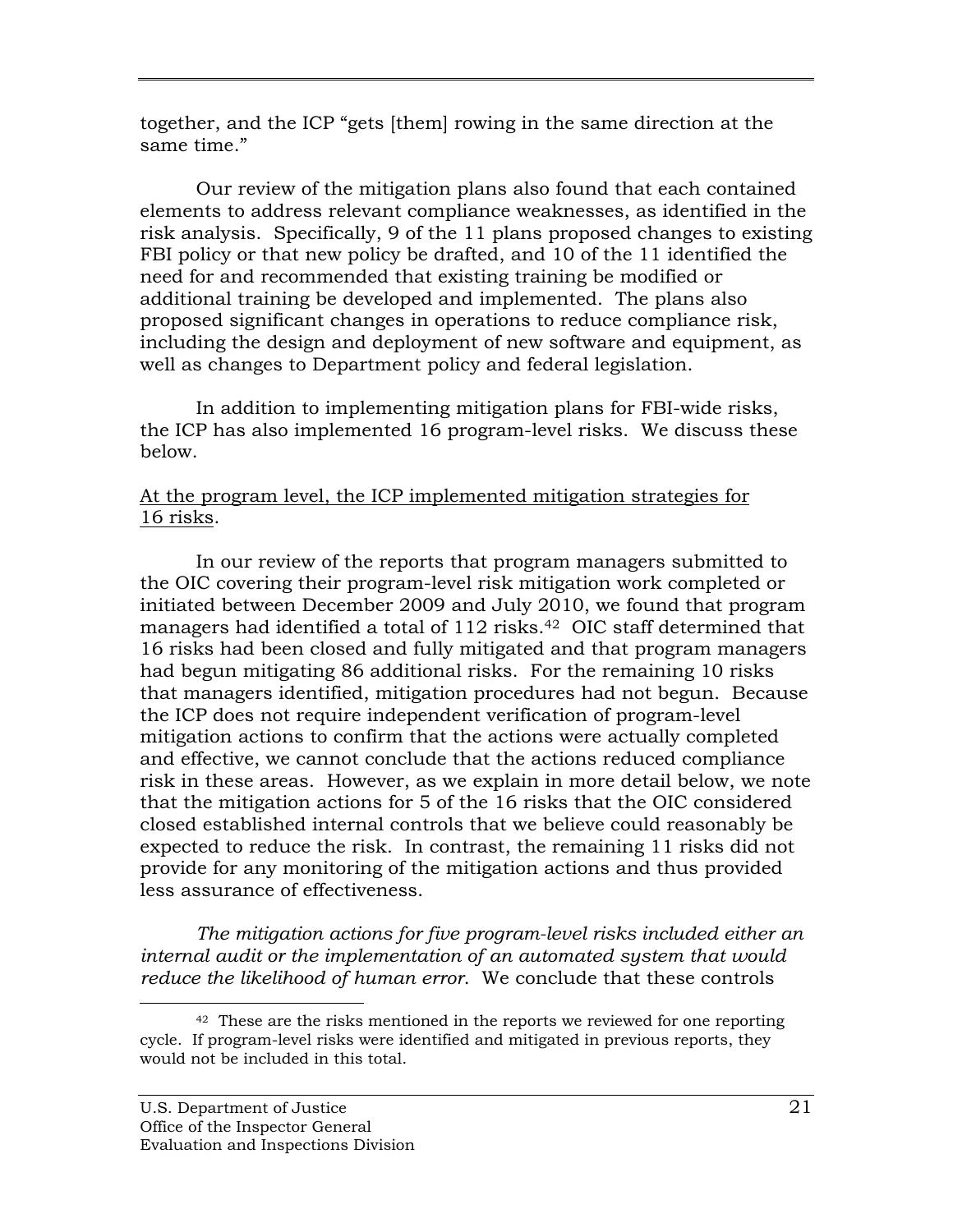together, and the ICP "gets [them] rowing in the same direction at the same time."

Our review of the mitigation plans also found that each contained elements to address relevant compliance weaknesses, as identified in the risk analysis. Specifically, 9 of the 11 plans proposed changes to existing FBI policy or that new policy be drafted, and 10 of the 11 identified the need for and recommended that existing training be modified or additional training be developed and implemented. The plans also proposed significant changes in operations to reduce compliance risk, including the design and deployment of new software and equipment, as well as changes to Department policy and federal legislation.

In addition to implementing mitigation plans for FBI-wide risks, the ICP has also implemented 16 program-level risks. We discuss these below.

### At the program level, the ICP implemented mitigation strategies for 16 risks.

In our review of the reports that program managers submitted to the OIC covering their program-level risk mitigation work completed or initiated between December 2009 and July 2010, we found that program managers had identified a total of 112 risks.<sup>42</sup> OIC staff determined that 16 risks had been closed and fully mitigated and that program managers had begun mitigating 86 additional risks. For the remaining 10 risks that managers identified, mitigation procedures had not begun. Because the ICP does not require independent verification of program-level mitigation actions to confirm that the actions were actually completed and effective, we cannot conclude that the actions reduced compliance risk in these areas. However, as we explain in more detail below, we note that the mitigation actions for 5 of the 16 risks that the OIC considered closed established internal controls that we believe could reasonably be expected to reduce the risk. In contrast, the remaining 11 risks did not provide for any monitoring of the mitigation actions and thus provided less assurance of effectiveness.

 *internal audit or the implementation of an automated system that would The mitigation actions for five program-level risks included either an reduce the likelihood of human error*. We conclude that these controls

-

 $42$  These are the risks mentioned in the reports we reviewed for one reporting cycle. If program-level risks were identified and mitigated in previous reports, they would not be included in this total.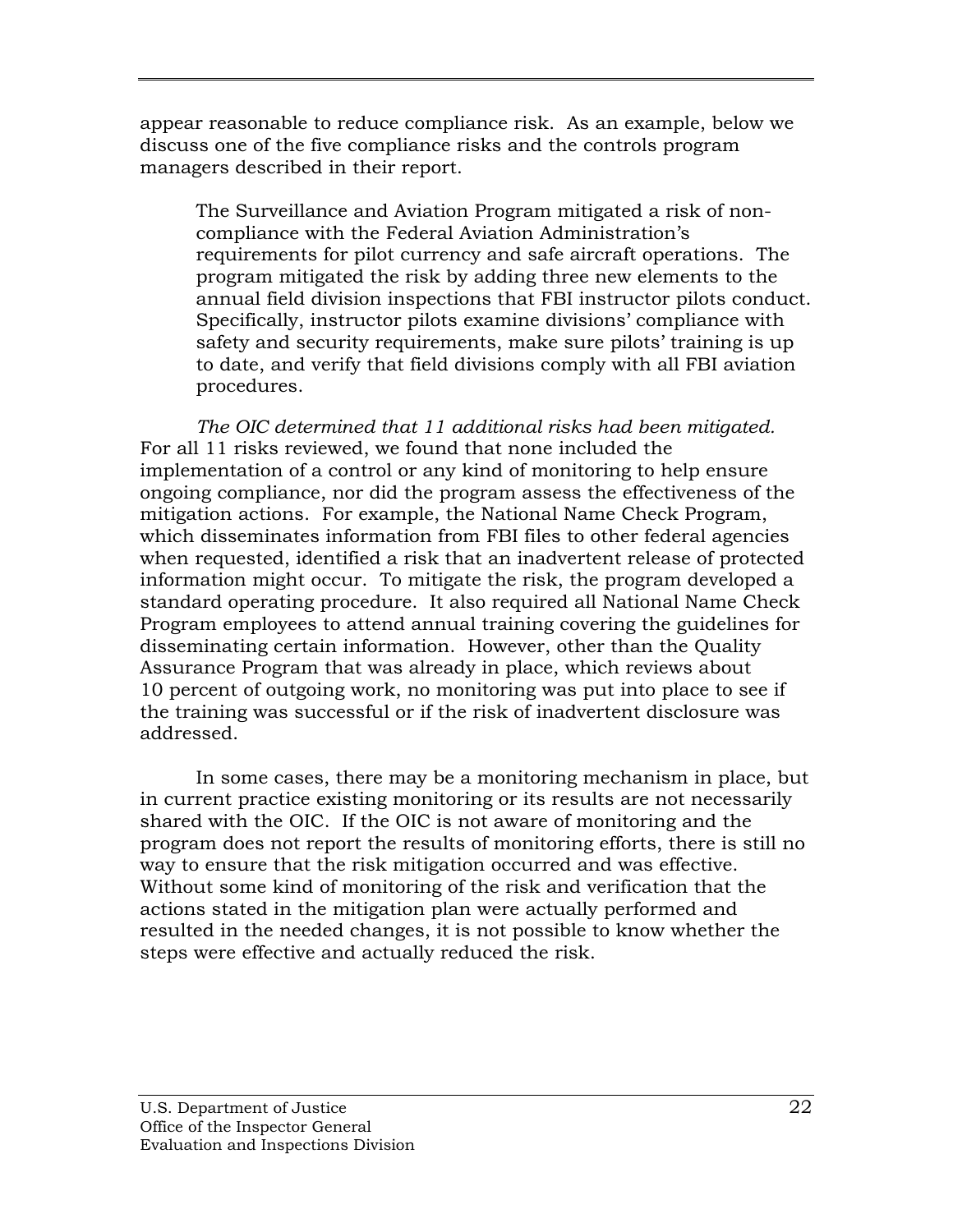appear reasonable to reduce compliance risk. As an example, below we discuss one of the five compliance risks and the controls program managers described in their report.

The Surveillance and Aviation Program mitigated a risk of noncompliance with the Federal Aviation Administration's requirements for pilot currency and safe aircraft operations. The program mitigated the risk by adding three new elements to the annual field division inspections that FBI instructor pilots conduct. Specifically, instructor pilots examine divisions' compliance with safety and security requirements, make sure pilots' training is up to date, and verify that field divisions comply with all FBI aviation procedures.

 *The OIC determined that 11 additional risks had been mitigated.* For all 11 risks reviewed, we found that none included the implementation of a control or any kind of monitoring to help ensure ongoing compliance, nor did the program assess the effectiveness of the mitigation actions. For example, the National Name Check Program, which disseminates information from FBI files to other federal agencies when requested, identified a risk that an inadvertent release of protected information might occur. To mitigate the risk, the program developed a standard operating procedure. It also required all National Name Check Program employees to attend annual training covering the guidelines for disseminating certain information. However, other than the Quality Assurance Program that was already in place, which reviews about 10 percent of outgoing work, no monitoring was put into place to see if the training was successful or if the risk of inadvertent disclosure was addressed.

In some cases, there may be a monitoring mechanism in place, but in current practice existing monitoring or its results are not necessarily shared with the OIC. If the OIC is not aware of monitoring and the program does not report the results of monitoring efforts, there is still no way to ensure that the risk mitigation occurred and was effective. Without some kind of monitoring of the risk and verification that the actions stated in the mitigation plan were actually performed and resulted in the needed changes, it is not possible to know whether the steps were effective and actually reduced the risk.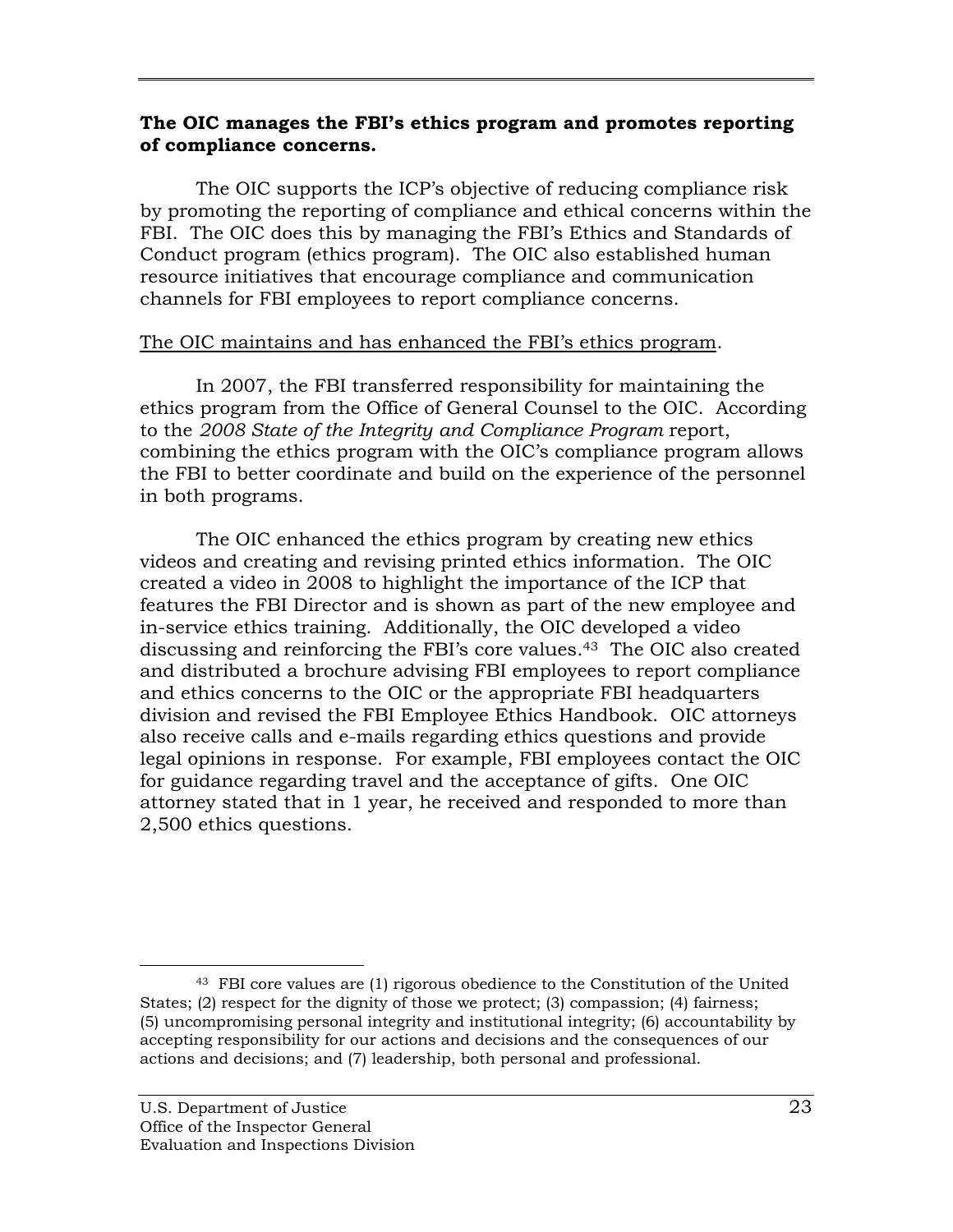#### **The OIC manages the FBI's ethics program and promotes reporting of compliance concerns.**

The OIC supports the ICP's objective of reducing compliance risk by promoting the reporting of compliance and ethical concerns within the FBI. The OIC does this by managing the FBI's Ethics and Standards of Conduct program (ethics program). The OIC also established human resource initiatives that encourage compliance and communication channels for FBI employees to report compliance concerns.

#### The OIC maintains and has enhanced the FBI's ethics program.

 to the *2008 State of the Integrity and Compliance Program* report, In 2007, the FBI transferred responsibility for maintaining the ethics program from the Office of General Counsel to the OIC. According combining the ethics program with the OIC's compliance program allows the FBI to better coordinate and build on the experience of the personnel in both programs.

The OIC enhanced the ethics program by creating new ethics videos and creating and revising printed ethics information. The OIC created a video in 2008 to highlight the importance of the ICP that features the FBI Director and is shown as part of the new employee and in-service ethics training. Additionally, the OIC developed a video discussing and reinforcing the FBI's core values.43 The OIC also created and distributed a brochure advising FBI employees to report compliance and ethics concerns to the OIC or the appropriate FBI headquarters division and revised the FBI Employee Ethics Handbook. OIC attorneys also receive calls and e-mails regarding ethics questions and provide legal opinions in response. For example, FBI employees contact the OIC for guidance regarding travel and the acceptance of gifts. One OIC attorney stated that in 1 year, he received and responded to more than 2,500 ethics questions.

<sup>43</sup> FBI core values are (1) rigorous obedience to the Constitution of the United States; (2) respect for the dignity of those we protect; (3) compassion; (4) fairness; (5) uncompromising personal integrity and institutional integrity; (6) accountability by accepting responsibility for our actions and decisions and the consequences of our actions and decisions; and (7) leadership, both personal and professional.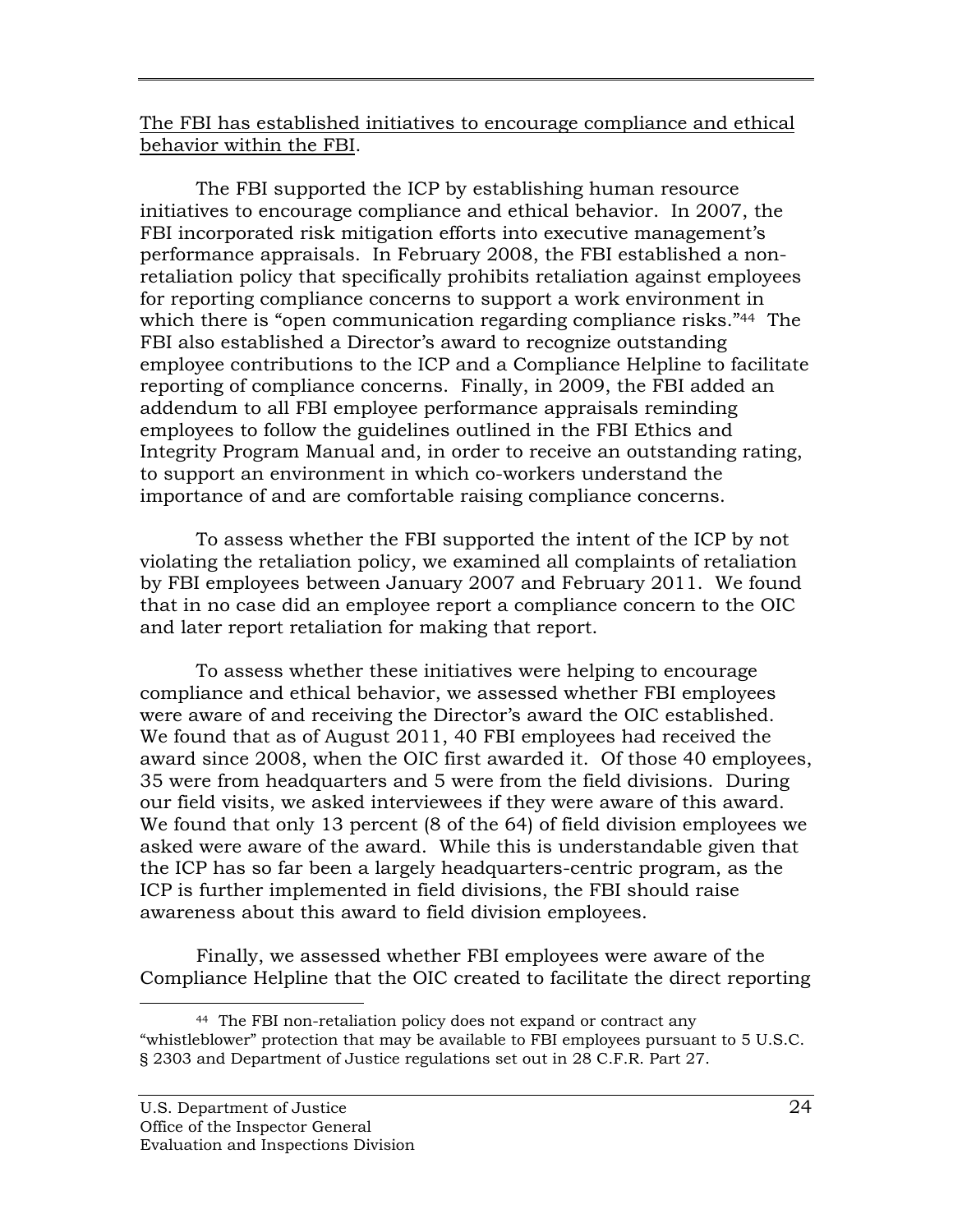The FBI has established initiatives to encourage compliance and ethical behavior within the FBI.

The FBI supported the ICP by establishing human resource initiatives to encourage compliance and ethical behavior. In 2007, the FBI incorporated risk mitigation efforts into executive management's performance appraisals. In February 2008, the FBI established a nonretaliation policy that specifically prohibits retaliation against employees for reporting compliance concerns to support a work environment in which there is "open communication regarding compliance risks."<sup>44</sup> The FBI also established a Director's award to recognize outstanding employee contributions to the ICP and a Compliance Helpline to facilitate reporting of compliance concerns. Finally, in 2009, the FBI added an addendum to all FBI employee performance appraisals reminding employees to follow the guidelines outlined in the FBI Ethics and Integrity Program Manual and, in order to receive an outstanding rating, to support an environment in which co-workers understand the importance of and are comfortable raising compliance concerns.

To assess whether the FBI supported the intent of the ICP by not violating the retaliation policy, we examined all complaints of retaliation by FBI employees between January 2007 and February 2011. We found that in no case did an employee report a compliance concern to the OIC and later report retaliation for making that report.

To assess whether these initiatives were helping to encourage compliance and ethical behavior, we assessed whether FBI employees were aware of and receiving the Director's award the OIC established. We found that as of August 2011, 40 FBI employees had received the award since 2008, when the OIC first awarded it. Of those 40 employees, 35 were from headquarters and 5 were from the field divisions. During our field visits, we asked interviewees if they were aware of this award. We found that only 13 percent (8 of the 64) of field division employees we asked were aware of the award. While this is understandable given that the ICP has so far been a largely headquarters-centric program, as the ICP is further implemented in field divisions, the FBI should raise awareness about this award to field division employees.

Finally, we assessed whether FBI employees were aware of the Compliance Helpline that the OIC created to facilitate the direct reporting

 44 The FBI non-retaliation policy does not expand or contract any "whistleblower" protection that may be available to FBI employees pursuant to 5 U.S.C. § 2303 and Department of Justice regulations set out in 28 C.F.R. Part 27.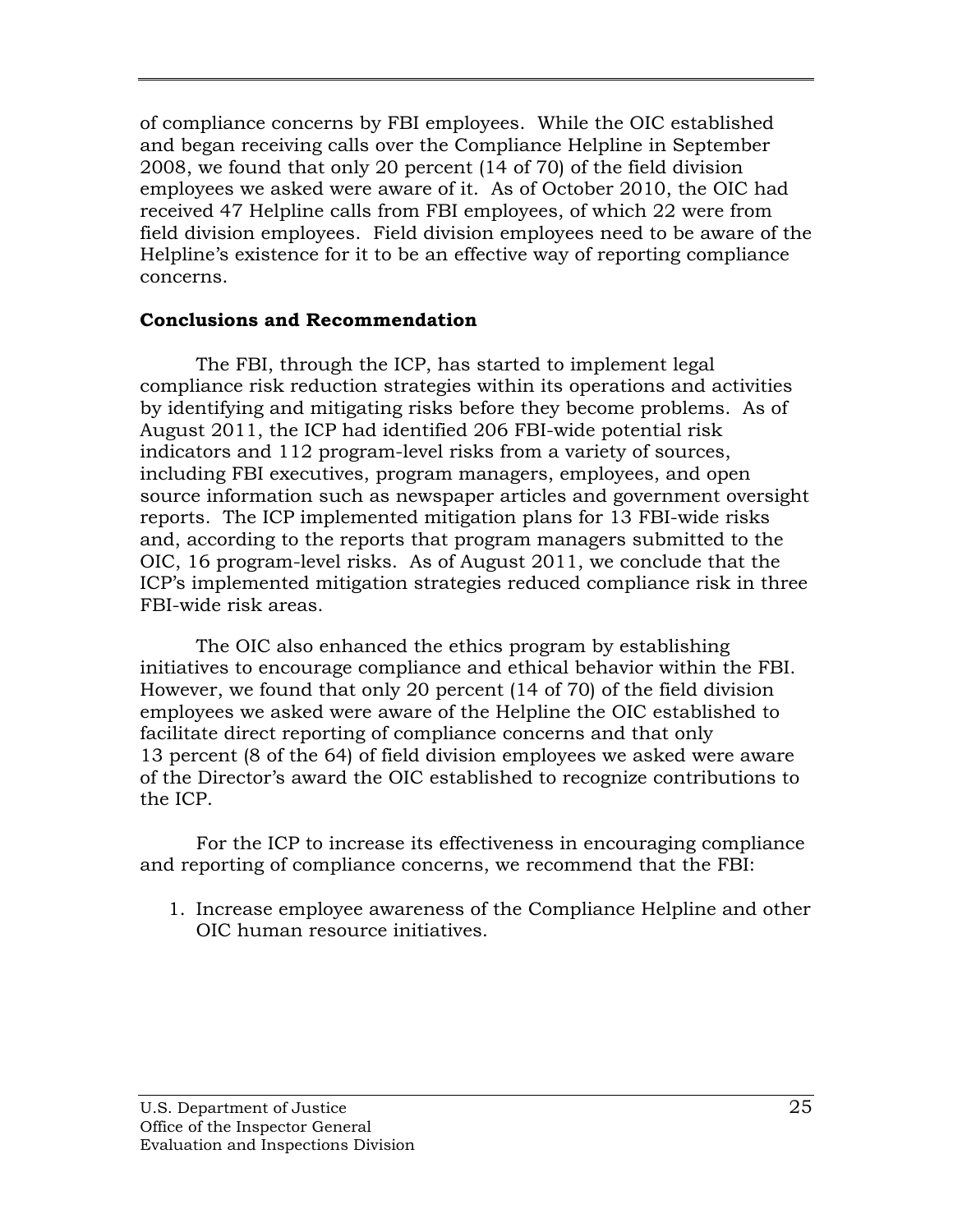of compliance concerns by FBI employees. While the OIC established and began receiving calls over the Compliance Helpline in September 2008, we found that only 20 percent (14 of 70) of the field division employees we asked were aware of it. As of October 2010, the OIC had received 47 Helpline calls from FBI employees, of which 22 were from field division employees. Field division employees need to be aware of the Helpline's existence for it to be an effective way of reporting compliance concerns.

### **Conclusions and Recommendation**

The FBI, through the ICP, has started to implement legal compliance risk reduction strategies within its operations and activities by identifying and mitigating risks before they become problems. As of August 2011, the ICP had identified 206 FBI-wide potential risk indicators and 112 program-level risks from a variety of sources, including FBI executives, program managers, employees, and open source information such as newspaper articles and government oversight reports. The ICP implemented mitigation plans for 13 FBI-wide risks and, according to the reports that program managers submitted to the OIC, 16 program-level risks. As of August 2011, we conclude that the ICP's implemented mitigation strategies reduced compliance risk in three FBI-wide risk areas.

The OIC also enhanced the ethics program by establishing initiatives to encourage compliance and ethical behavior within the FBI. However, we found that only 20 percent (14 of 70) of the field division employees we asked were aware of the Helpline the OIC established to facilitate direct reporting of compliance concerns and that only 13 percent (8 of the 64) of field division employees we asked were aware of the Director's award the OIC established to recognize contributions to the ICP.

For the ICP to increase its effectiveness in encouraging compliance and reporting of compliance concerns, we recommend that the FBI:

1. Increase employee awareness of the Compliance Helpline and other OIC human resource initiatives.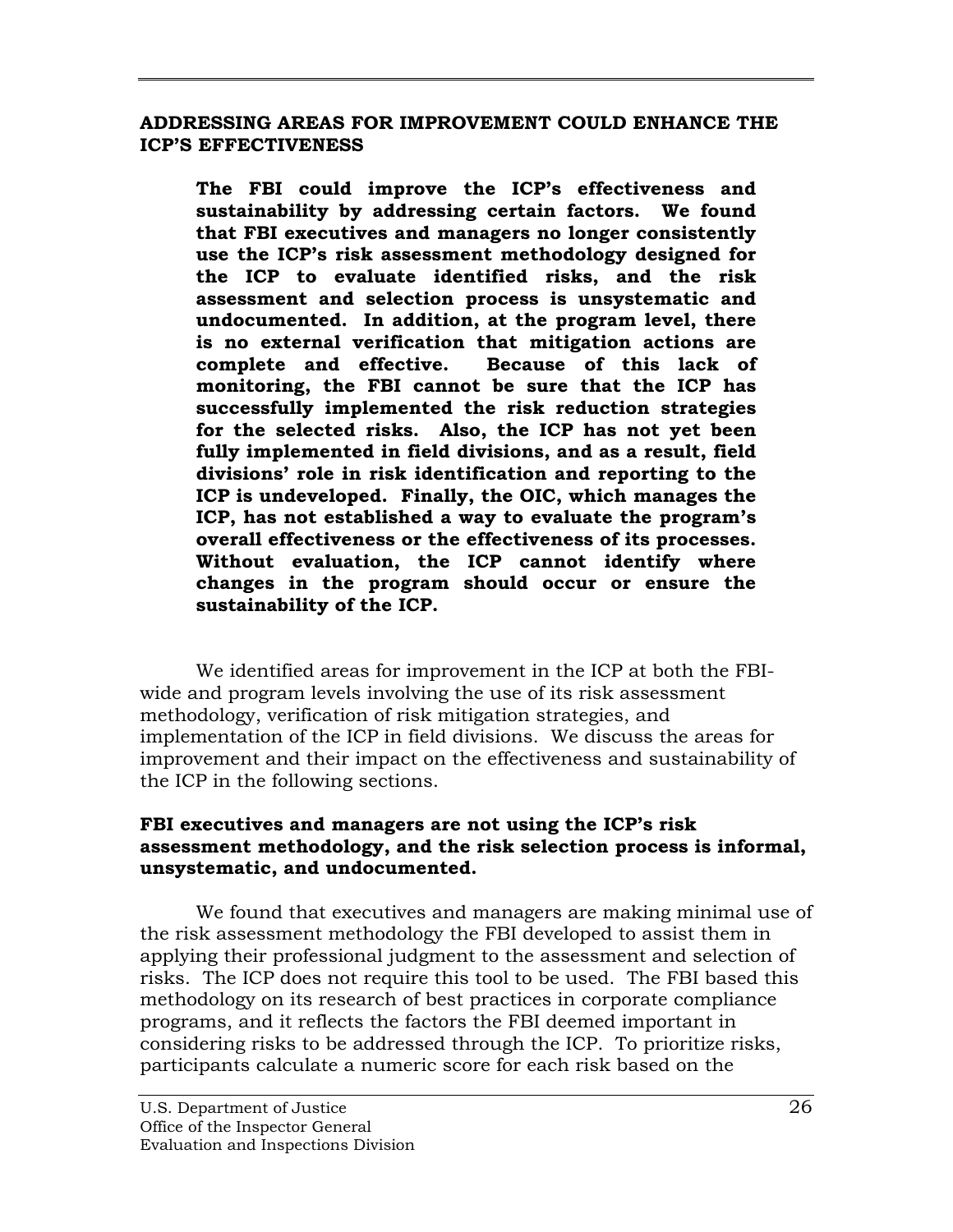#### <span id="page-40-0"></span>**ADDRESSING AREAS FOR IMPROVEMENT COULD ENHANCE THE ICP'S EFFECTIVENESS**

**The FBI could improve the ICP's effectiveness and sustainability by addressing certain factors. We found that FBI executives and managers no longer consistently use the ICP's risk assessment methodology designed for the ICP to evaluate identified risks, and the risk assessment and selection process is unsystematic and undocumented. In addition, at the program level, there is no external verification that mitigation actions are complete and effective. Because of this lack of monitoring, the FBI cannot be sure that the ICP has successfully implemented the risk reduction strategies for the selected risks. Also, the ICP has not yet been fully implemented in field divisions, and as a result, field divisions' role in risk identification and reporting to the ICP is undeveloped. Finally, the OIC, which manages the ICP, has not established a way to evaluate the program's overall effectiveness or the effectiveness of its processes. Without evaluation, the ICP cannot identify where changes in the program should occur or ensure the sustainability of the ICP.** 

We identified areas for improvement in the ICP at both the FBIwide and program levels involving the use of its risk assessment methodology, verification of risk mitigation strategies, and implementation of the ICP in field divisions. We discuss the areas for improvement and their impact on the effectiveness and sustainability of the ICP in the following sections.

### **FBI executives and managers are not using the ICP's risk assessment methodology, and the risk selection process is informal, unsystematic, and undocumented.**

We found that executives and managers are making minimal use of the risk assessment methodology the FBI developed to assist them in applying their professional judgment to the assessment and selection of risks. The ICP does not require this tool to be used. The FBI based this methodology on its research of best practices in corporate compliance programs, and it reflects the factors the FBI deemed important in considering risks to be addressed through the ICP. To prioritize risks, participants calculate a numeric score for each risk based on the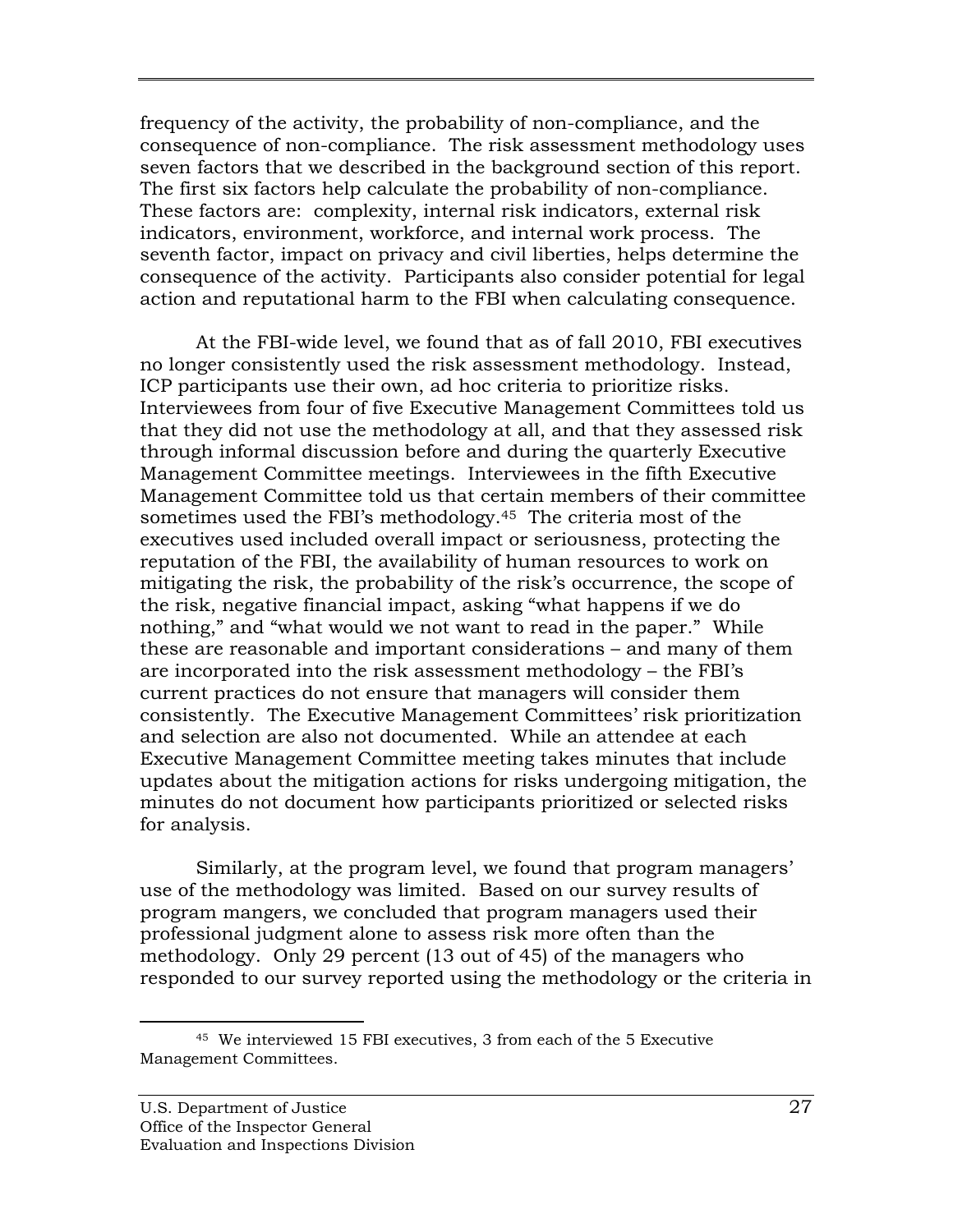frequency of the activity, the probability of non-compliance, and the consequence of non-compliance. The risk assessment methodology uses seven factors that we described in the background section of this report. The first six factors help calculate the probability of non-compliance. These factors are: complexity, internal risk indicators, external risk indicators, environment, workforce, and internal work process. The seventh factor, impact on privacy and civil liberties, helps determine the consequence of the activity. Participants also consider potential for legal action and reputational harm to the FBI when calculating consequence.

At the FBI-wide level, we found that as of fall 2010, FBI executives no longer consistently used the risk assessment methodology. Instead, ICP participants use their own, ad hoc criteria to prioritize risks. Interviewees from four of five Executive Management Committees told us that they did not use the methodology at all, and that they assessed risk through informal discussion before and during the quarterly Executive Management Committee meetings. Interviewees in the fifth Executive Management Committee told us that certain members of their committee sometimes used the FBI's methodology.45 The criteria most of the executives used included overall impact or seriousness, protecting the reputation of the FBI, the availability of human resources to work on mitigating the risk, the probability of the risk's occurrence, the scope of the risk, negative financial impact, asking "what happens if we do nothing," and "what would we not want to read in the paper." While these are reasonable and important considerations – and many of them are incorporated into the risk assessment methodology – the FBI's current practices do not ensure that managers will consider them consistently. The Executive Management Committees' risk prioritization and selection are also not documented. While an attendee at each Executive Management Committee meeting takes minutes that include updates about the mitigation actions for risks undergoing mitigation, the minutes do not document how participants prioritized or selected risks for analysis.

Similarly, at the program level, we found that program managers' use of the methodology was limited. Based on our survey results of program mangers, we concluded that program managers used their professional judgment alone to assess risk more often than the methodology. Only 29 percent (13 out of 45) of the managers who responded to our survey reported using the methodology or the criteria in

<sup>45</sup> We interviewed 15 FBI executives, 3 from each of the 5 Executive Management Committees.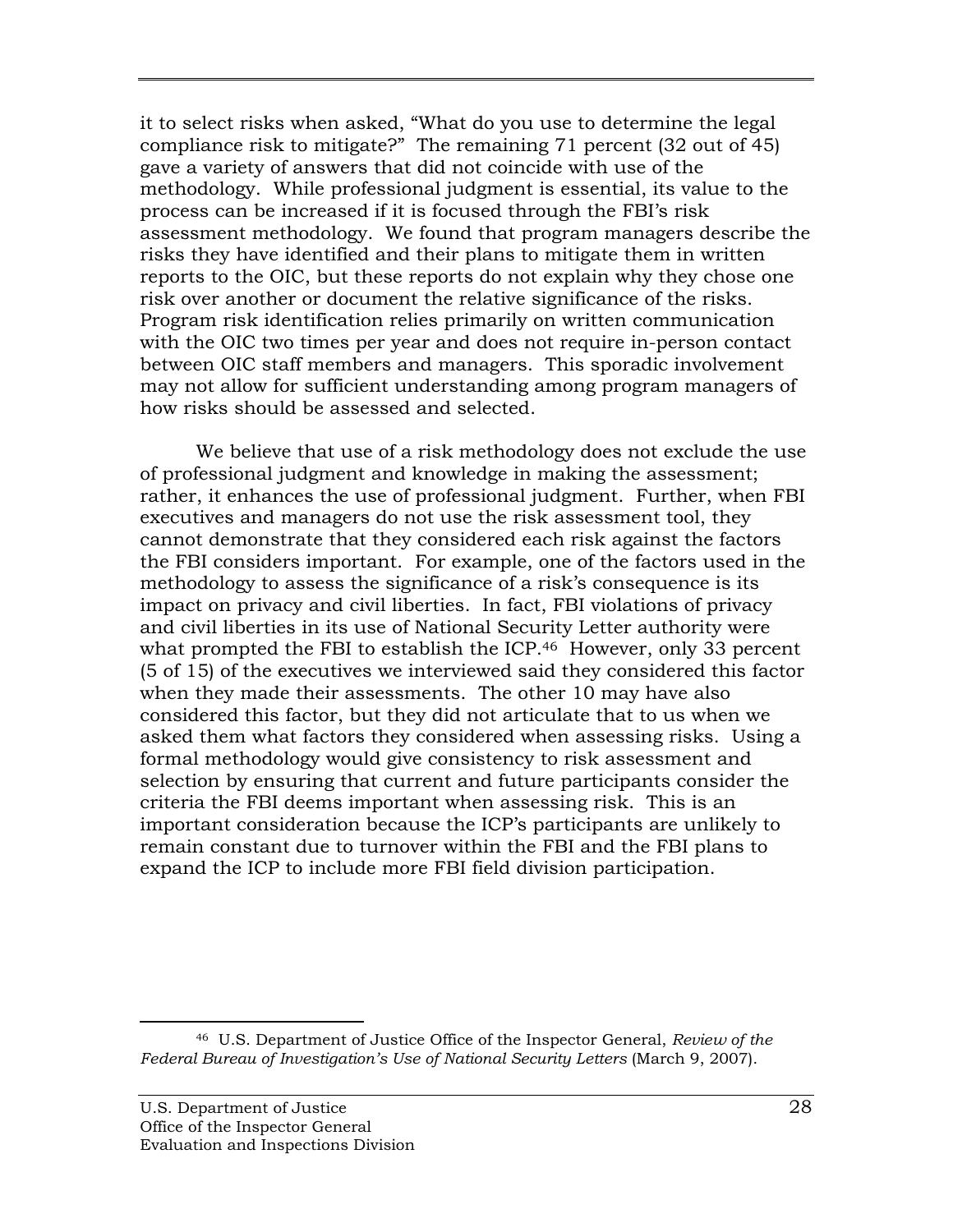it to select risks when asked, "What do you use to determine the legal compliance risk to mitigate?" The remaining 71 percent (32 out of 45) gave a variety of answers that did not coincide with use of the methodology. While professional judgment is essential, its value to the process can be increased if it is focused through the FBI's risk assessment methodology. We found that program managers describe the risks they have identified and their plans to mitigate them in written reports to the OIC, but these reports do not explain why they chose one risk over another or document the relative significance of the risks. Program risk identification relies primarily on written communication with the OIC two times per year and does not require in-person contact between OIC staff members and managers. This sporadic involvement may not allow for sufficient understanding among program managers of how risks should be assessed and selected.

We believe that use of a risk methodology does not exclude the use of professional judgment and knowledge in making the assessment; rather, it enhances the use of professional judgment. Further, when FBI executives and managers do not use the risk assessment tool, they cannot demonstrate that they considered each risk against the factors the FBI considers important. For example, one of the factors used in the methodology to assess the significance of a risk's consequence is its impact on privacy and civil liberties. In fact, FBI violations of privacy and civil liberties in its use of National Security Letter authority were what prompted the FBI to establish the ICP.<sup>46</sup> However, only 33 percent (5 of 15) of the executives we interviewed said they considered this factor when they made their assessments. The other 10 may have also considered this factor, but they did not articulate that to us when we asked them what factors they considered when assessing risks. Using a formal methodology would give consistency to risk assessment and selection by ensuring that current and future participants consider the criteria the FBI deems important when assessing risk. This is an important consideration because the ICP's participants are unlikely to remain constant due to turnover within the FBI and the FBI plans to expand the ICP to include more FBI field division participation.

 $\overline{a}$  46 U.S. Department of Justice Office of the Inspector General, *Review of the Federal Bureau of Investigation's Use of National Security Letters* (March 9, 2007).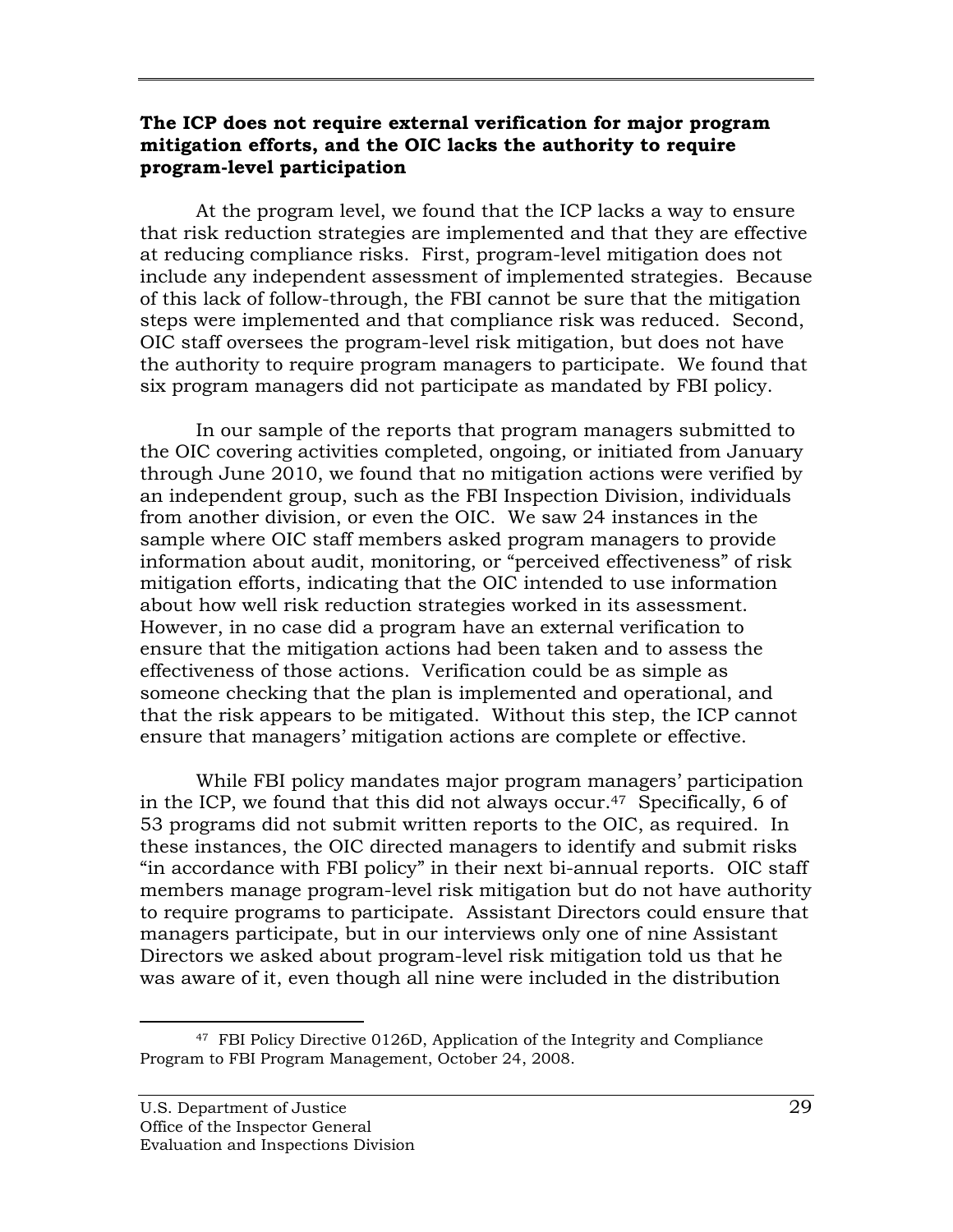#### **The ICP does not require external verification for major program mitigation efforts, and the OIC lacks the authority to require program-level participation**

At the program level, we found that the ICP lacks a way to ensure that risk reduction strategies are implemented and that they are effective at reducing compliance risks. First, program-level mitigation does not include any independent assessment of implemented strategies. Because of this lack of follow-through, the FBI cannot be sure that the mitigation steps were implemented and that compliance risk was reduced. Second, OIC staff oversees the program-level risk mitigation, but does not have the authority to require program managers to participate. We found that six program managers did not participate as mandated by FBI policy.

In our sample of the reports that program managers submitted to the OIC covering activities completed, ongoing, or initiated from January through June 2010, we found that no mitigation actions were verified by an independent group, such as the FBI Inspection Division, individuals from another division, or even the OIC. We saw 24 instances in the sample where OIC staff members asked program managers to provide information about audit, monitoring, or "perceived effectiveness" of risk mitigation efforts, indicating that the OIC intended to use information about how well risk reduction strategies worked in its assessment. However, in no case did a program have an external verification to ensure that the mitigation actions had been taken and to assess the effectiveness of those actions. Verification could be as simple as someone checking that the plan is implemented and operational, and that the risk appears to be mitigated. Without this step, the ICP cannot ensure that managers' mitigation actions are complete or effective.

While FBI policy mandates major program managers' participation in the ICP, we found that this did not always occur.47 Specifically, 6 of 53 programs did not submit written reports to the OIC, as required. In these instances, the OIC directed managers to identify and submit risks "in accordance with FBI policy" in their next bi-annual reports. OIC staff members manage program-level risk mitigation but do not have authority to require programs to participate. Assistant Directors could ensure that managers participate, but in our interviews only one of nine Assistant Directors we asked about program-level risk mitigation told us that he was aware of it, even though all nine were included in the distribution

<sup>47</sup> FBI Policy Directive 0126D, Application of the Integrity and Compliance Program to FBI Program Management, October 24, 2008.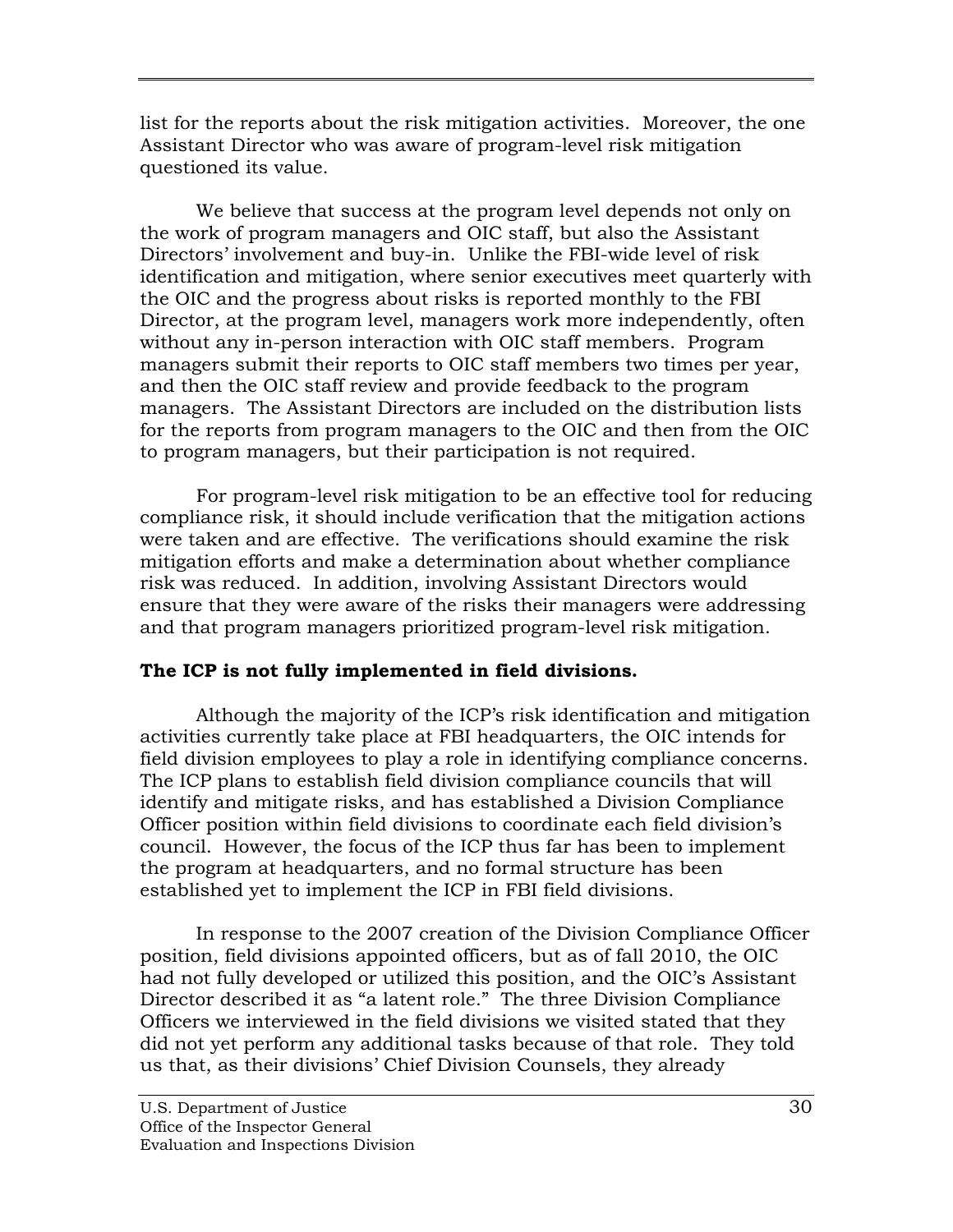list for the reports about the risk mitigation activities. Moreover, the one Assistant Director who was aware of program-level risk mitigation questioned its value.

We believe that success at the program level depends not only on the work of program managers and OIC staff, but also the Assistant Directors' involvement and buy-in. Unlike the FBI-wide level of risk identification and mitigation, where senior executives meet quarterly with the OIC and the progress about risks is reported monthly to the FBI Director, at the program level, managers work more independently, often without any in-person interaction with OIC staff members. Program managers submit their reports to OIC staff members two times per year, and then the OIC staff review and provide feedback to the program managers. The Assistant Directors are included on the distribution lists for the reports from program managers to the OIC and then from the OIC to program managers, but their participation is not required.

For program-level risk mitigation to be an effective tool for reducing compliance risk, it should include verification that the mitigation actions were taken and are effective. The verifications should examine the risk mitigation efforts and make a determination about whether compliance risk was reduced. In addition, involving Assistant Directors would ensure that they were aware of the risks their managers were addressing and that program managers prioritized program-level risk mitigation.

# **The ICP is not fully implemented in field divisions.**

Although the majority of the ICP's risk identification and mitigation activities currently take place at FBI headquarters, the OIC intends for field division employees to play a role in identifying compliance concerns. The ICP plans to establish field division compliance councils that will identify and mitigate risks, and has established a Division Compliance Officer position within field divisions to coordinate each field division's council. However, the focus of the ICP thus far has been to implement the program at headquarters, and no formal structure has been established yet to implement the ICP in FBI field divisions.

In response to the 2007 creation of the Division Compliance Officer position, field divisions appointed officers, but as of fall 2010, the OIC had not fully developed or utilized this position, and the OIC's Assistant Director described it as "a latent role." The three Division Compliance Officers we interviewed in the field divisions we visited stated that they did not yet perform any additional tasks because of that role. They told us that, as their divisions' Chief Division Counsels, they already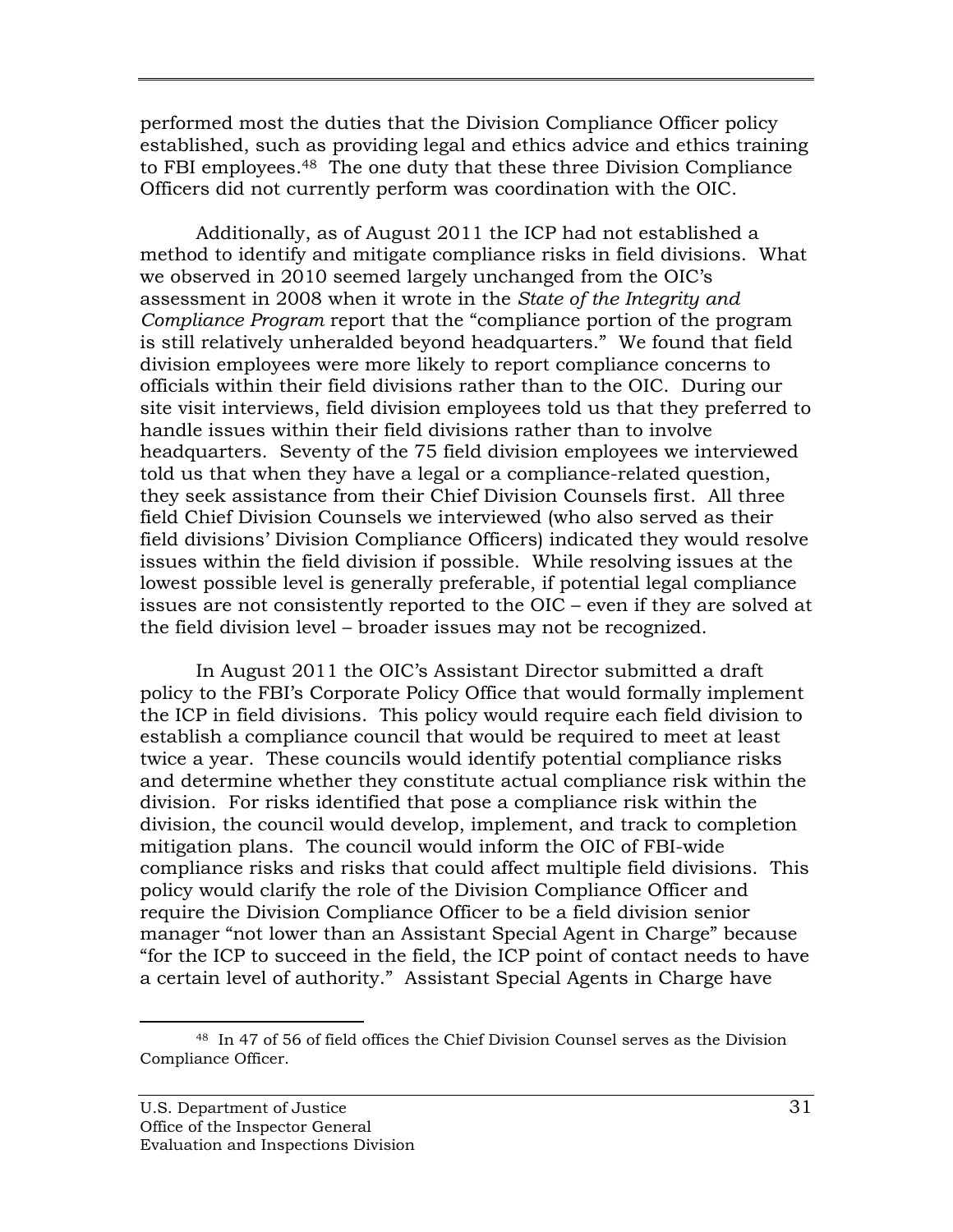performed most the duties that the Division Compliance Officer policy established, such as providing legal and ethics advice and ethics training to FBI employees.48 The one duty that these three Division Compliance Officers did not currently perform was coordination with the OIC.

 assessment in 2008 when it wrote in the *State of the Integrity and*  Additionally, as of August 2011 the ICP had not established a method to identify and mitigate compliance risks in field divisions. What we observed in 2010 seemed largely unchanged from the OIC's *Compliance Program* report that the "compliance portion of the program is still relatively unheralded beyond headquarters." We found that field division employees were more likely to report compliance concerns to officials within their field divisions rather than to the OIC. During our site visit interviews, field division employees told us that they preferred to handle issues within their field divisions rather than to involve headquarters. Seventy of the 75 field division employees we interviewed told us that when they have a legal or a compliance-related question, they seek assistance from their Chief Division Counsels first. All three field Chief Division Counsels we interviewed (who also served as their field divisions' Division Compliance Officers) indicated they would resolve issues within the field division if possible. While resolving issues at the lowest possible level is generally preferable, if potential legal compliance issues are not consistently reported to the OIC – even if they are solved at the field division level – broader issues may not be recognized.

In August 2011 the OIC's Assistant Director submitted a draft policy to the FBI's Corporate Policy Office that would formally implement the ICP in field divisions. This policy would require each field division to establish a compliance council that would be required to meet at least twice a year. These councils would identify potential compliance risks and determine whether they constitute actual compliance risk within the division. For risks identified that pose a compliance risk within the division, the council would develop, implement, and track to completion mitigation plans. The council would inform the OIC of FBI-wide compliance risks and risks that could affect multiple field divisions. This policy would clarify the role of the Division Compliance Officer and require the Division Compliance Officer to be a field division senior manager "not lower than an Assistant Special Agent in Charge" because "for the ICP to succeed in the field, the ICP point of contact needs to have a certain level of authority." Assistant Special Agents in Charge have

<sup>48</sup> In 47 of 56 of field offices the Chief Division Counsel serves as the Division Compliance Officer.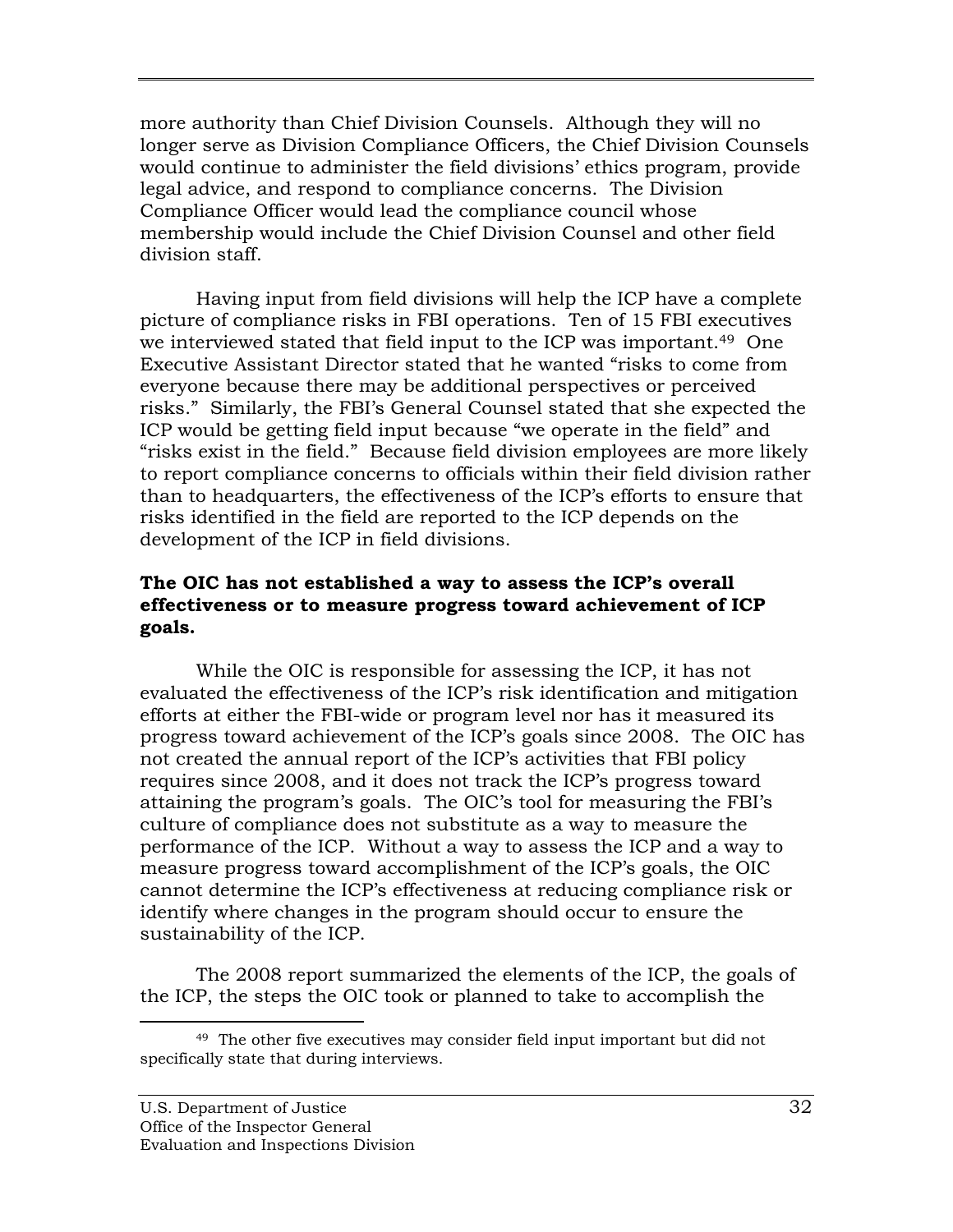more authority than Chief Division Counsels. Although they will no longer serve as Division Compliance Officers, the Chief Division Counsels would continue to administer the field divisions' ethics program, provide legal advice, and respond to compliance concerns. The Division Compliance Officer would lead the compliance council whose membership would include the Chief Division Counsel and other field division staff.

Having input from field divisions will help the ICP have a complete picture of compliance risks in FBI operations. Ten of 15 FBI executives we interviewed stated that field input to the ICP was important.<sup>49</sup> One Executive Assistant Director stated that he wanted "risks to come from everyone because there may be additional perspectives or perceived risks." Similarly, the FBI's General Counsel stated that she expected the ICP would be getting field input because "we operate in the field" and "risks exist in the field." Because field division employees are more likely to report compliance concerns to officials within their field division rather than to headquarters, the effectiveness of the ICP's efforts to ensure that risks identified in the field are reported to the ICP depends on the development of the ICP in field divisions.

### **The OIC has not established a way to assess the ICP's overall effectiveness or to measure progress toward achievement of ICP goals.**

While the OIC is responsible for assessing the ICP, it has not evaluated the effectiveness of the ICP's risk identification and mitigation efforts at either the FBI-wide or program level nor has it measured its progress toward achievement of the ICP's goals since 2008. The OIC has not created the annual report of the ICP's activities that FBI policy requires since 2008, and it does not track the ICP's progress toward attaining the program's goals. The OIC's tool for measuring the FBI's culture of compliance does not substitute as a way to measure the performance of the ICP. Without a way to assess the ICP and a way to measure progress toward accomplishment of the ICP's goals, the OIC cannot determine the ICP's effectiveness at reducing compliance risk or identify where changes in the program should occur to ensure the sustainability of the ICP.

The 2008 report summarized the elements of the ICP, the goals of the ICP, the steps the OIC took or planned to take to accomplish the

 $\overline{a}$ <sup>49</sup> The other five executives may consider field input important but did not specifically state that during interviews.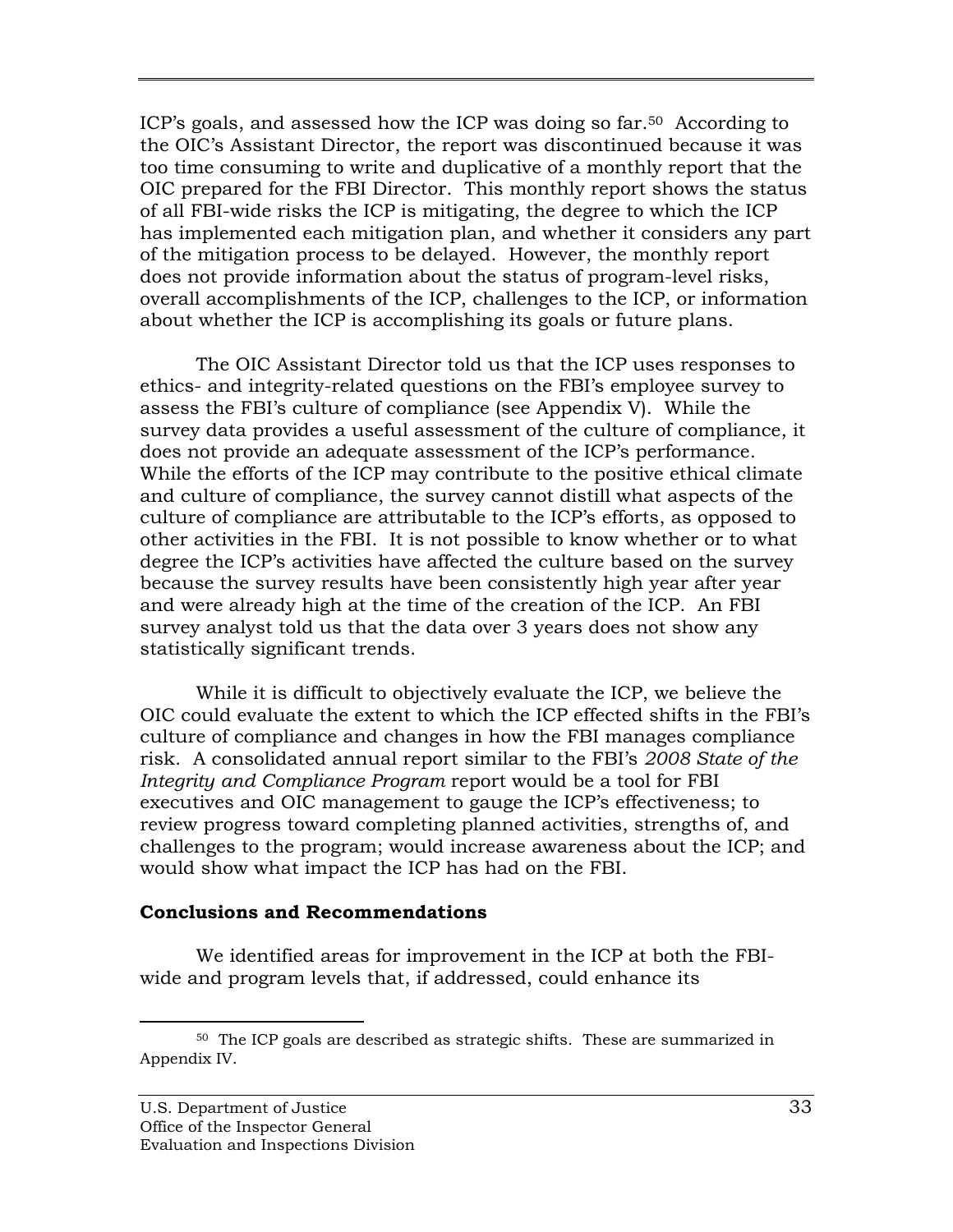ICP's goals, and assessed how the ICP was doing so far.50 According to the OIC's Assistant Director, the report was discontinued because it was too time consuming to write and duplicative of a monthly report that the OIC prepared for the FBI Director. This monthly report shows the status of all FBI-wide risks the ICP is mitigating, the degree to which the ICP has implemented each mitigation plan, and whether it considers any part of the mitigation process to be delayed. However, the monthly report does not provide information about the status of program-level risks, overall accomplishments of the ICP, challenges to the ICP, or information about whether the ICP is accomplishing its goals or future plans.

The OIC Assistant Director told us that the ICP uses responses to ethics- and integrity-related questions on the FBI's employee survey to assess the FBI's culture of compliance (see Appendix V). While the survey data provides a useful assessment of the culture of compliance, it does not provide an adequate assessment of the ICP's performance. While the efforts of the ICP may contribute to the positive ethical climate and culture of compliance, the survey cannot distill what aspects of the culture of compliance are attributable to the ICP's efforts, as opposed to other activities in the FBI. It is not possible to know whether or to what degree the ICP's activities have affected the culture based on the survey because the survey results have been consistently high year after year and were already high at the time of the creation of the ICP. An FBI survey analyst told us that the data over 3 years does not show any statistically significant trends.

While it is difficult to objectively evaluate the ICP, we believe the OIC could evaluate the extent to which the ICP effected shifts in the FBI's culture of compliance and changes in how the FBI manages compliance risk. A consolidated annual report similar to the FBI's *2008 State of the Integrity and Compliance Program* report would be a tool for FBI executives and OIC management to gauge the ICP's effectiveness; to review progress toward completing planned activities, strengths of, and challenges to the program; would increase awareness about the ICP; and would show what impact the ICP has had on the FBI.

#### **Conclusions and Recommendations**

We identified areas for improvement in the ICP at both the FBIwide and program levels that, if addressed, could enhance its

-

 $50$  The ICP goals are described as strategic shifts. These are summarized in Appendix IV.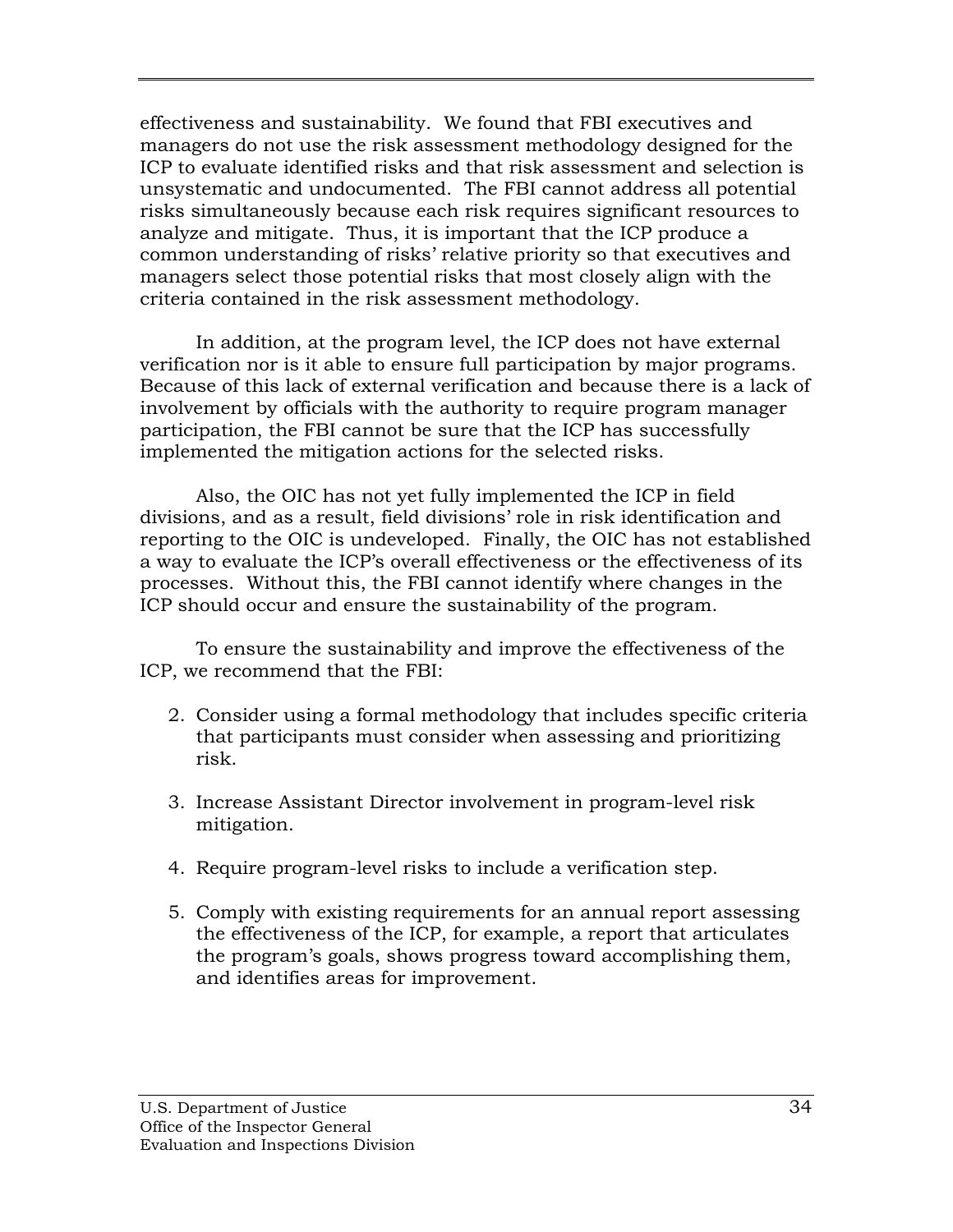effectiveness and sustainability. We found that FBI executives and managers do not use the risk assessment methodology designed for the ICP to evaluate identified risks and that risk assessment and selection is unsystematic and undocumented. The FBI cannot address all potential risks simultaneously because each risk requires significant resources to analyze and mitigate. Thus, it is important that the ICP produce a common understanding of risks' relative priority so that executives and managers select those potential risks that most closely align with the criteria contained in the risk assessment methodology.

In addition, at the program level, the ICP does not have external verification nor is it able to ensure full participation by major programs. Because of this lack of external verification and because there is a lack of involvement by officials with the authority to require program manager participation, the FBI cannot be sure that the ICP has successfully implemented the mitigation actions for the selected risks.

Also, the OIC has not yet fully implemented the ICP in field divisions, and as a result, field divisions' role in risk identification and reporting to the OIC is undeveloped. Finally, the OIC has not established a way to evaluate the ICP's overall effectiveness or the effectiveness of its processes. Without this, the FBI cannot identify where changes in the ICP should occur and ensure the sustainability of the program.

To ensure the sustainability and improve the effectiveness of the ICP, we recommend that the FBI:

- 2. Consider using a formal methodology that includes specific criteria that participants must consider when assessing and prioritizing risk.
- 3. Increase Assistant Director involvement in program-level risk mitigation.
- 4. Require program-level risks to include a verification step.
- 5. Comply with existing requirements for an annual report assessing the effectiveness of the ICP, for example, a report that articulates the program's goals, shows progress toward accomplishing them, and identifies areas for improvement.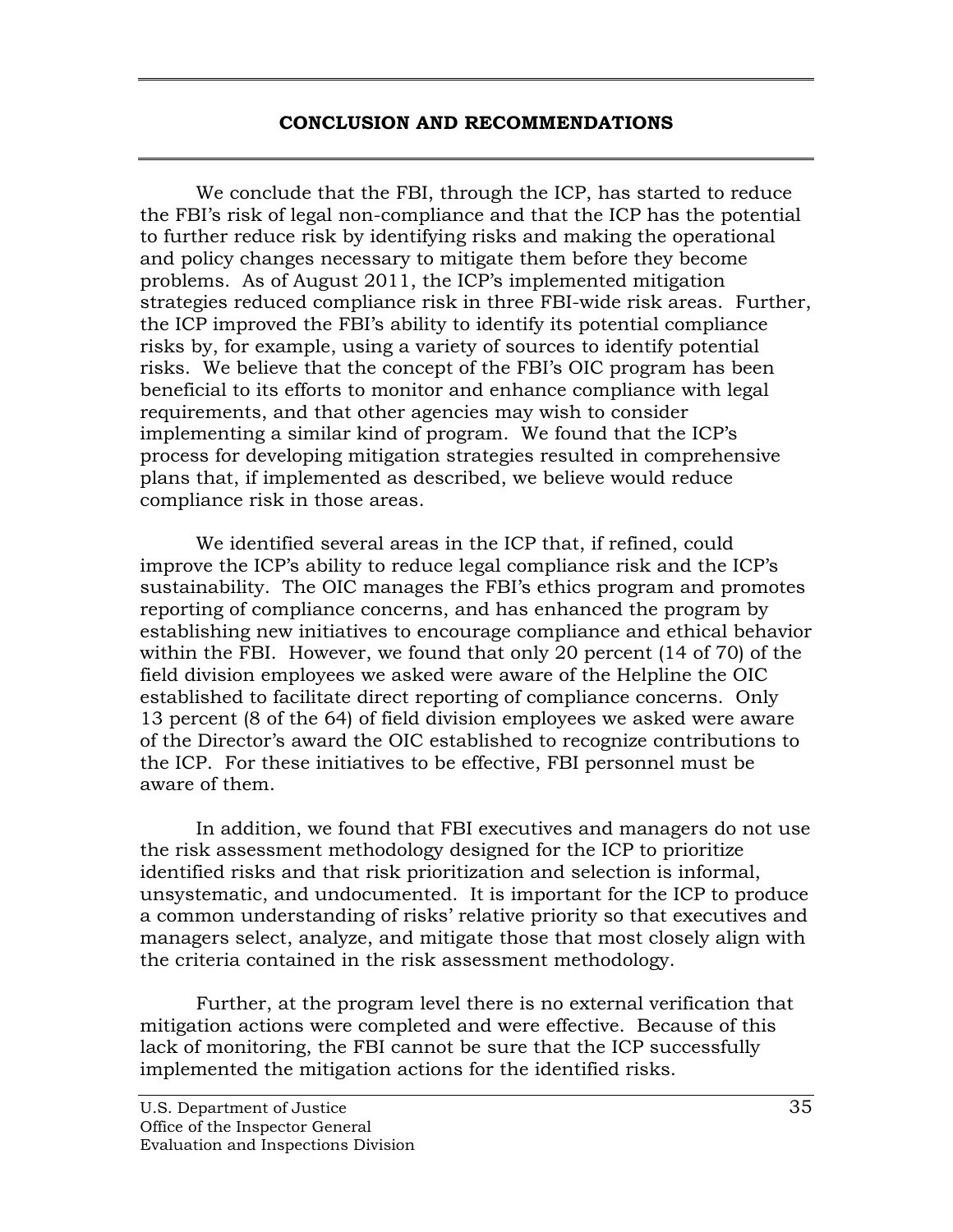#### **CONCLUSION AND RECOMMENDATIONS**

<span id="page-49-0"></span>We conclude that the FBI, through the ICP, has started to reduce the FBI's risk of legal non-compliance and that the ICP has the potential to further reduce risk by identifying risks and making the operational and policy changes necessary to mitigate them before they become problems. As of August 2011, the ICP's implemented mitigation strategies reduced compliance risk in three FBI-wide risk areas. Further, the ICP improved the FBI's ability to identify its potential compliance risks by, for example, using a variety of sources to identify potential risks. We believe that the concept of the FBI's OIC program has been beneficial to its efforts to monitor and enhance compliance with legal requirements, and that other agencies may wish to consider implementing a similar kind of program. We found that the ICP's process for developing mitigation strategies resulted in comprehensive plans that, if implemented as described, we believe would reduce compliance risk in those areas.

We identified several areas in the ICP that, if refined, could improve the ICP's ability to reduce legal compliance risk and the ICP's sustainability. The OIC manages the FBI's ethics program and promotes reporting of compliance concerns, and has enhanced the program by establishing new initiatives to encourage compliance and ethical behavior within the FBI. However, we found that only 20 percent (14 of 70) of the field division employees we asked were aware of the Helpline the OIC established to facilitate direct reporting of compliance concerns. Only 13 percent (8 of the 64) of field division employees we asked were aware of the Director's award the OIC established to recognize contributions to the ICP. For these initiatives to be effective, FBI personnel must be aware of them.

In addition, we found that FBI executives and managers do not use the risk assessment methodology designed for the ICP to prioritize identified risks and that risk prioritization and selection is informal, unsystematic, and undocumented. It is important for the ICP to produce a common understanding of risks' relative priority so that executives and managers select, analyze, and mitigate those that most closely align with the criteria contained in the risk assessment methodology.

Further, at the program level there is no external verification that mitigation actions were completed and were effective. Because of this lack of monitoring, the FBI cannot be sure that the ICP successfully implemented the mitigation actions for the identified risks.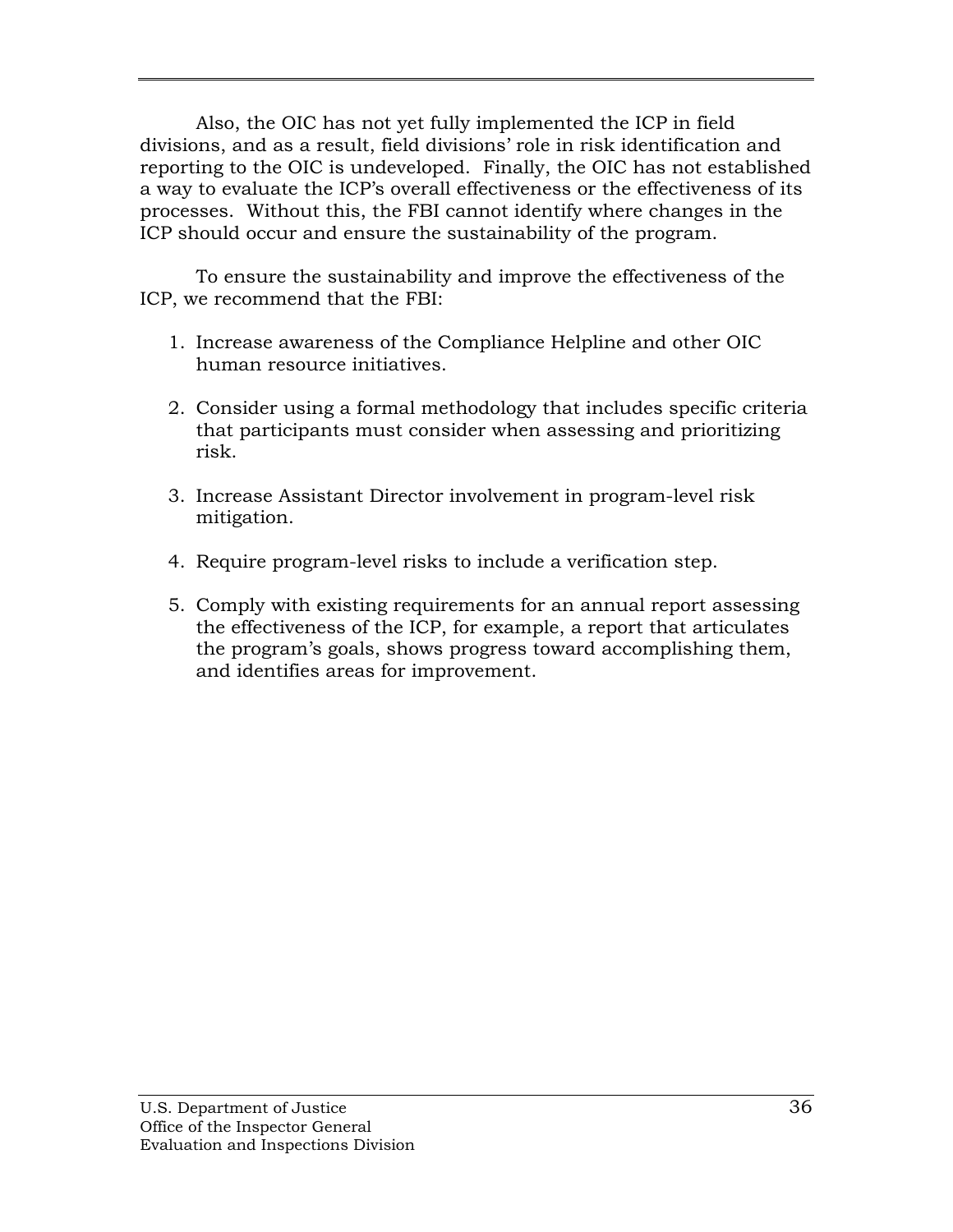Also, the OIC has not yet fully implemented the ICP in field divisions, and as a result, field divisions' role in risk identification and reporting to the OIC is undeveloped. Finally, the OIC has not established a way to evaluate the ICP's overall effectiveness or the effectiveness of its processes. Without this, the FBI cannot identify where changes in the ICP should occur and ensure the sustainability of the program.

To ensure the sustainability and improve the effectiveness of the ICP, we recommend that the FBI:

- 1. Increase awareness of the Compliance Helpline and other OIC human resource initiatives.
- 2. Consider using a formal methodology that includes specific criteria that participants must consider when assessing and prioritizing risk.
- 3. Increase Assistant Director involvement in program-level risk mitigation.
- 4. Require program-level risks to include a verification step.
- 5. Comply with existing requirements for an annual report assessing the effectiveness of the ICP, for example, a report that articulates the program's goals, shows progress toward accomplishing them, and identifies areas for improvement.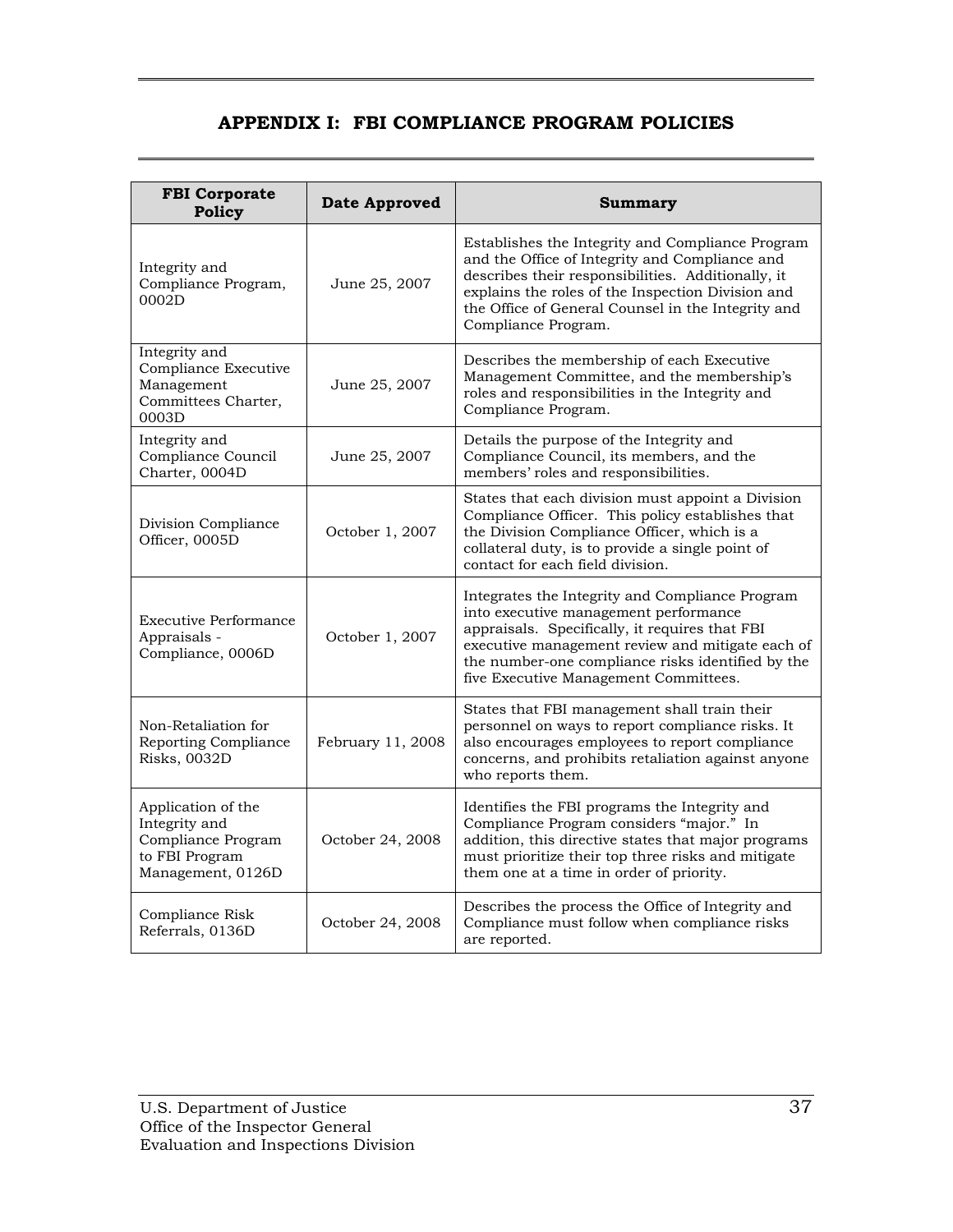# **APPENDIX I: FBI COMPLIANCE PROGRAM POLICIES**

<span id="page-51-0"></span>

| <b>FBI Corporate</b><br>Policy                                                                                       | <b>Date Approved</b>                                                                                                                                                                | Summary                                                                                                                                                                                                                                                                                      |  |
|----------------------------------------------------------------------------------------------------------------------|-------------------------------------------------------------------------------------------------------------------------------------------------------------------------------------|----------------------------------------------------------------------------------------------------------------------------------------------------------------------------------------------------------------------------------------------------------------------------------------------|--|
| Integrity and<br>Compliance Program,<br>0002D                                                                        | June 25, 2007                                                                                                                                                                       | Establishes the Integrity and Compliance Program<br>and the Office of Integrity and Compliance and<br>describes their responsibilities. Additionally, it<br>explains the roles of the Inspection Division and<br>the Office of General Counsel in the Integrity and<br>Compliance Program.   |  |
| Integrity and<br>Compliance Executive<br>Management<br>Committees Charter,<br>0003D                                  | Describes the membership of each Executive<br>Management Committee, and the membership's<br>June 25, 2007<br>roles and responsibilities in the Integrity and<br>Compliance Program. |                                                                                                                                                                                                                                                                                              |  |
| Integrity and<br>Compliance Council<br>Charter, 0004D                                                                | June 25, 2007                                                                                                                                                                       | Details the purpose of the Integrity and<br>Compliance Council, its members, and the<br>members' roles and responsibilities.                                                                                                                                                                 |  |
| Division Compliance<br>Officer, 0005D                                                                                | October 1, 2007                                                                                                                                                                     | States that each division must appoint a Division<br>Compliance Officer. This policy establishes that<br>the Division Compliance Officer, which is a<br>collateral duty, is to provide a single point of<br>contact for each field division.                                                 |  |
| <b>Executive Performance</b><br>Appraisals -<br>October 1, 2007<br>Compliance, 0006D                                 |                                                                                                                                                                                     | Integrates the Integrity and Compliance Program<br>into executive management performance<br>appraisals. Specifically, it requires that FBI<br>executive management review and mitigate each of<br>the number-one compliance risks identified by the<br>five Executive Management Committees. |  |
| Non-Retaliation for<br>Reporting Compliance<br><b>Risks</b> , 0032D                                                  | February 11, 2008                                                                                                                                                                   | States that FBI management shall train their<br>personnel on ways to report compliance risks. It<br>also encourages employees to report compliance<br>concerns, and prohibits retaliation against anyone<br>who reports them.                                                                |  |
| Application of the<br>Integrity and<br>Compliance Program<br>October 24, 2008<br>to FBI Program<br>Management, 0126D |                                                                                                                                                                                     | Identifies the FBI programs the Integrity and<br>Compliance Program considers "major." In<br>addition, this directive states that major programs<br>must prioritize their top three risks and mitigate<br>them one at a time in order of priority.                                           |  |
| Compliance Risk<br>Referrals, 0136D                                                                                  | October 24, 2008                                                                                                                                                                    | Describes the process the Office of Integrity and<br>Compliance must follow when compliance risks<br>are reported.                                                                                                                                                                           |  |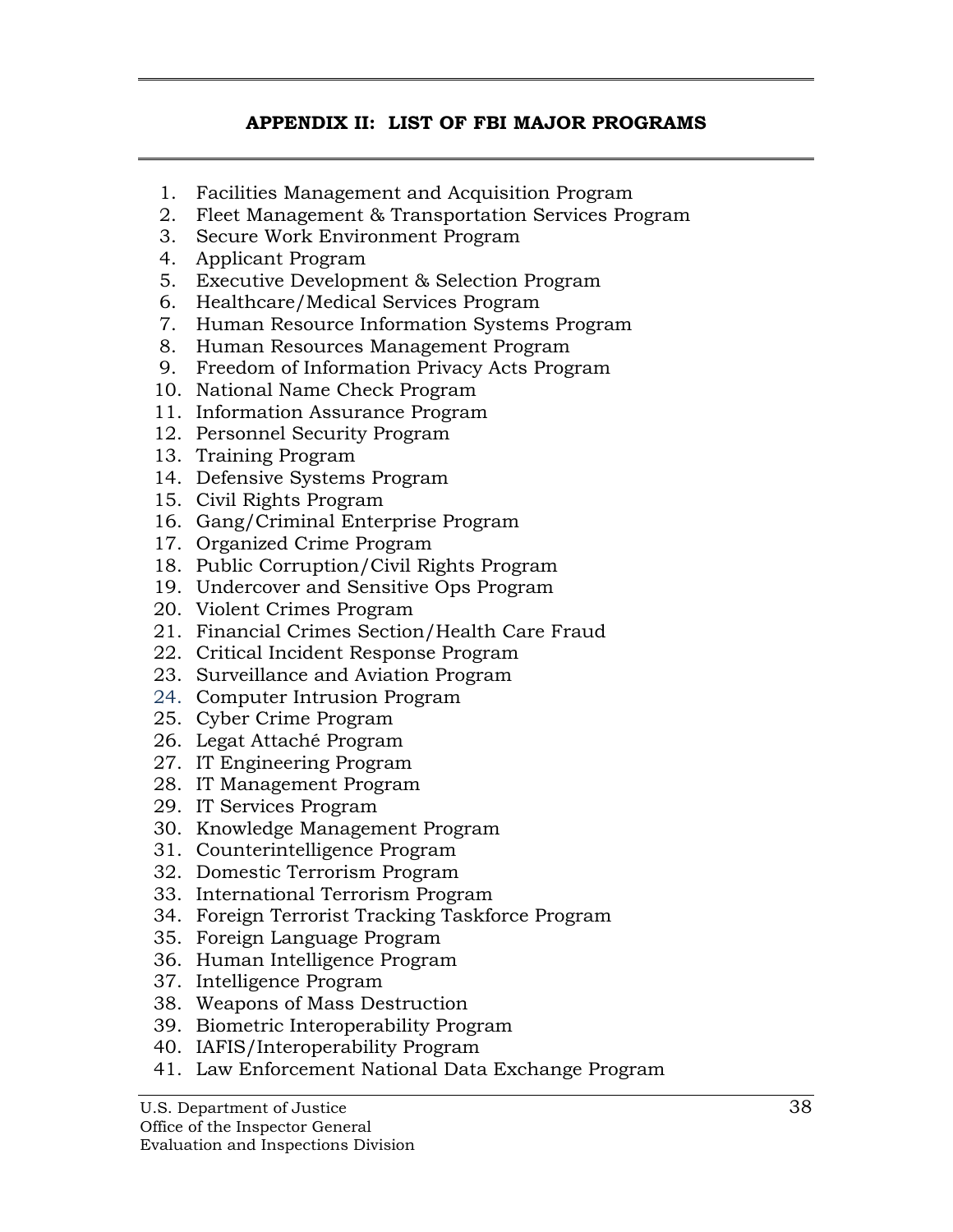# **APPENDIX II: LIST OF FBI MAJOR PROGRAMS**

- <span id="page-52-0"></span>1. Facilities Management and Acquisition Program
- 2. Fleet Management & Transportation Services Program
- 3. Secure Work Environment Program
- 4. Applicant Program
- 5. Executive Development & Selection Program
- 6. Healthcare/Medical Services Program
- 7. Human Resource Information Systems Program
- 8. Human Resources Management Program
- 9. Freedom of Information Privacy Acts Program
- 10. National Name Check Program
- 11. Information Assurance Program
- 12. Personnel Security Program
- 13. Training Program
- 14. Defensive Systems Program
- 15. Civil Rights Program
- 16. Gang/Criminal Enterprise Program
- 17. Organized Crime Program
- 18. Public Corruption/Civil Rights Program
- 19. Undercover and Sensitive Ops Program
- 20. Violent Crimes Program
- 21. Financial Crimes Section/Health Care Fraud
- 22. Critical Incident Response Program
- 23. Surveillance and Aviation Program
- 24. Computer Intrusion Program
- 25. Cyber Crime Program
- 26. Legat Attaché Program
- 27. IT Engineering Program
- 28. IT Management Program
- 29. IT Services Program
- 30. Knowledge Management Program
- 31. Counterintelligence Program
- 32. Domestic Terrorism Program
- 33. International Terrorism Program
- 34. Foreign Terrorist Tracking Taskforce Program
- 35. Foreign Language Program
- 36. Human Intelligence Program
- 37. Intelligence Program
- 38. Weapons of Mass Destruction
- 39. Biometric Interoperability Program
- 40. IAFIS/Interoperability Program
- 41. Law Enforcement National Data Exchange Program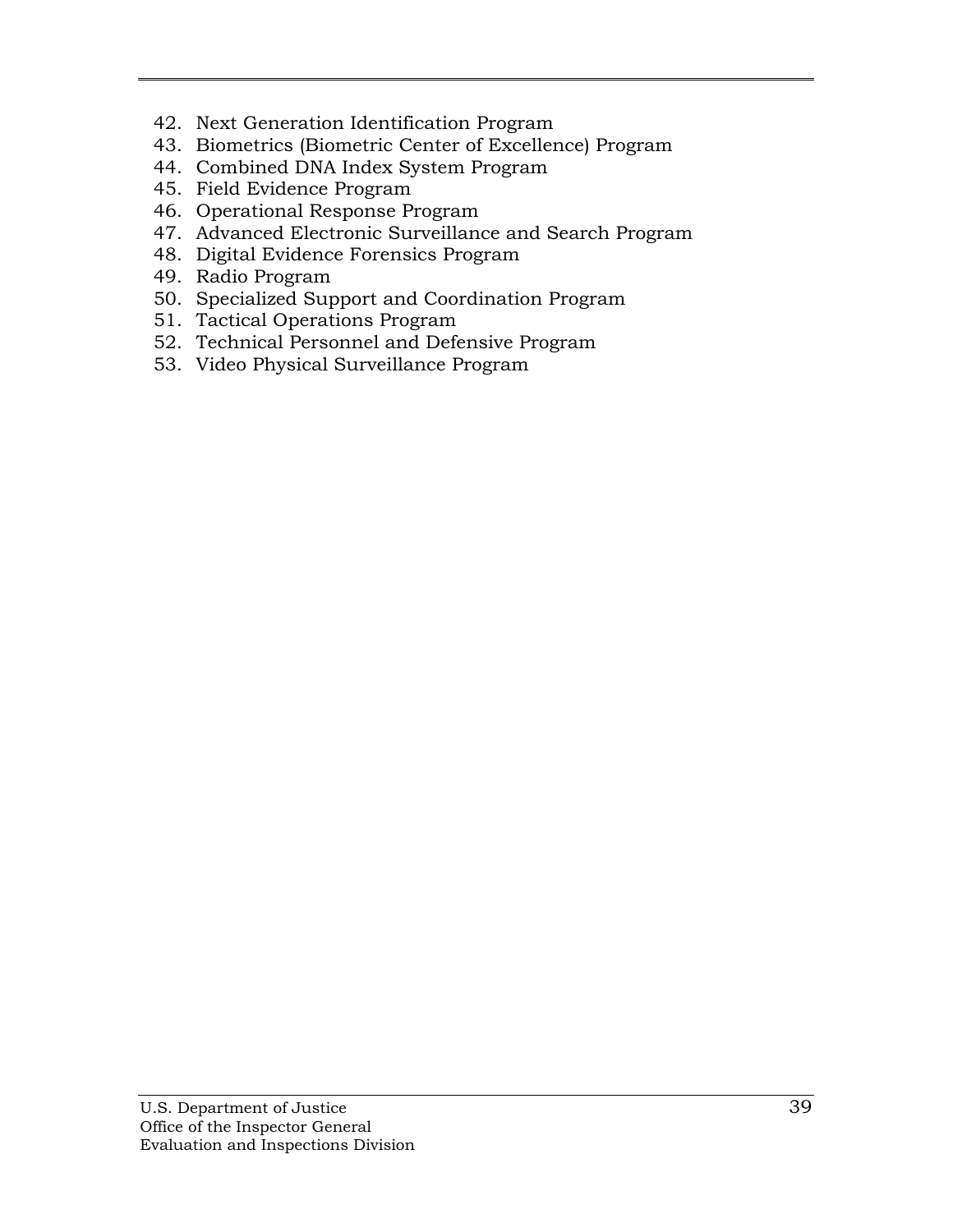- 42. Next Generation Identification Program
- 43. Biometrics (Biometric Center of Excellence) Program
- 44. Combined DNA Index System Program
- 45. Field Evidence Program
- 46. Operational Response Program
- 47. Advanced Electronic Surveillance and Search Program
- 48. Digital Evidence Forensics Program
- 49. Radio Program
- 50. Specialized Support and Coordination Program
- 51. Tactical Operations Program
- 52. Technical Personnel and Defensive Program
- 53. Video Physical Surveillance Program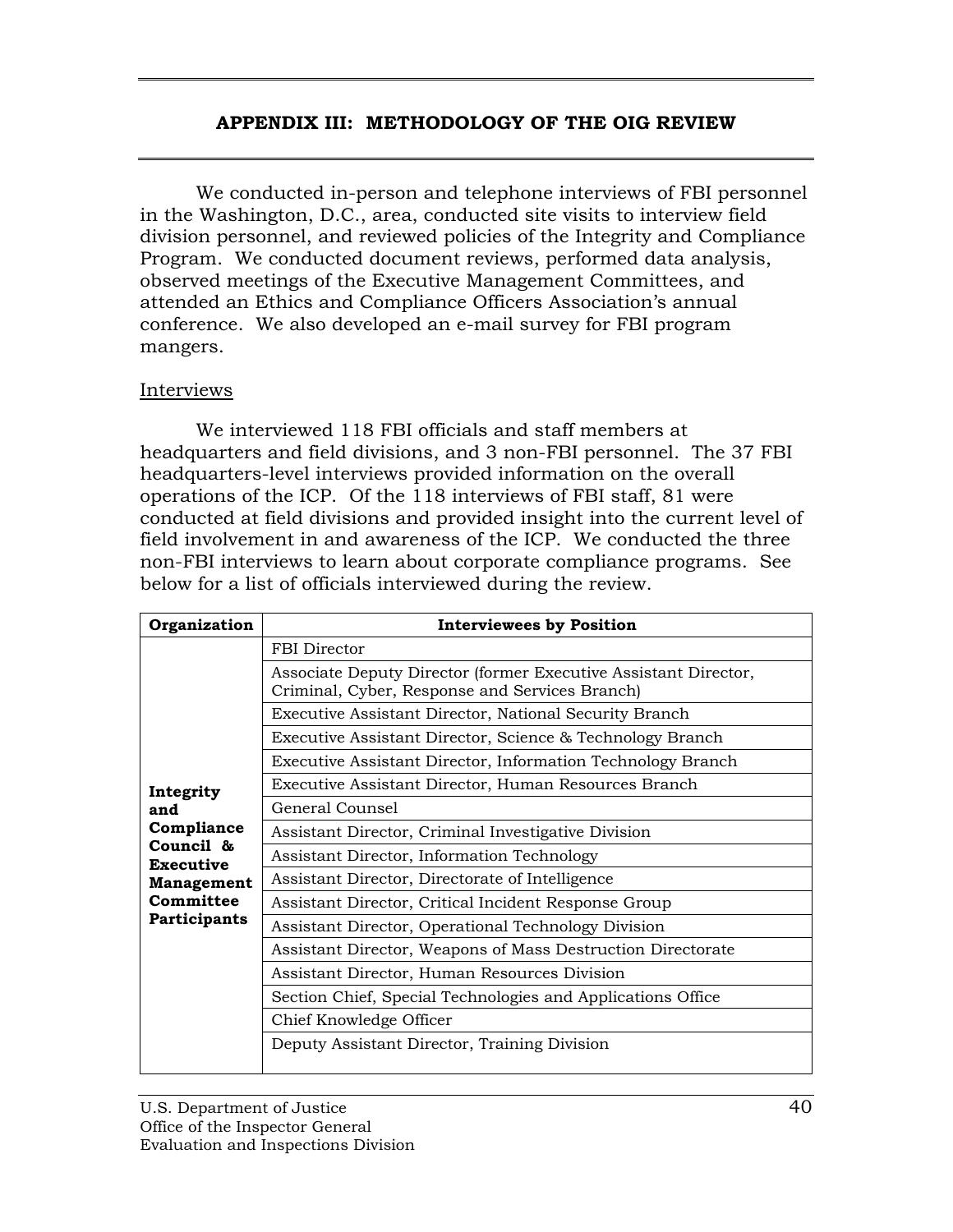#### **APPENDIX III: METHODOLOGY OF THE OIG REVIEW**

<span id="page-54-0"></span>We conducted in-person and telephone interviews of FBI personnel in the Washington, D.C., area, conducted site visits to interview field division personnel, and reviewed policies of the Integrity and Compliance Program. We conducted document reviews, performed data analysis, observed meetings of the Executive Management Committees, and attended an Ethics and Compliance Officers Association's annual conference. We also developed an e-mail survey for FBI program mangers.

#### Interviews

We interviewed 118 FBI officials and staff members at headquarters and field divisions, and 3 non-FBI personnel. The 37 FBI headquarters-level interviews provided information on the overall operations of the ICP. Of the 118 interviews of FBI staff, 81 were conducted at field divisions and provided insight into the current level of field involvement in and awareness of the ICP. We conducted the three non-FBI interviews to learn about corporate compliance programs. See below for a list of officials interviewed during the review.

| Organization                                                                                                      | <b>Interviewees by Position</b>                                                                                   |
|-------------------------------------------------------------------------------------------------------------------|-------------------------------------------------------------------------------------------------------------------|
|                                                                                                                   | FBI Director                                                                                                      |
|                                                                                                                   | Associate Deputy Director (former Executive Assistant Director,<br>Criminal, Cyber, Response and Services Branch) |
|                                                                                                                   | Executive Assistant Director, National Security Branch                                                            |
| Integrity<br>and<br>Compliance<br>Council &<br><b>Executive</b><br><b>Management</b><br>Committee<br>Participants | Executive Assistant Director, Science & Technology Branch                                                         |
|                                                                                                                   | Executive Assistant Director, Information Technology Branch                                                       |
|                                                                                                                   | Executive Assistant Director, Human Resources Branch                                                              |
|                                                                                                                   | General Counsel                                                                                                   |
|                                                                                                                   | Assistant Director, Criminal Investigative Division                                                               |
|                                                                                                                   | Assistant Director, Information Technology                                                                        |
|                                                                                                                   | Assistant Director, Directorate of Intelligence                                                                   |
|                                                                                                                   | Assistant Director, Critical Incident Response Group                                                              |
|                                                                                                                   | Assistant Director, Operational Technology Division                                                               |
|                                                                                                                   | Assistant Director, Weapons of Mass Destruction Directorate                                                       |
|                                                                                                                   | Assistant Director, Human Resources Division                                                                      |
|                                                                                                                   | Section Chief, Special Technologies and Applications Office                                                       |
|                                                                                                                   | Chief Knowledge Officer                                                                                           |
|                                                                                                                   | Deputy Assistant Director, Training Division                                                                      |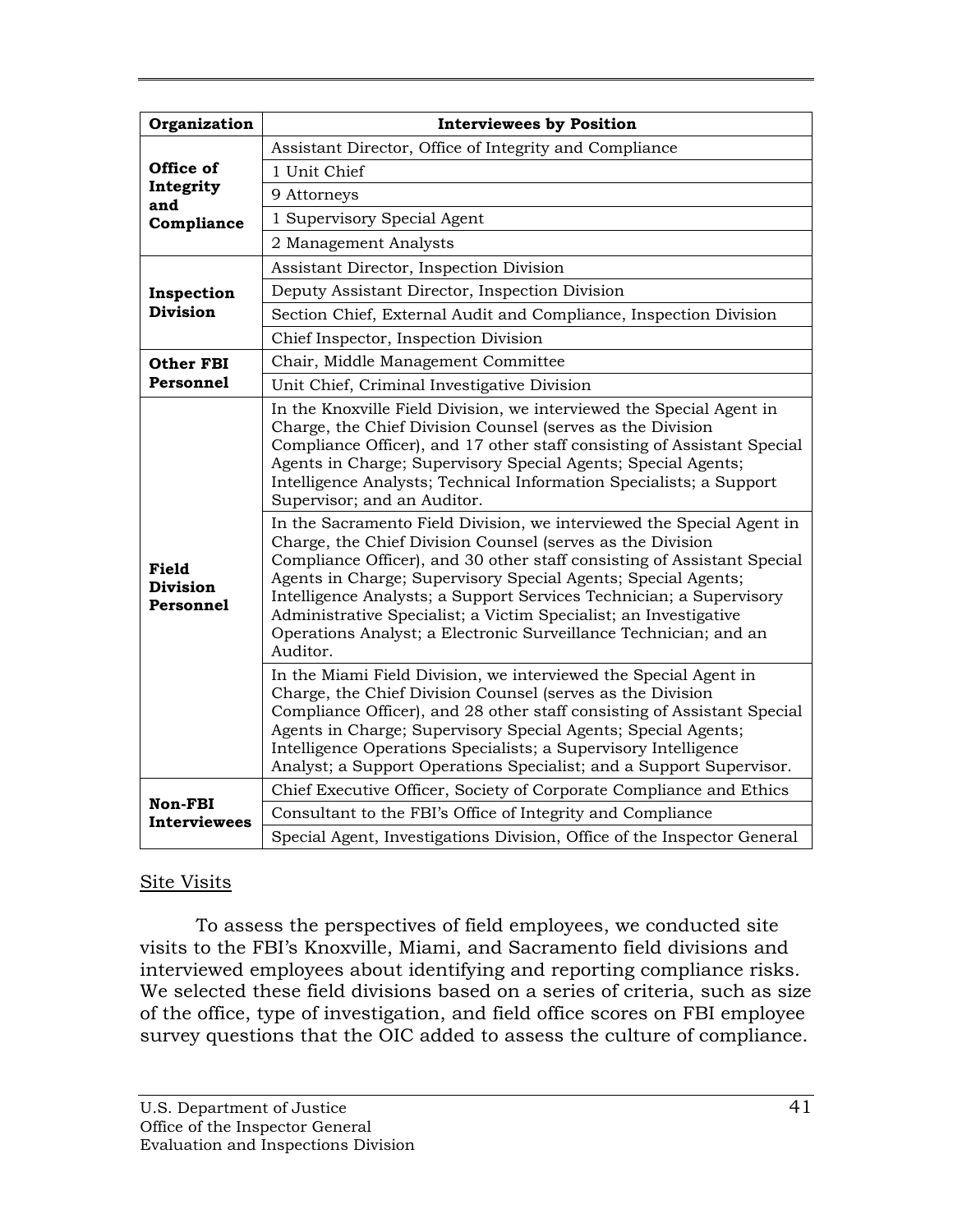| Organization                                 | <b>Interviewees by Position</b>                                                                                                                                                                                                                                                                                                                                                                                                                                                                            |
|----------------------------------------------|------------------------------------------------------------------------------------------------------------------------------------------------------------------------------------------------------------------------------------------------------------------------------------------------------------------------------------------------------------------------------------------------------------------------------------------------------------------------------------------------------------|
|                                              | Assistant Director, Office of Integrity and Compliance                                                                                                                                                                                                                                                                                                                                                                                                                                                     |
| Office of                                    | 1 Unit Chief                                                                                                                                                                                                                                                                                                                                                                                                                                                                                               |
| Integrity                                    |                                                                                                                                                                                                                                                                                                                                                                                                                                                                                                            |
| and                                          | 9 Attorneys                                                                                                                                                                                                                                                                                                                                                                                                                                                                                                |
| Compliance                                   | 1 Supervisory Special Agent                                                                                                                                                                                                                                                                                                                                                                                                                                                                                |
|                                              | 2 Management Analysts                                                                                                                                                                                                                                                                                                                                                                                                                                                                                      |
|                                              | Assistant Director, Inspection Division                                                                                                                                                                                                                                                                                                                                                                                                                                                                    |
| Inspection                                   | Deputy Assistant Director, Inspection Division                                                                                                                                                                                                                                                                                                                                                                                                                                                             |
| <b>Division</b>                              | Section Chief, External Audit and Compliance, Inspection Division                                                                                                                                                                                                                                                                                                                                                                                                                                          |
|                                              | Chief Inspector, Inspection Division                                                                                                                                                                                                                                                                                                                                                                                                                                                                       |
| Other FBI                                    | Chair, Middle Management Committee                                                                                                                                                                                                                                                                                                                                                                                                                                                                         |
| Personnel                                    | Unit Chief, Criminal Investigative Division                                                                                                                                                                                                                                                                                                                                                                                                                                                                |
| <b>Field</b><br><b>Division</b><br>Personnel | In the Knoxville Field Division, we interviewed the Special Agent in<br>Charge, the Chief Division Counsel (serves as the Division<br>Compliance Officer), and 17 other staff consisting of Assistant Special<br>Agents in Charge; Supervisory Special Agents; Special Agents;<br>Intelligence Analysts; Technical Information Specialists; a Support<br>Supervisor; and an Auditor.                                                                                                                       |
|                                              | In the Sacramento Field Division, we interviewed the Special Agent in<br>Charge, the Chief Division Counsel (serves as the Division<br>Compliance Officer), and 30 other staff consisting of Assistant Special<br>Agents in Charge; Supervisory Special Agents; Special Agents;<br>Intelligence Analysts; a Support Services Technician; a Supervisory<br>Administrative Specialist; a Victim Specialist; an Investigative<br>Operations Analyst; a Electronic Surveillance Technician; and an<br>Auditor. |
|                                              | In the Miami Field Division, we interviewed the Special Agent in<br>Charge, the Chief Division Counsel (serves as the Division<br>Compliance Officer), and 28 other staff consisting of Assistant Special<br>Agents in Charge; Supervisory Special Agents; Special Agents;<br>Intelligence Operations Specialists; a Supervisory Intelligence<br>Analyst; a Support Operations Specialist; and a Support Supervisor.                                                                                       |
|                                              | Chief Executive Officer, Society of Corporate Compliance and Ethics                                                                                                                                                                                                                                                                                                                                                                                                                                        |
| Non-FBI<br><b>Interviewees</b>               | Consultant to the FBI's Office of Integrity and Compliance                                                                                                                                                                                                                                                                                                                                                                                                                                                 |
|                                              | Special Agent, Investigations Division, Office of the Inspector General                                                                                                                                                                                                                                                                                                                                                                                                                                    |

# Site Visits

To assess the perspectives of field employees, we conducted site visits to the FBI's Knoxville, Miami, and Sacramento field divisions and interviewed employees about identifying and reporting compliance risks. We selected these field divisions based on a series of criteria, such as size of the office, type of investigation, and field office scores on FBI employee survey questions that the OIC added to assess the culture of compliance.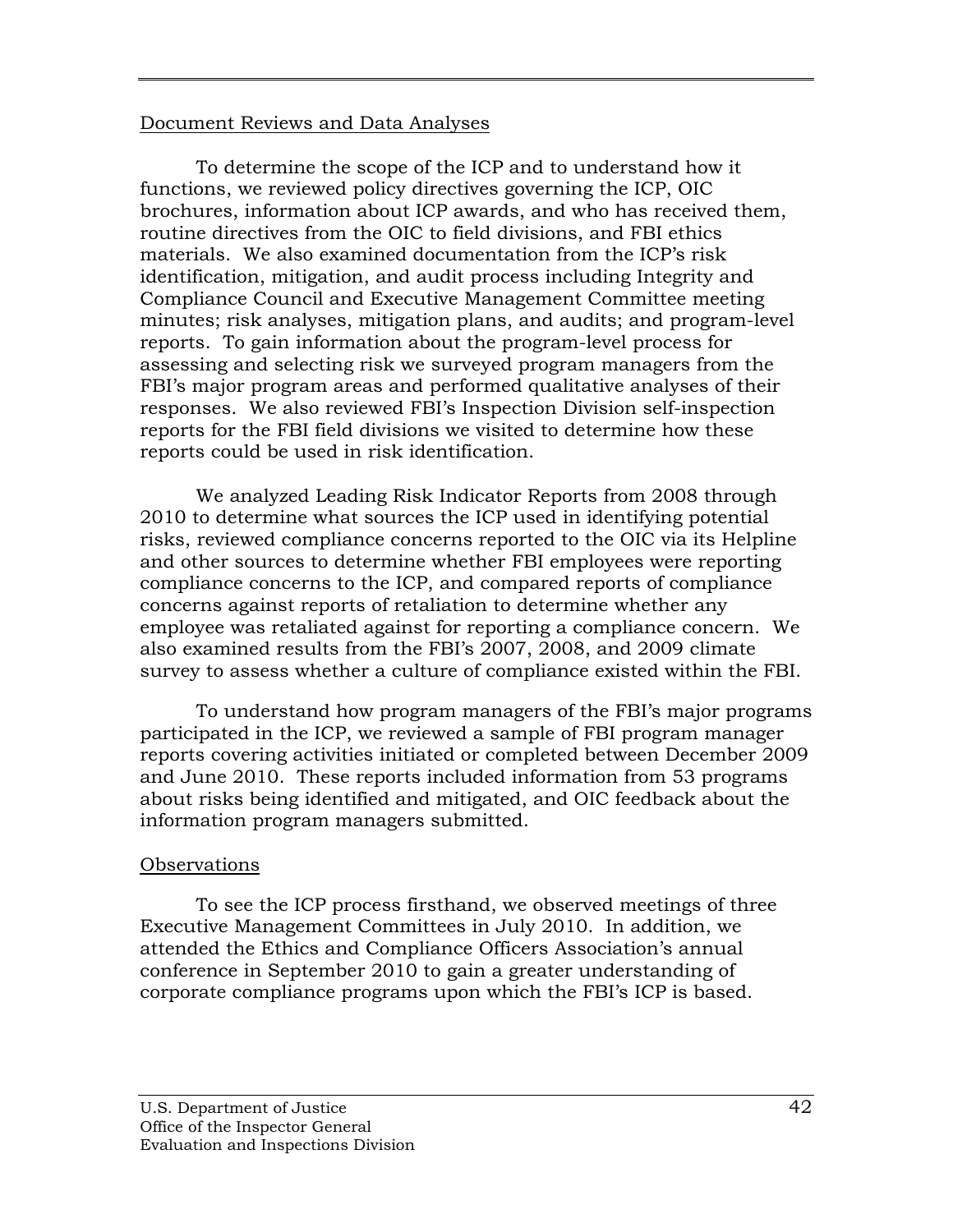#### Document Reviews and Data Analyses

To determine the scope of the ICP and to understand how it functions, we reviewed policy directives governing the ICP, OIC brochures, information about ICP awards, and who has received them, routine directives from the OIC to field divisions, and FBI ethics materials. We also examined documentation from the ICP's risk identification, mitigation, and audit process including Integrity and Compliance Council and Executive Management Committee meeting minutes; risk analyses, mitigation plans, and audits; and program-level reports. To gain information about the program-level process for assessing and selecting risk we surveyed program managers from the FBI's major program areas and performed qualitative analyses of their responses. We also reviewed FBI's Inspection Division self-inspection reports for the FBI field divisions we visited to determine how these reports could be used in risk identification.

We analyzed Leading Risk Indicator Reports from 2008 through 2010 to determine what sources the ICP used in identifying potential risks, reviewed compliance concerns reported to the OIC via its Helpline and other sources to determine whether FBI employees were reporting compliance concerns to the ICP, and compared reports of compliance concerns against reports of retaliation to determine whether any employee was retaliated against for reporting a compliance concern. We also examined results from the FBI's 2007, 2008, and 2009 climate survey to assess whether a culture of compliance existed within the FBI.

To understand how program managers of the FBI's major programs participated in the ICP, we reviewed a sample of FBI program manager reports covering activities initiated or completed between December 2009 and June 2010. These reports included information from 53 programs about risks being identified and mitigated, and OIC feedback about the information program managers submitted.

# **Observations**

To see the ICP process firsthand, we observed meetings of three Executive Management Committees in July 2010. In addition, we attended the Ethics and Compliance Officers Association's annual conference in September 2010 to gain a greater understanding of corporate compliance programs upon which the FBI's ICP is based.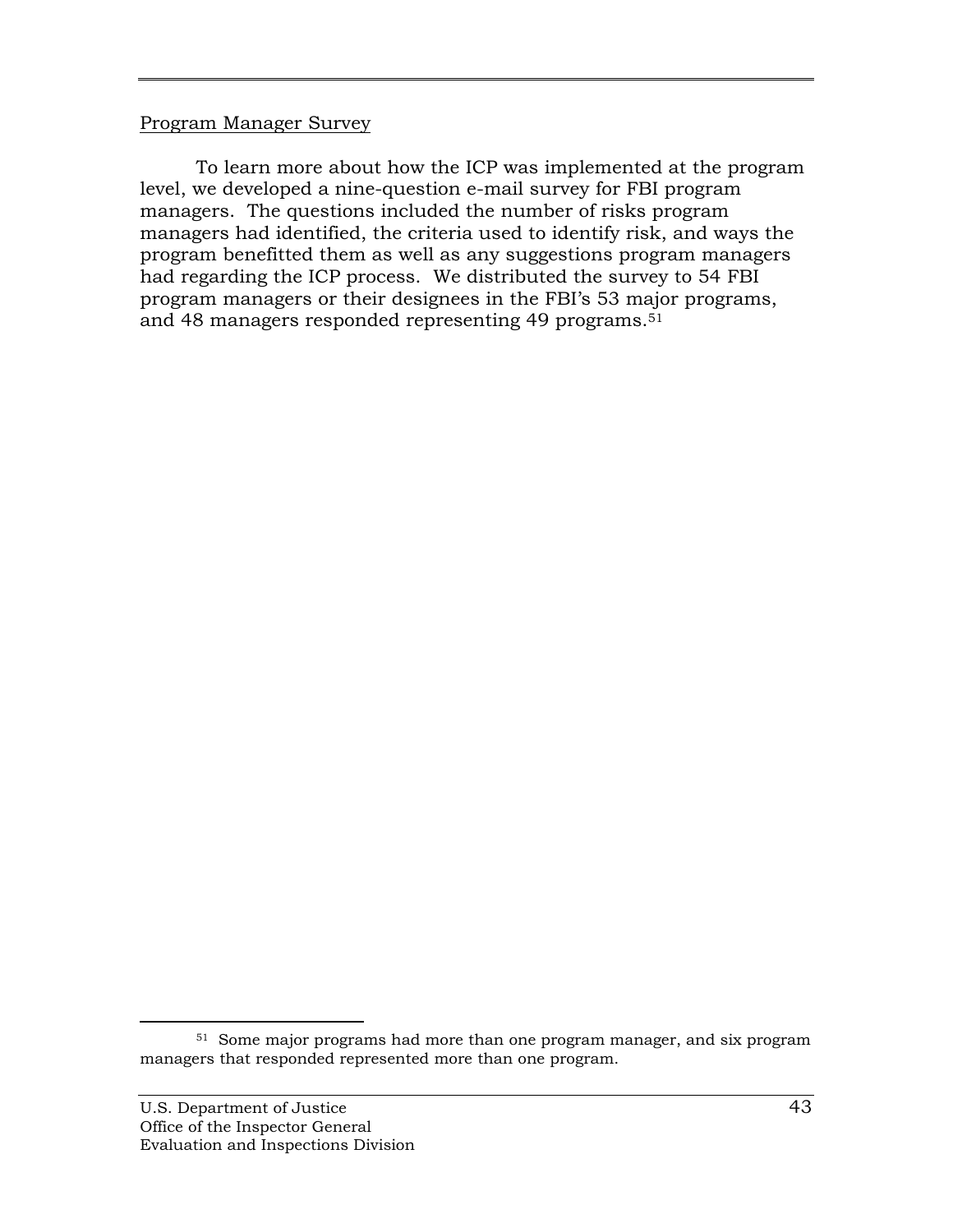#### Program Manager Survey

To learn more about how the ICP was implemented at the program level, we developed a nine-question e-mail survey for FBI program managers. The questions included the number of risks program managers had identified, the criteria used to identify risk, and ways the program benefitted them as well as any suggestions program managers had regarding the ICP process. We distributed the survey to 54 FBI program managers or their designees in the FBI's 53 major programs, and 48 managers responded representing 49 programs.<sup>51</sup>

<sup>51</sup> Some major programs had more than one program manager, and six program managers that responded represented more than one program.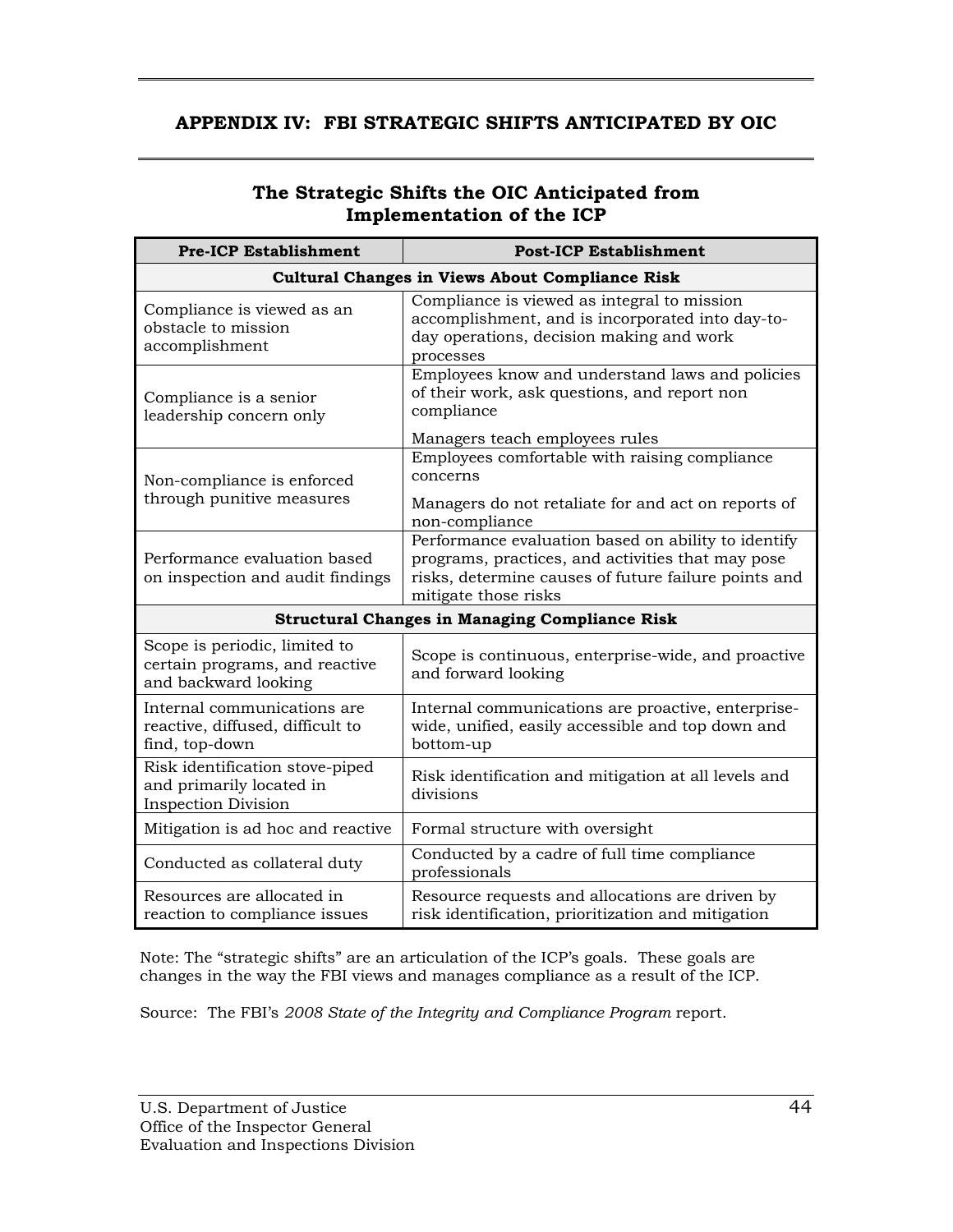## <span id="page-58-0"></span>**APPENDIX IV: FBI STRATEGIC SHIFTS ANTICIPATED BY OIC**

## **The Strategic Shifts the OIC Anticipated from Implementation of the ICP**

| <b>Pre-ICP Establishment</b>                                                              | <b>Post-ICP Establishment</b>                                                                                                                                                            |  |  |  |
|-------------------------------------------------------------------------------------------|------------------------------------------------------------------------------------------------------------------------------------------------------------------------------------------|--|--|--|
| <b>Cultural Changes in Views About Compliance Risk</b>                                    |                                                                                                                                                                                          |  |  |  |
| Compliance is viewed as an<br>obstacle to mission<br>accomplishment                       | Compliance is viewed as integral to mission<br>accomplishment, and is incorporated into day-to-<br>day operations, decision making and work<br>processes                                 |  |  |  |
| Compliance is a senior<br>leadership concern only                                         | Employees know and understand laws and policies<br>of their work, ask questions, and report non<br>compliance<br>Managers teach employees rules                                          |  |  |  |
| Non-compliance is enforced<br>through punitive measures                                   | Employees comfortable with raising compliance<br>concerns<br>Managers do not retaliate for and act on reports of<br>non-compliance                                                       |  |  |  |
| Performance evaluation based<br>on inspection and audit findings                          | Performance evaluation based on ability to identify<br>programs, practices, and activities that may pose<br>risks, determine causes of future failure points and<br>mitigate those risks |  |  |  |
| <b>Structural Changes in Managing Compliance Risk</b>                                     |                                                                                                                                                                                          |  |  |  |
| Scope is periodic, limited to<br>certain programs, and reactive<br>and backward looking   | Scope is continuous, enterprise-wide, and proactive<br>and forward looking                                                                                                               |  |  |  |
| Internal communications are<br>reactive, diffused, difficult to<br>find, top-down         | Internal communications are proactive, enterprise-<br>wide, unified, easily accessible and top down and<br>bottom-up                                                                     |  |  |  |
| Risk identification stove-piped<br>and primarily located in<br><b>Inspection Division</b> | Risk identification and mitigation at all levels and<br>divisions                                                                                                                        |  |  |  |
| Mitigation is ad hoc and reactive                                                         | Formal structure with oversight                                                                                                                                                          |  |  |  |
| Conducted as collateral duty                                                              | Conducted by a cadre of full time compliance<br>professionals                                                                                                                            |  |  |  |
| Resources are allocated in<br>reaction to compliance issues                               | Resource requests and allocations are driven by<br>risk identification, prioritization and mitigation                                                                                    |  |  |  |

 Note: The "strategic shifts" are an articulation of the ICP's goals. These goals are changes in the way the FBI views and manages compliance as a result of the ICP.

 Source: The FBI's *2008 State of the Integrity and Compliance Program* report.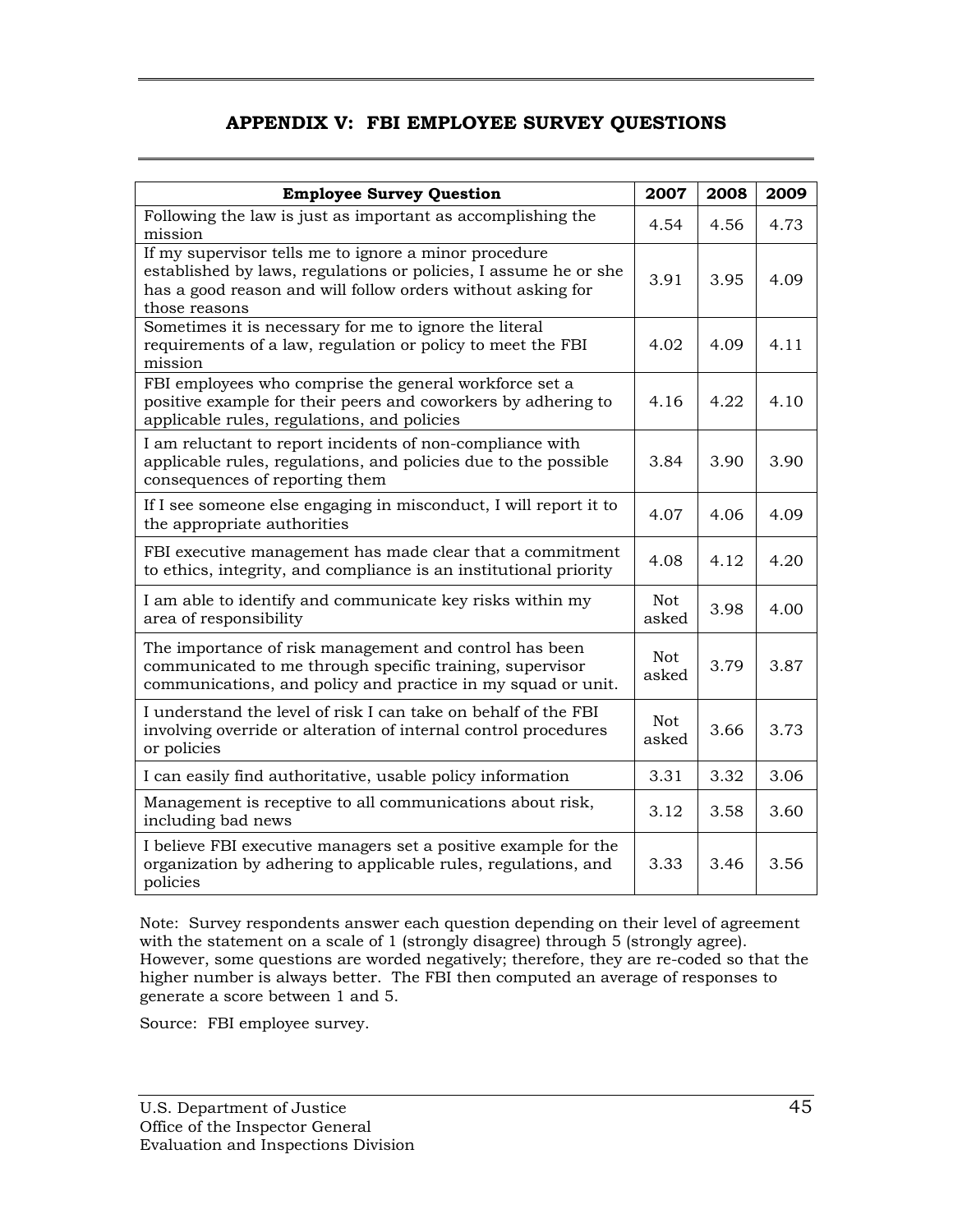### **APPENDIX V: FBI EMPLOYEE SURVEY QUESTIONS**

<span id="page-59-0"></span>

| <b>Employee Survey Question</b>                                                                                                                                                                           | 2007                | 2008 | 2009 |
|-----------------------------------------------------------------------------------------------------------------------------------------------------------------------------------------------------------|---------------------|------|------|
| Following the law is just as important as accomplishing the<br>mission                                                                                                                                    |                     | 4.56 | 4.73 |
| If my supervisor tells me to ignore a minor procedure<br>established by laws, regulations or policies, I assume he or she<br>has a good reason and will follow orders without asking for<br>those reasons | 3.91                | 3.95 | 4.09 |
| Sometimes it is necessary for me to ignore the literal<br>requirements of a law, regulation or policy to meet the FBI<br>mission                                                                          | 4.02                | 4.09 | 4.11 |
| FBI employees who comprise the general workforce set a<br>positive example for their peers and coworkers by adhering to<br>applicable rules, regulations, and policies                                    | 4.16                | 4.22 | 4.10 |
| I am reluctant to report incidents of non-compliance with<br>applicable rules, regulations, and policies due to the possible<br>consequences of reporting them                                            | 3.84                | 3.90 | 3.90 |
| If I see someone else engaging in misconduct, I will report it to<br>the appropriate authorities                                                                                                          | 4.07                | 4.06 | 4.09 |
| FBI executive management has made clear that a commitment<br>to ethics, integrity, and compliance is an institutional priority                                                                            | 4.08                | 4.12 | 4.20 |
| I am able to identify and communicate key risks within my<br>area of responsibility                                                                                                                       | <b>Not</b><br>asked | 3.98 | 4.00 |
| The importance of risk management and control has been<br>communicated to me through specific training, supervisor<br>communications, and policy and practice in my squad or unit.                        | <b>Not</b><br>asked | 3.79 | 3.87 |
| I understand the level of risk I can take on behalf of the FBI<br>involving override or alteration of internal control procedures<br>or policies                                                          | <b>Not</b><br>asked | 3.66 | 3.73 |
| I can easily find authoritative, usable policy information                                                                                                                                                | 3.31                | 3.32 | 3.06 |
| Management is receptive to all communications about risk,<br>including bad news                                                                                                                           | 3.12                | 3.58 | 3.60 |
| I believe FBI executive managers set a positive example for the<br>organization by adhering to applicable rules, regulations, and<br>policies                                                             | 3.33                | 3.46 | 3.56 |

 higher number is always better. The FBI then computed an average of responses to generate a score between 1 and 5. Note: Survey respondents answer each question depending on their level of agreement with the statement on a scale of 1 (strongly disagree) through 5 (strongly agree). However, some questions are worded negatively; therefore, they are re-coded so that the

Source: FBI employee survey.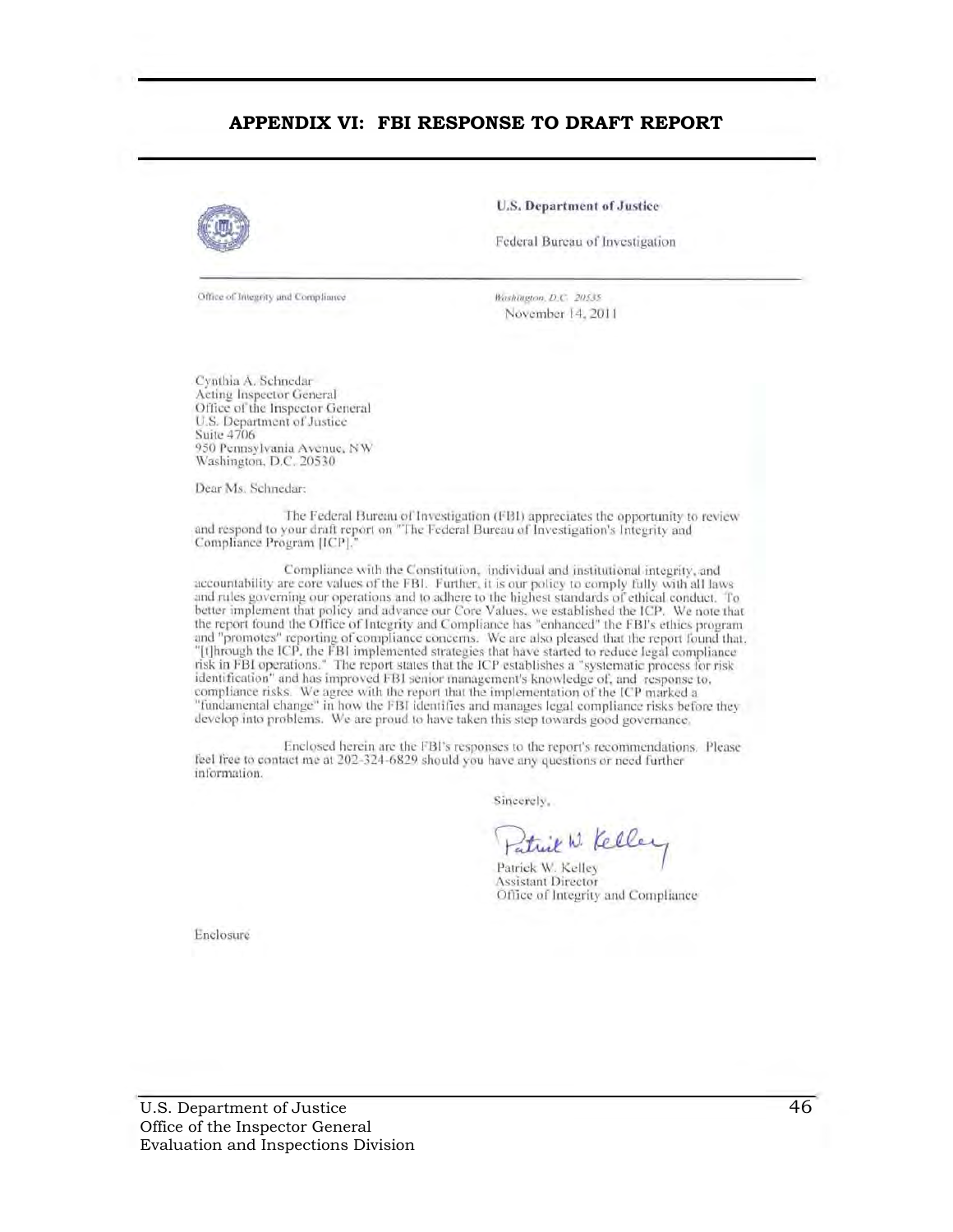#### **APPENDIX VI: FBI RESPONSE TO DRAFT REPORT**



U.S. Department of Justice

Federal Bureau of Investigation

Office of Integrity and Compliance

Washington, *D.C.* 20535. November 14, 2011

Cynthia A. Schnedar Acting Inspector General Office of the Inspector General U.S. Dcpanrnent of Justice Suite 4706 950 Pennsylvania Avenue, NW Washington. D.C. 20530

Dear Ms. Schnedar:

The Federal Bureau of Investigation (FBI) appreciates the opportunity to review and respond to your draft report on "The Federal Bureau of Investigation's Integrity and Compliance Program [ICP].<sup>•</sup>

Compliance with the Constitution, individual and institutional integrity, and accountability are core values of the FBI. Further, it is our policy to comply fully with all laws and rules governing our operations and to adhere to the highest standards of ethical conduct. To better implement that policy and advance our Core Values. we established the ICP. We note that the report found the Office of Integrity and Compliance has "enhanced" the FBI's ethics program and "promotes" reporting of compliance concerns. We are also pleased that the report found that. "[t]hrough the ICP, the FBI implemented strategies that have started to reduce legal compliance<br>risk in FBI operations." The report states that the ICP establishes a "systematic process for risk identification" and has improved FBI senior management's knowledge of, and response to. compliance risks. We agree with the report that the implementation of the ICP marked a "fundamental change" in how the FBI identifies and manages legal compliance risks before they develop into problems. We are proud to have taken this step towards good governance.

Enclosed herein are the FBI's responses to the report's recommendations. Please feel free to contact me at 202-324-6829 should you have any questions or need further information.

Sincerely.

Patrick W. Kelley

Patrick W. Kelley<br>Assistant Director Office of Integrity and Compliance

Enclosure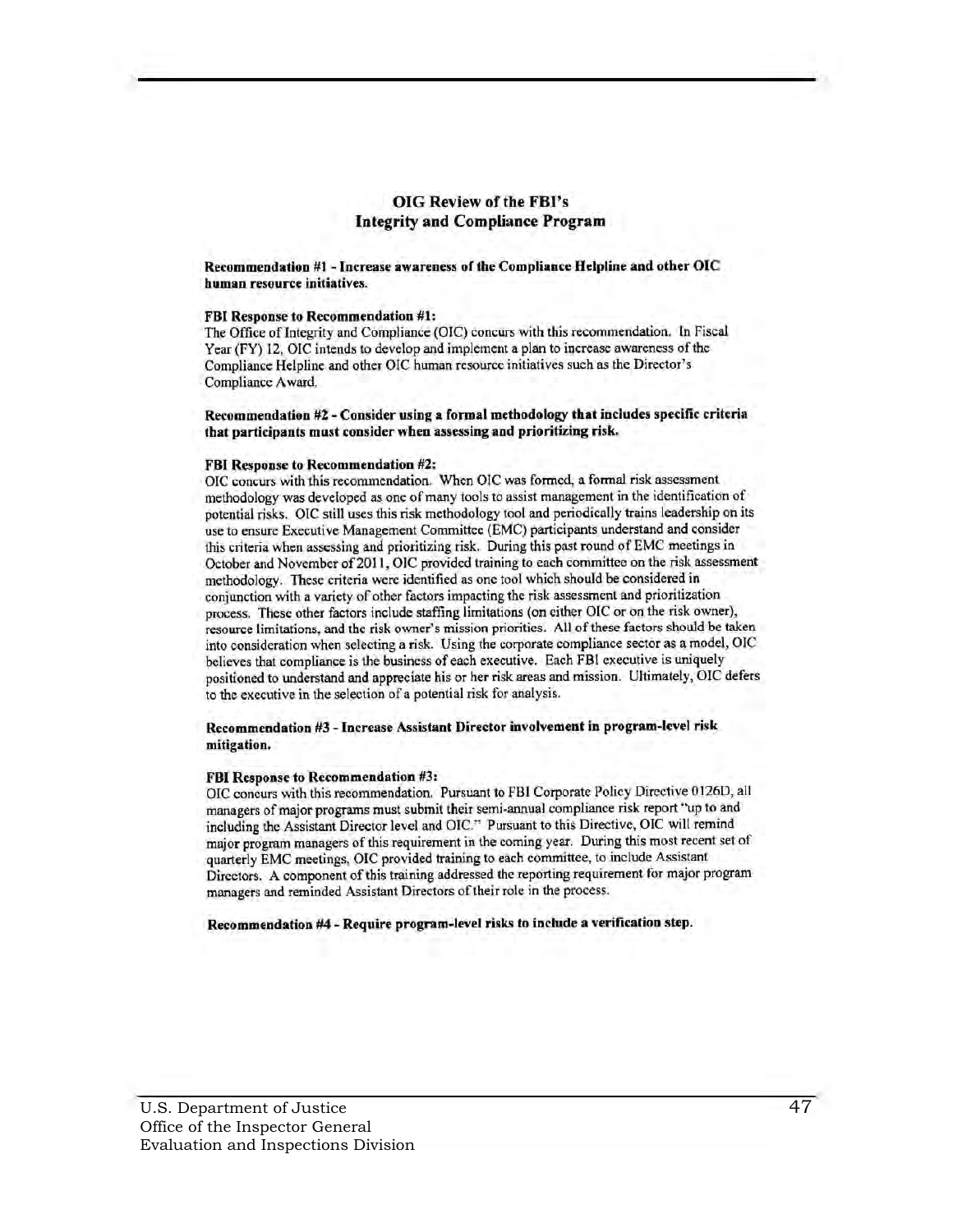#### OIG Review of the FBI's Integrity and Compliance Program

Recommendation #1 - Increase awareness of the Compliance Helpline and other OIC human resource initiatives.

#### FBI Response to Recommendation #1:

The Office of Integrity and Compliance (OIC) concurs with this recommendation. In Fiscal Year (FY) 12, OIC intends to develop and implement a plan to increase awareness of the Compliance Helpline and other OIC human rcsourcc initiatives such as the Director's Compliancc Award.

#### Recommendation #2 - Consider using a formal methodology that indudes specific criteria that participants must consider when assessing and prioritizing risk.

#### FBI Response to Recommendation #2:

OIC concurs with this recommendation. When OIC was formcd, a formal risk assessment methodology was developed as one of many tools to assist managemcnt in the identification of potcntial risks. OIC still uses this risk methodology tool and periodically trains leadership on its use to ensure Executive Management Committee (EMC) participants understand and consider this criteria when assessing and prioritizing risk. During this past round of EMC meetings in October and November of 2011, OIC provided training to each committee on the risk assessment methodology. Thcsc criteria were identified as one tool which should be considered in conjunction with a variety of other factors impacting the risk assessment and prioritization process. These other factors include staffing limitations (on either OIC or on the risk owner), resource limitations. and the risk owner's mission priorities. All of these ractors should be taken into consideration when selecting a risk. Using the corporate compliance sector as a model, OIC believes that compliance is the business of each executive. Each FBI exeeutive is uniquely positioned to understand and appreciate his or her fisk areas and mission. Ultimately. OIC defers to the executive in the selection of a potential risk for analysis.

#### Recommendation #3 - Increase Assistant Director involvement in program-level risk mitigation.

#### FBI Response to Recommendation #3:

OIC concurs with this recommendation. Pursuant to FBI Corporate Policy Directive 0126D, all managers of major programs must submit their semi-annual compliance risk report "up to and including the Assistant Director level and Ole." Pursuant to this Directive, OtC will remind major program managers of this requirement in the coming year. During this most recent set of quarterly EMC meetings, OIC provided training to each committee, to include Assistant Directors. A component of this training addressed thc reporting requirement for major program managers and reminded Assistant Directors of their role in the process.

Recommendation #4 - Require program-level risks to include a verification step.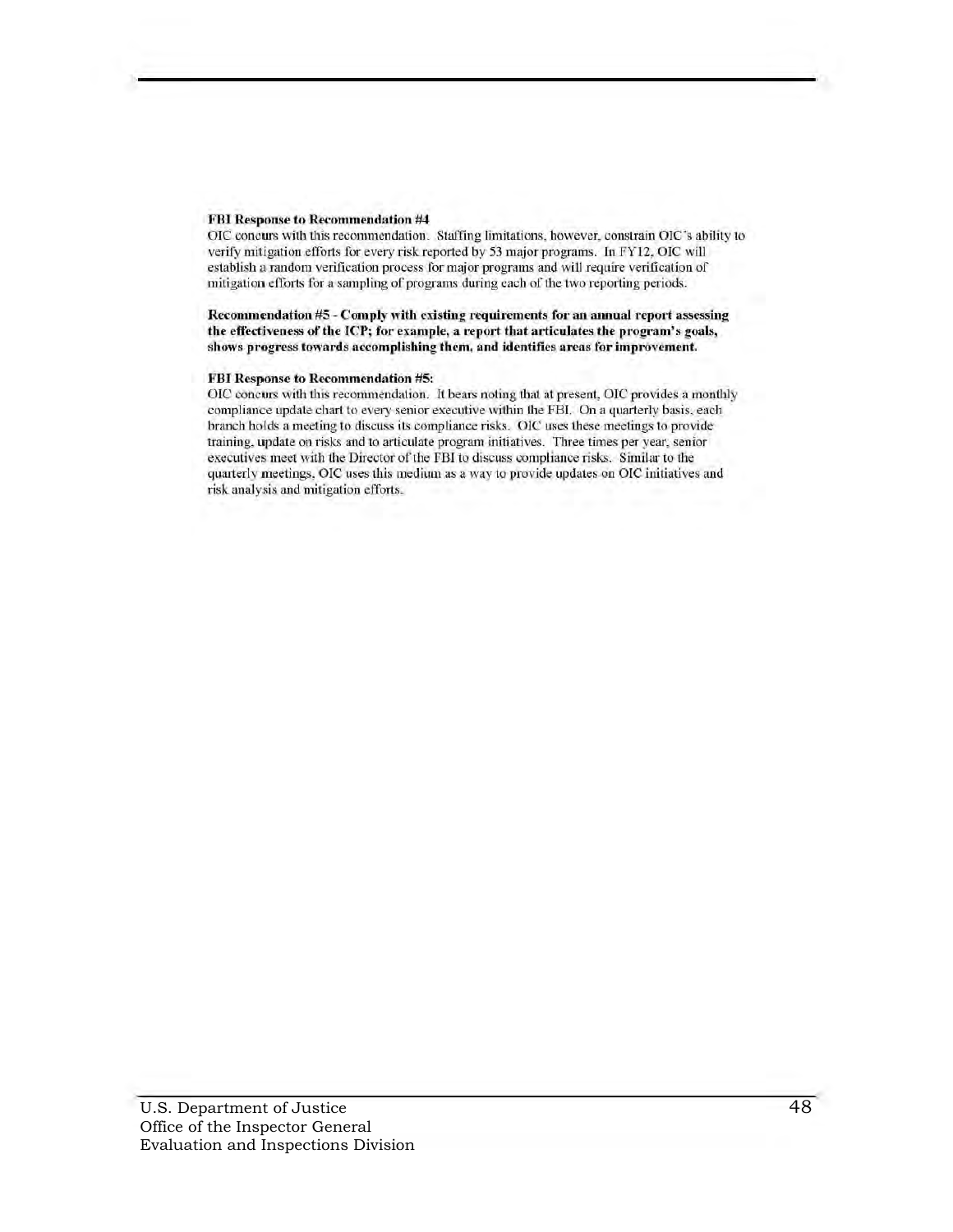#### FBI Response to Recommendation #4

OIC concurs with this recommendation. Staffing limitations, however, constrain OIC's ability to verify mitigation efforts for every risk reported by 53 major programs. In FY12, OIC will establish a random verification process for major programs and will require verification of mitigation efforts for a sampling of programs during each of the two reporting periods.

#### Recommendation #5 - Comply with existing requirements for an annual report assessing the effectiveness of the ICP; for example, a report that articulates the program's goals, shows progress towards accomplishing them, and identifies areas for improvement.

#### FBI Response to Recommendation #5:

OIC concurs with this recommendation. It bears noting that at present, OIC provides a monthly compliance update chart to every senior executive within the FBI. On a quarterly basis, each branch holds a meeting to discuss its compliance risks. OIC uses these meetings to provide training, update on risks and to articulate program initiatives. Three times per year, senior executives meet with the Director of the FBI to discuss compliance risks. Similar to the quarterly meetings. OIC uses this medium as a way to provide updates on OIC initiatives and risk analysis and mitigation cfforts.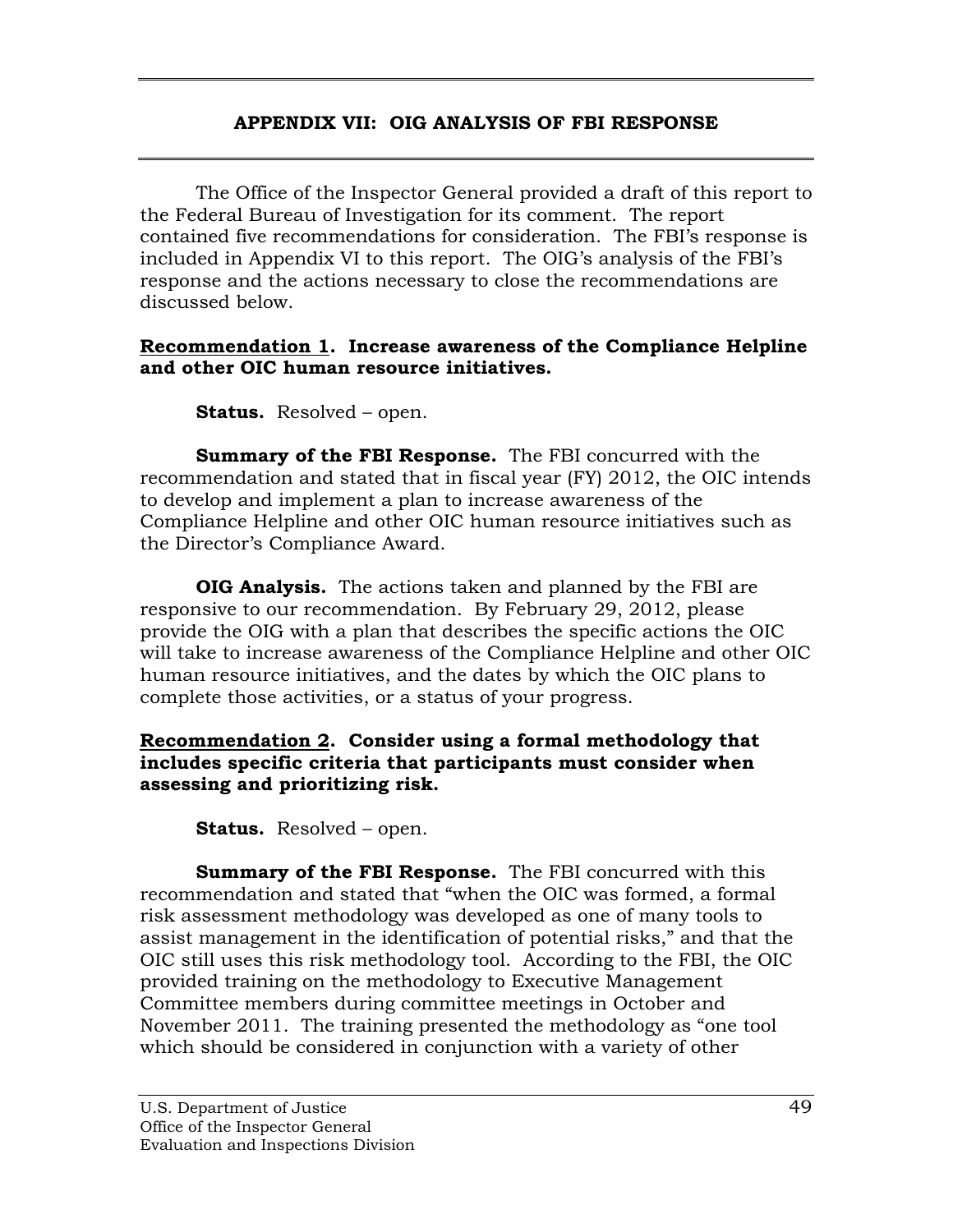# **APPENDIX VII: OIG ANALYSIS OF FBI RESPONSE**

<span id="page-63-0"></span>The Office of the Inspector General provided a draft of this report to the Federal Bureau of Investigation for its comment. The report contained five recommendations for consideration. The FBI's response is included in Appendix VI to this report. The OIG's analysis of the FBI's response and the actions necessary to close the recommendations are discussed below.

### **Recommendation 1. Increase awareness of the Compliance Helpline and other OIC human resource initiatives.**

**Status.** Resolved – open.

**Summary of the FBI Response.** The FBI concurred with the recommendation and stated that in fiscal year (FY) 2012, the OIC intends to develop and implement a plan to increase awareness of the Compliance Helpline and other OIC human resource initiatives such as the Director's Compliance Award.

**OIG Analysis.** The actions taken and planned by the FBI are responsive to our recommendation. By February 29, 2012, please provide the OIG with a plan that describes the specific actions the OIC will take to increase awareness of the Compliance Helpline and other OIC human resource initiatives, and the dates by which the OIC plans to complete those activities, or a status of your progress.

### **Recommendation 2. Consider using a formal methodology that includes specific criteria that participants must consider when assessing and prioritizing risk.**

**Status.** Resolved – open.

**Summary of the FBI Response.** The FBI concurred with this recommendation and stated that "when the OIC was formed, a formal risk assessment methodology was developed as one of many tools to assist management in the identification of potential risks," and that the OIC still uses this risk methodology tool. According to the FBI, the OIC provided training on the methodology to Executive Management Committee members during committee meetings in October and November 2011. The training presented the methodology as "one tool which should be considered in conjunction with a variety of other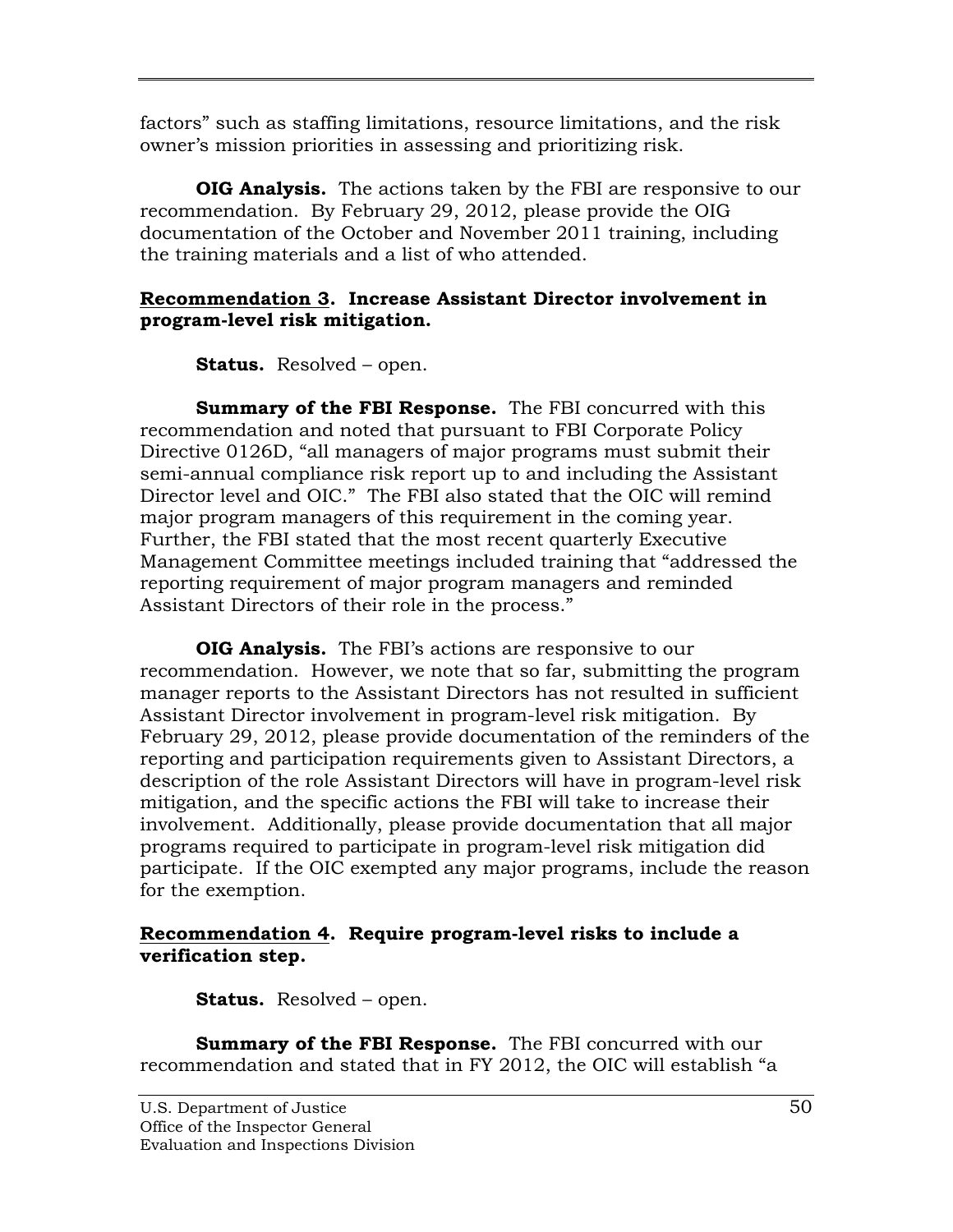factors" such as staffing limitations, resource limitations, and the risk owner's mission priorities in assessing and prioritizing risk.

**OIG Analysis.** The actions taken by the FBI are responsive to our recommendation. By February 29, 2012, please provide the OIG documentation of the October and November 2011 training, including the training materials and a list of who attended.

# **Recommendation 3. Increase Assistant Director involvement in program-level risk mitigation.**

**Status.** Resolved – open.

**Summary of the FBI Response.** The FBI concurred with this recommendation and noted that pursuant to FBI Corporate Policy Directive 0126D, "all managers of major programs must submit their semi-annual compliance risk report up to and including the Assistant Director level and OIC." The FBI also stated that the OIC will remind major program managers of this requirement in the coming year. Further, the FBI stated that the most recent quarterly Executive Management Committee meetings included training that "addressed the reporting requirement of major program managers and reminded Assistant Directors of their role in the process."

**OIG Analysis.** The FBI's actions are responsive to our recommendation. However, we note that so far, submitting the program manager reports to the Assistant Directors has not resulted in sufficient Assistant Director involvement in program-level risk mitigation. By February 29, 2012, please provide documentation of the reminders of the reporting and participation requirements given to Assistant Directors, a description of the role Assistant Directors will have in program-level risk mitigation, and the specific actions the FBI will take to increase their involvement. Additionally, please provide documentation that all major programs required to participate in program-level risk mitigation did participate. If the OIC exempted any major programs, include the reason for the exemption.

# **Recommendation 4. Require program-level risks to include a verification step.**

**Status.** Resolved – open.

**Summary of the FBI Response.** The FBI concurred with our recommendation and stated that in FY 2012, the OIC will establish "a